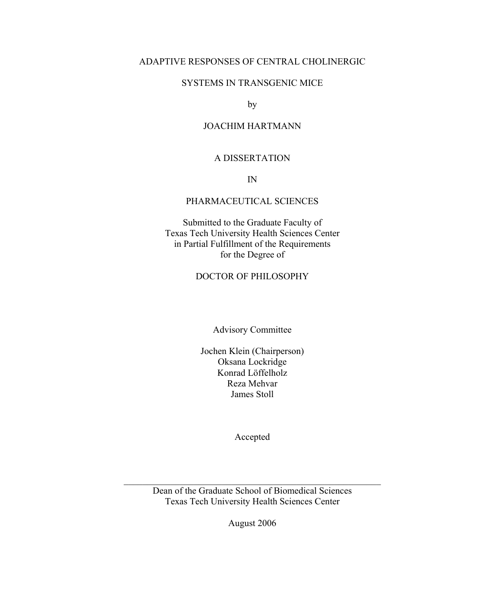### ADAPTIVE RESPONSES OF CENTRAL CHOLINERGIC

### SYSTEMS IN TRANSGENIC MICE

by

### JOACHIM HARTMANN

#### A DISSERTATION

IN

### PHARMACEUTICAL SCIENCES

Submitted to the Graduate Faculty of Texas Tech University Health Sciences Center in Partial Fulfillment of the Requirements for the Degree of

### DOCTOR OF PHILOSOPHY

Advisory Committee

Jochen Klein (Chairperson) Oksana Lockridge Konrad Löffelholz Reza Mehvar James Stoll

Accepted

Dean of the Graduate School of Biomedical Sciences Texas Tech University Health Sciences Center

 $\mathcal{L}_\text{max}$  , and the contract of the contract of the contract of the contract of the contract of the contract of

August 2006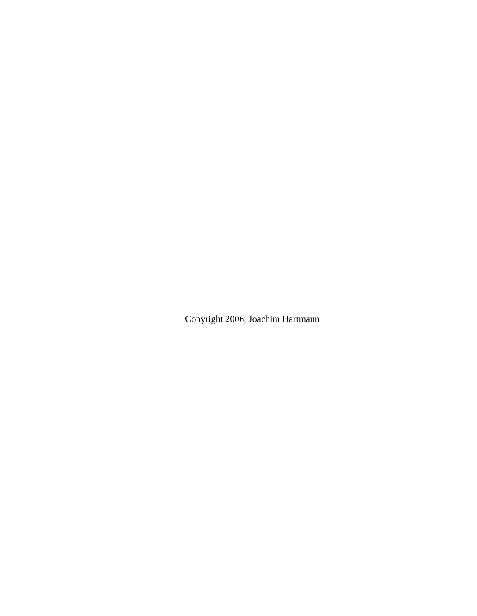Copyright 2006, Joachim Hartmann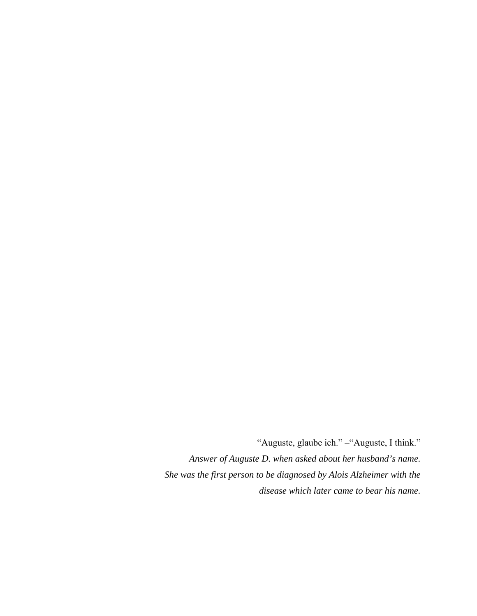"Auguste, glaube ich." –"Auguste, I think." *Answer of Auguste D. when asked about her husband's name. She was the first person to be diagnosed by Alois Alzheimer with the disease which later came to bear his name.*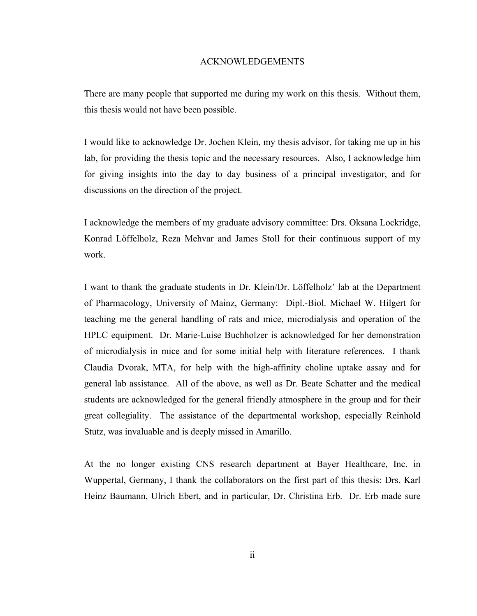#### ACKNOWLEDGEMENTS

There are many people that supported me during my work on this thesis. Without them, this thesis would not have been possible.

I would like to acknowledge Dr. Jochen Klein, my thesis advisor, for taking me up in his lab, for providing the thesis topic and the necessary resources. Also, I acknowledge him for giving insights into the day to day business of a principal investigator, and for discussions on the direction of the project.

I acknowledge the members of my graduate advisory committee: Drs. Oksana Lockridge, Konrad Löffelholz, Reza Mehvar and James Stoll for their continuous support of my work.

I want to thank the graduate students in Dr. Klein/Dr. Löffelholz' lab at the Department of Pharmacology, University of Mainz, Germany: Dipl.-Biol. Michael W. Hilgert for teaching me the general handling of rats and mice, microdialysis and operation of the HPLC equipment. Dr. Marie-Luise Buchholzer is acknowledged for her demonstration of microdialysis in mice and for some initial help with literature references. I thank Claudia Dvorak, MTA, for help with the high-affinity choline uptake assay and for general lab assistance. All of the above, as well as Dr. Beate Schatter and the medical students are acknowledged for the general friendly atmosphere in the group and for their great collegiality. The assistance of the departmental workshop, especially Reinhold Stutz, was invaluable and is deeply missed in Amarillo.

At the no longer existing CNS research department at Bayer Healthcare, Inc. in Wuppertal, Germany, I thank the collaborators on the first part of this thesis: Drs. Karl Heinz Baumann, Ulrich Ebert, and in particular, Dr. Christina Erb. Dr. Erb made sure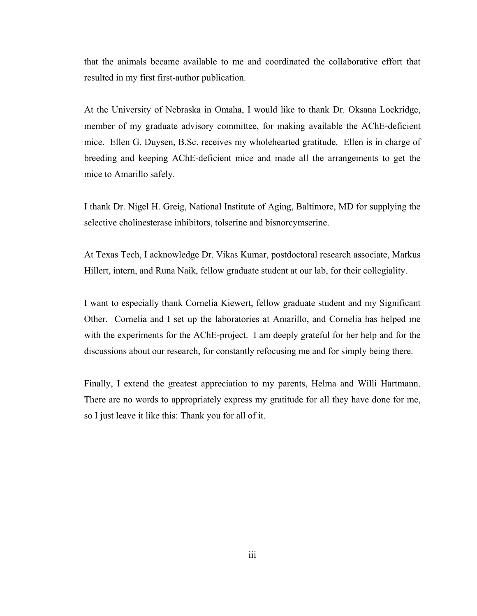that the animals became available to me and coordinated the collaborative effort that resulted in my first first-author publication.

At the University of Nebraska in Omaha, I would like to thank Dr. Oksana Lockridge, member of my graduate advisory committee, for making available the AChE-deficient mice. Ellen G. Duysen, B.Sc. receives my wholehearted gratitude. Ellen is in charge of breeding and keeping AChE-deficient mice and made all the arrangements to get the mice to Amarillo safely.

I thank Dr. Nigel H. Greig, National Institute of Aging, Baltimore, MD for supplying the selective cholinesterase inhibitors, tolserine and bisnorcymserine.

At Texas Tech, I acknowledge Dr. Vikas Kumar, postdoctoral research associate, Markus Hillert, intern, and Runa Naik, fellow graduate student at our lab, for their collegiality.

I want to especially thank Cornelia Kiewert, fellow graduate student and my Significant Other. Cornelia and I set up the laboratories at Amarillo, and Cornelia has helped me with the experiments for the AChE-project. I am deeply grateful for her help and for the discussions about our research, for constantly refocusing me and for simply being there.

Finally, I extend the greatest appreciation to my parents, Helma and Willi Hartmann. There are no words to appropriately express my gratitude for all they have done for me, so I just leave it like this: Thank you for all of it.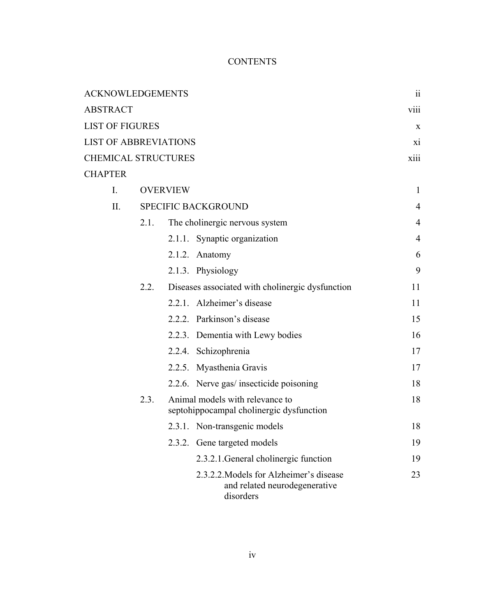# **CONTENTS**

| <b>ACKNOWLEDGEMENTS</b>      |                            |                                 |                                                                                       | $\rm ii$       |
|------------------------------|----------------------------|---------------------------------|---------------------------------------------------------------------------------------|----------------|
| <b>ABSTRACT</b>              |                            |                                 |                                                                                       | <b>V111</b>    |
| <b>LIST OF FIGURES</b>       |                            |                                 |                                                                                       | X              |
| <b>LIST OF ABBREVIATIONS</b> |                            |                                 |                                                                                       | X1             |
| <b>CHEMICAL STRUCTURES</b>   |                            |                                 |                                                                                       | xiii           |
| <b>CHAPTER</b>               |                            |                                 |                                                                                       |                |
| $I_{\cdot}$                  |                            | <b>OVERVIEW</b><br>$\mathbf{1}$ |                                                                                       |                |
| $\prod$                      | <b>SPECIFIC BACKGROUND</b> |                                 |                                                                                       | 4              |
|                              | 2.1.                       |                                 | The cholinergic nervous system                                                        | $\overline{4}$ |
|                              |                            |                                 | 2.1.1. Synaptic organization                                                          | $\overline{4}$ |
|                              |                            |                                 | $2.1.2.$ Anatomy                                                                      | 6              |
|                              |                            |                                 | 2.1.3. Physiology                                                                     | 9              |
|                              | 2.2.                       |                                 | Diseases associated with cholinergic dysfunction                                      | 11             |
|                              |                            |                                 | 2.2.1. Alzheimer's disease                                                            | 11             |
|                              |                            |                                 | 2.2.2. Parkinson's disease                                                            | 15             |
|                              |                            |                                 | 2.2.3. Dementia with Lewy bodies                                                      | 16             |
|                              |                            |                                 | 2.2.4. Schizophrenia                                                                  | 17             |
|                              |                            |                                 | 2.2.5. Myasthenia Gravis                                                              | 17             |
|                              |                            |                                 | 2.2.6. Nerve gas/ insecticide poisoning                                               | 18             |
|                              | 2.3.                       |                                 | Animal models with relevance to<br>septohippocampal cholinergic dysfunction           | 18             |
|                              |                            |                                 | 2.3.1. Non-transgenic models                                                          | 18             |
|                              |                            |                                 | 2.3.2. Gene targeted models                                                           | 19             |
|                              |                            |                                 | 2.3.2.1. General cholinergic function                                                 | 19             |
|                              |                            |                                 | 2.3.2.2. Models for Alzheimer's disease<br>and related neurodegenerative<br>disorders | 23             |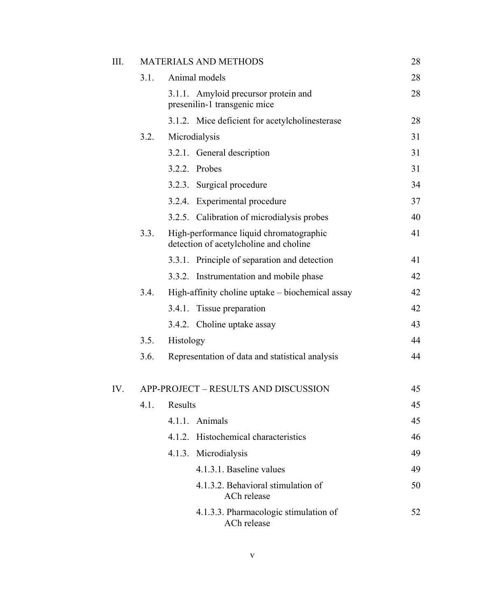| III. | <b>MATERIALS AND METHODS</b>         |                                                                                   |    |  |
|------|--------------------------------------|-----------------------------------------------------------------------------------|----|--|
|      | 3.1.                                 | Animal models                                                                     | 28 |  |
|      |                                      | 3.1.1. Amyloid precursor protein and<br>presenilin-1 transgenic mice              | 28 |  |
|      |                                      | 3.1.2. Mice deficient for acetylcholinesterase                                    | 28 |  |
|      | 3.2.                                 | Microdialysis                                                                     | 31 |  |
|      |                                      | 3.2.1. General description                                                        | 31 |  |
|      |                                      | 3.2.2. Probes                                                                     | 31 |  |
|      |                                      | 3.2.3. Surgical procedure                                                         | 34 |  |
|      |                                      | 3.2.4. Experimental procedure                                                     | 37 |  |
|      |                                      | 3.2.5. Calibration of microdialysis probes                                        | 40 |  |
|      | 3.3.                                 | High-performance liquid chromatographic<br>detection of acetylcholine and choline | 41 |  |
|      |                                      | 3.3.1. Principle of separation and detection                                      | 41 |  |
|      |                                      | 3.3.2. Instrumentation and mobile phase                                           | 42 |  |
|      | 3.4.                                 | High-affinity choline uptake – biochemical assay                                  | 42 |  |
|      |                                      | 3.4.1. Tissue preparation                                                         | 42 |  |
|      |                                      | 3.4.2. Choline uptake assay                                                       | 43 |  |
|      | 3.5.                                 | Histology                                                                         | 44 |  |
|      | 3.6.                                 | Representation of data and statistical analysis                                   | 44 |  |
| IV.  | APP-PROJECT - RESULTS AND DISCUSSION |                                                                                   |    |  |
|      |                                      | 4.1. Results                                                                      | 45 |  |
|      |                                      | 4.1.1. Animals                                                                    | 45 |  |
|      |                                      | 4.1.2. Histochemical characteristics                                              | 46 |  |
|      |                                      | 4.1.3. Microdialysis                                                              | 49 |  |
|      |                                      | 4.1.3.1. Baseline values                                                          | 49 |  |
|      |                                      | 4.1.3.2. Behavioral stimulation of<br>ACh release                                 | 50 |  |
|      |                                      | 4.1.3.3. Pharmacologic stimulation of<br>ACh release                              | 52 |  |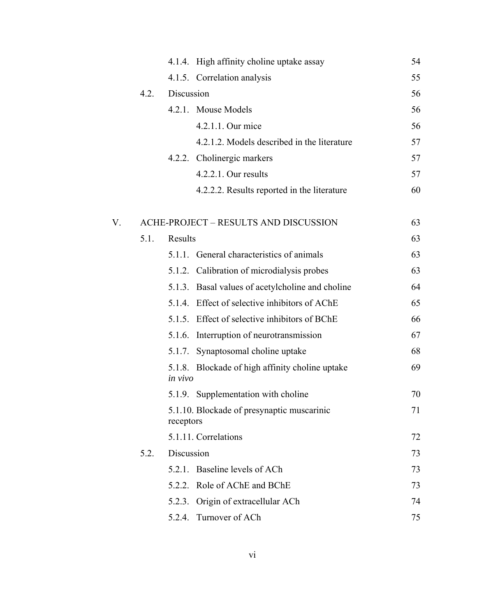|    |      |            | 4.1.4. High affinity choline uptake assay        | 54 |
|----|------|------------|--------------------------------------------------|----|
|    |      |            | 4.1.5. Correlation analysis                      | 55 |
|    | 4.2. | Discussion |                                                  | 56 |
|    |      |            | 4.2.1. Mouse Models                              | 56 |
|    |      |            | 4.2.1.1. Our mice                                | 56 |
|    |      |            | 4.2.1.2. Models described in the literature      | 57 |
|    |      |            | 4.2.2. Cholinergic markers                       | 57 |
|    |      |            | 4.2.2.1. Our results                             | 57 |
|    |      |            | 4.2.2.2. Results reported in the literature      | 60 |
| V. |      |            | ACHE-PROJECT - RESULTS AND DISCUSSION            | 63 |
|    | 5.1. | Results    |                                                  | 63 |
|    |      |            | 5.1.1. General characteristics of animals        | 63 |
|    |      |            | 5.1.2. Calibration of microdialysis probes       | 63 |
|    |      |            | 5.1.3. Basal values of acetylcholine and choline | 64 |
|    |      |            | 5.1.4. Effect of selective inhibitors of AChE    | 65 |
|    |      |            | 5.1.5. Effect of selective inhibitors of BChE    | 66 |
|    |      |            | 5.1.6. Interruption of neurotransmission         | 67 |
|    |      |            | 5.1.7. Synaptosomal choline uptake               | 68 |
|    |      | in vivo    | 5.1.8. Blockade of high affinity choline uptake  | 69 |
|    |      |            | 5.1.9. Supplementation with choline              | 70 |
|    |      | receptors  | 5.1.10. Blockade of presynaptic muscarinic       | 71 |
|    |      |            | 5.1.11. Correlations                             | 72 |
|    | 5.2. | Discussion |                                                  | 73 |
|    |      |            | 5.2.1. Baseline levels of ACh                    | 73 |
|    |      |            | 5.2.2. Role of AChE and BChE                     | 73 |
|    |      |            | 5.2.3. Origin of extracellular ACh               | 74 |
|    |      |            | 5.2.4. Turnover of ACh                           | 75 |
|    |      |            |                                                  |    |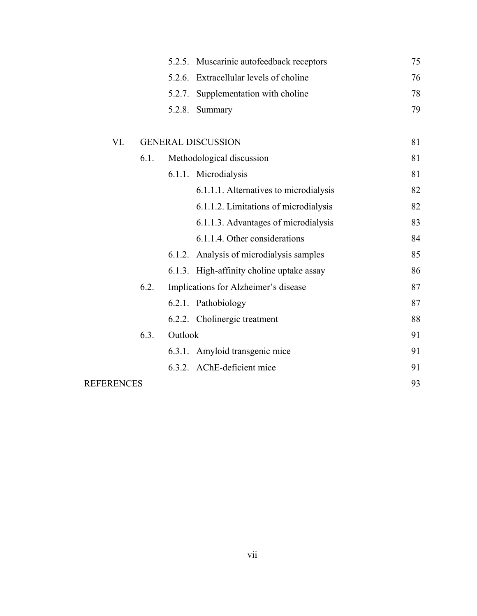|                   |      |         | 5.2.5. Muscarinic autofeedback receptors  | 75 |
|-------------------|------|---------|-------------------------------------------|----|
|                   |      | 5.2.6.  | Extracellular levels of choline           | 76 |
|                   |      | 5.2.7.  | Supplementation with choline              | 78 |
|                   |      | 5.2.8.  | Summary                                   | 79 |
|                   |      |         |                                           |    |
| VI.               |      |         | <b>GENERAL DISCUSSION</b>                 | 81 |
|                   | 6.1. |         | Methodological discussion                 | 81 |
|                   |      |         | 6.1.1. Microdialysis                      | 81 |
|                   |      |         | 6.1.1.1. Alternatives to microdialysis    | 82 |
|                   |      |         | 6.1.1.2. Limitations of microdialysis     | 82 |
|                   |      |         | 6.1.1.3. Advantages of microdialysis      | 83 |
|                   |      |         | 6.1.1.4. Other considerations             | 84 |
|                   |      |         | 6.1.2. Analysis of microdialysis samples  | 85 |
|                   |      |         | 6.1.3. High-affinity choline uptake assay | 86 |
|                   | 6.2. |         | Implications for Alzheimer's disease      | 87 |
|                   |      |         | 6.2.1. Pathobiology                       | 87 |
|                   |      |         | 6.2.2. Cholinergic treatment              | 88 |
|                   | 6.3. | Outlook |                                           | 91 |
|                   |      |         | 6.3.1. Amyloid transgenic mice            | 91 |
|                   |      |         | 6.3.2. AChE-deficient mice                | 91 |
| <b>REFERENCES</b> |      |         |                                           | 93 |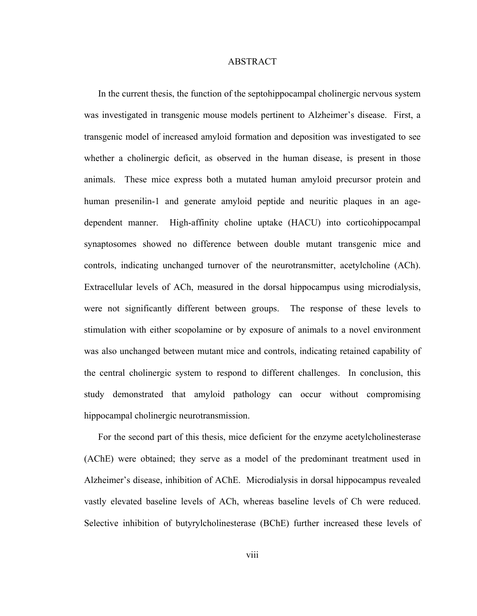#### ABSTRACT

In the current thesis, the function of the septohippocampal cholinergic nervous system was investigated in transgenic mouse models pertinent to Alzheimer's disease. First, a transgenic model of increased amyloid formation and deposition was investigated to see whether a cholinergic deficit, as observed in the human disease, is present in those animals. These mice express both a mutated human amyloid precursor protein and human presenilin-1 and generate amyloid peptide and neuritic plaques in an agedependent manner. High-affinity choline uptake (HACU) into corticohippocampal synaptosomes showed no difference between double mutant transgenic mice and controls, indicating unchanged turnover of the neurotransmitter, acetylcholine (ACh). Extracellular levels of ACh, measured in the dorsal hippocampus using microdialysis, were not significantly different between groups. The response of these levels to stimulation with either scopolamine or by exposure of animals to a novel environment was also unchanged between mutant mice and controls, indicating retained capability of the central cholinergic system to respond to different challenges. In conclusion, this study demonstrated that amyloid pathology can occur without compromising hippocampal cholinergic neurotransmission.

For the second part of this thesis, mice deficient for the enzyme acetylcholinesterase (AChE) were obtained; they serve as a model of the predominant treatment used in Alzheimer's disease, inhibition of AChE. Microdialysis in dorsal hippocampus revealed vastly elevated baseline levels of ACh, whereas baseline levels of Ch were reduced. Selective inhibition of butyrylcholinesterase (BChE) further increased these levels of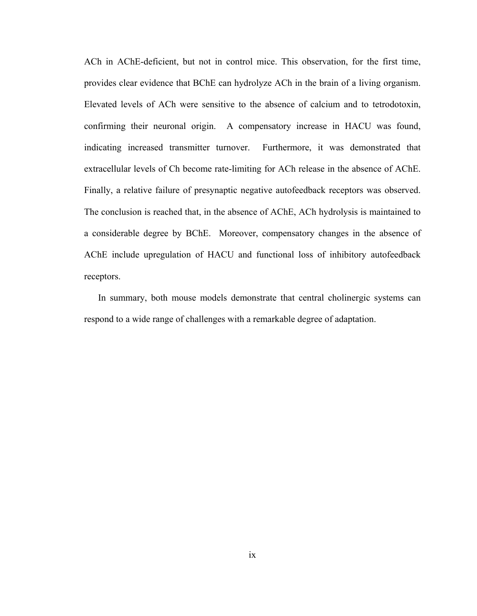ACh in AChE-deficient, but not in control mice. This observation, for the first time, provides clear evidence that BChE can hydrolyze ACh in the brain of a living organism. Elevated levels of ACh were sensitive to the absence of calcium and to tetrodotoxin, confirming their neuronal origin. A compensatory increase in HACU was found, indicating increased transmitter turnover. Furthermore, it was demonstrated that extracellular levels of Ch become rate-limiting for ACh release in the absence of AChE. Finally, a relative failure of presynaptic negative autofeedback receptors was observed. The conclusion is reached that, in the absence of AChE, ACh hydrolysis is maintained to a considerable degree by BChE. Moreover, compensatory changes in the absence of AChE include upregulation of HACU and functional loss of inhibitory autofeedback receptors.

In summary, both mouse models demonstrate that central cholinergic systems can respond to a wide range of challenges with a remarkable degree of adaptation.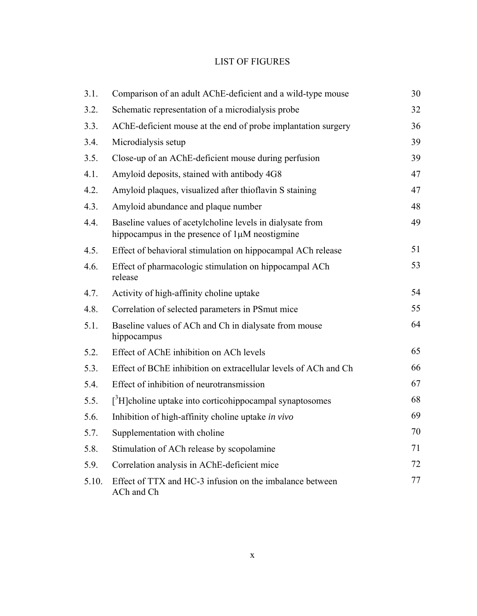# LIST OF FIGURES

| 3.1.  | Comparison of an adult AChE-deficient and a wild-type mouse                                                      | 30 |
|-------|------------------------------------------------------------------------------------------------------------------|----|
| 3.2.  | Schematic representation of a microdialysis probe                                                                | 32 |
| 3.3.  | AChE-deficient mouse at the end of probe implantation surgery                                                    | 36 |
| 3.4.  | Microdialysis setup                                                                                              | 39 |
| 3.5.  | Close-up of an AChE-deficient mouse during perfusion                                                             | 39 |
| 4.1.  | Amyloid deposits, stained with antibody 4G8                                                                      | 47 |
| 4.2.  | Amyloid plaques, visualized after thioflavin S staining                                                          | 47 |
| 4.3.  | Amyloid abundance and plaque number                                                                              | 48 |
| 4.4.  | Baseline values of acetylcholine levels in dialysate from<br>hippocampus in the presence of $1\mu$ M neostigmine | 49 |
| 4.5.  | Effect of behavioral stimulation on hippocampal ACh release                                                      | 51 |
| 4.6.  | Effect of pharmacologic stimulation on hippocampal ACh<br>release                                                | 53 |
| 4.7.  | Activity of high-affinity choline uptake                                                                         | 54 |
| 4.8.  | Correlation of selected parameters in PSmut mice                                                                 | 55 |
| 5.1.  | Baseline values of ACh and Ch in dialysate from mouse<br>hippocampus                                             | 64 |
| 5.2.  | Effect of AChE inhibition on ACh levels                                                                          | 65 |
| 5.3.  | Effect of BChE inhibition on extracellular levels of ACh and Ch                                                  | 66 |
| 5.4.  | Effect of inhibition of neurotransmission                                                                        | 67 |
| 5.5.  | $\int^3 H$ ]choline uptake into corticohippocampal synaptosomes                                                  | 68 |
| 5.6.  | Inhibition of high-affinity choline uptake in vivo                                                               | 69 |
| 5.7.  | Supplementation with choline                                                                                     | 70 |
| 5.8.  | Stimulation of ACh release by scopolamine                                                                        | 71 |
| 5.9.  | Correlation analysis in AChE-deficient mice                                                                      | 72 |
| 5.10. | Effect of TTX and HC-3 infusion on the imbalance between<br>ACh and Ch                                           | 77 |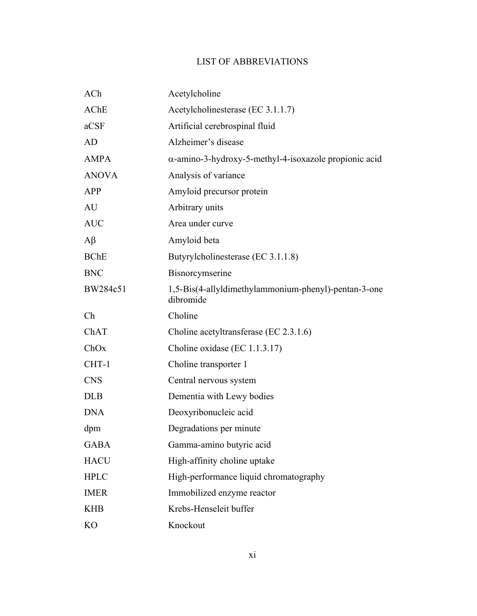# LIST OF ABBREVIATIONS

| ACh            | Acetylcholine                                                     |
|----------------|-------------------------------------------------------------------|
| <b>AChE</b>    | Acetylcholinesterase (EC 3.1.1.7)                                 |
| aCSF           | Artificial cerebrospinal fluid                                    |
| AD             | Alzheimer's disease                                               |
| <b>AMPA</b>    | $\alpha$ -amino-3-hydroxy-5-methyl-4-isoxazole propionic acid     |
| <b>ANOVA</b>   | Analysis of variance                                              |
| <b>APP</b>     | Amyloid precursor protein                                         |
| AU             | Arbitrary units                                                   |
| <b>AUC</b>     | Area under curve                                                  |
| $A\beta$       | Amyloid beta                                                      |
| <b>BChE</b>    | Butyrylcholinesterase (EC 3.1.1.8)                                |
| <b>BNC</b>     | Bisnorcymserine                                                   |
| BW284c51       | 1,5-Bis(4-allyldimethylammonium-phenyl)-pentan-3-one<br>dibromide |
| Ch             | Choline                                                           |
| ChAT           | Choline acetyltransferase (EC 2.3.1.6)                            |
| ChOx           | Choline oxidase (EC 1.1.3.17)                                     |
| CHT-1          | Choline transporter 1                                             |
| <b>CNS</b>     | Central nervous system                                            |
| <b>DLB</b>     | Dementia with Lewy bodies                                         |
| <b>DNA</b>     | Deoxyribonucleic acid                                             |
| dpm            | Degradations per minute                                           |
| <b>GABA</b>    | Gamma-amino butyric acid                                          |
| <b>HACU</b>    | High-affinity choline uptake                                      |
| <b>HPLC</b>    | High-performance liquid chromatography                            |
| <b>IMER</b>    | Immobilized enzyme reactor                                        |
| <b>KHB</b>     | Krebs-Henseleit buffer                                            |
| K <sub>O</sub> | Knockout                                                          |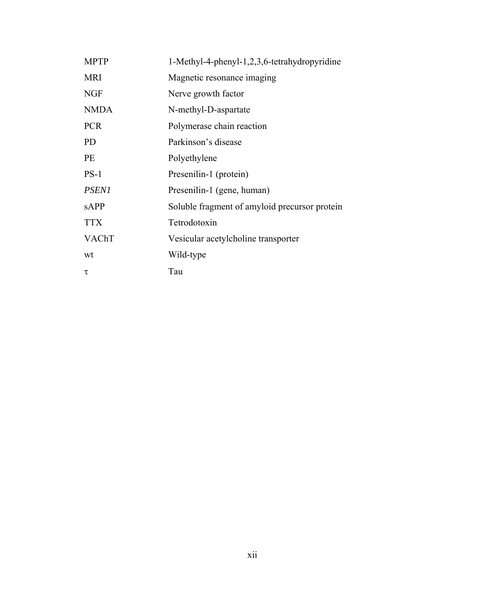| <b>MPTP</b>  | 1-Methyl-4-phenyl-1,2,3,6-tetrahydropyridine  |
|--------------|-----------------------------------------------|
| <b>MRI</b>   | Magnetic resonance imaging                    |
| <b>NGF</b>   | Nerve growth factor                           |
| <b>NMDA</b>  | N-methyl-D-aspartate                          |
| <b>PCR</b>   | Polymerase chain reaction                     |
| <b>PD</b>    | Parkinson's disease                           |
| <b>PE</b>    | Polyethylene                                  |
| $PS-1$       | Presenilin-1 (protein)                        |
| <b>PSEN1</b> | Presenilin-1 (gene, human)                    |
| sAPP         | Soluble fragment of amyloid precursor protein |
| <b>TTX</b>   | Tetrodotoxin                                  |
| VAChT        | Vesicular acetylcholine transporter           |
| wt           | Wild-type                                     |
| τ            | Tau                                           |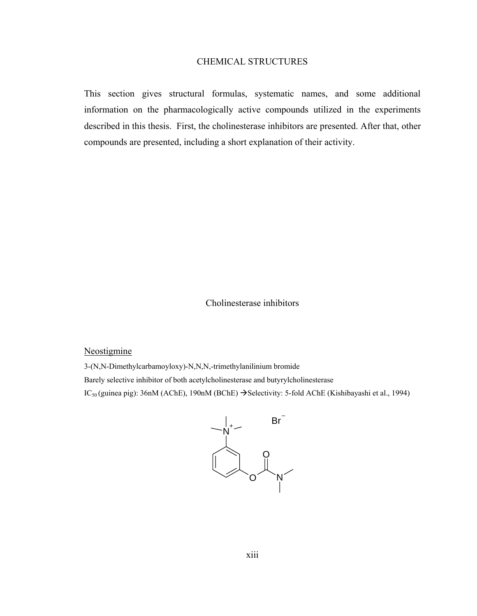### CHEMICAL STRUCTURES

This section gives structural formulas, systematic names, and some additional information on the pharmacologically active compounds utilized in the experiments described in this thesis. First, the cholinesterase inhibitors are presented. After that, other compounds are presented, including a short explanation of their activity.

### Cholinesterase inhibitors

#### Neostigmine

3-(N,N-Dimethylcarbamoyloxy)-N,N,N,-trimethylanilinium bromide

Barely selective inhibitor of both acetylcholinesterase and butyrylcholinesterase

IC<sub>50</sub> (guinea pig): 36nM (AChE), 190nM (BChE) → Selectivity: 5-fold AChE (Kishibayashi et al., 1994)

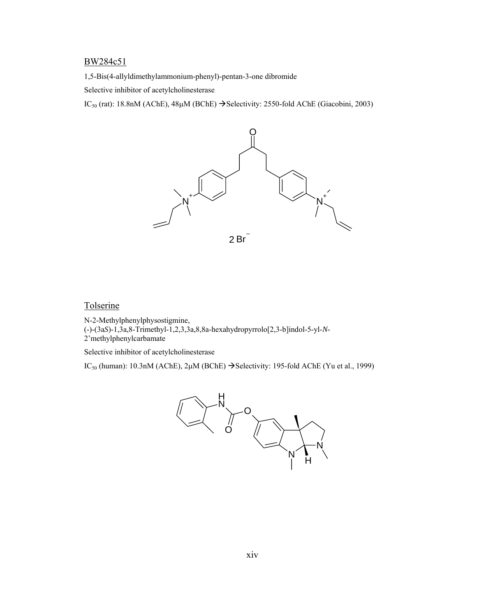#### BW284c51

1,5-Bis(4-allyldimethylammonium-phenyl)-pentan-3-one dibromide

Selective inhibitor of acetylcholinesterase

IC<sub>50</sub> (rat): 18.8nM (AChE),  $48\mu$ M (BChE)  $\rightarrow$  Selectivity: 2550-fold AChE (Giacobini, 2003)



### **Tolserine**

N-2-Methylphenylphysostigmine, (-)-(3a*S*)-1,3a,8-Trimethyl-1,2,3,3a,8,8a-hexahydropyrrolo[2,3-b]indol-5-yl-*N*-2'methylphenylcarbamate

Selective inhibitor of acetylcholinesterase

IC<sub>50</sub> (human): 10.3nM (AChE), 2 $\mu$ M (BChE)  $\rightarrow$  Selectivity: 195-fold AChE (Yu et al., 1999)

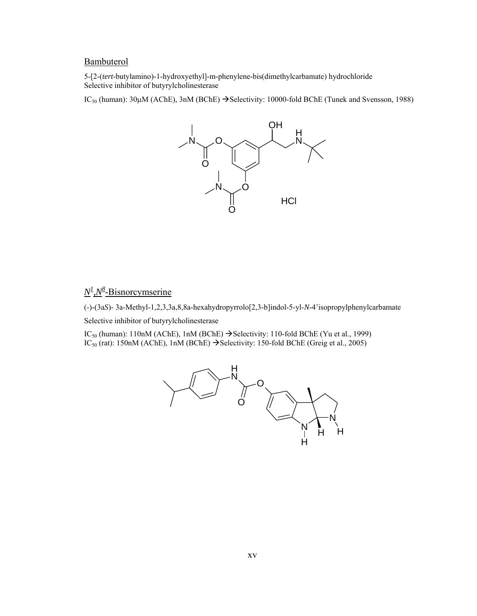### **Bambuterol**

5-[2-(*tert*-butylamino)-1-hydroxyethyl]-m-phenylene-bis(dimethylcarbamate) hydrochloride Selective inhibitor of butyrylcholinesterase

IC<sub>50</sub> (human):  $30\mu$ M (AChE),  $3n$ M (BChE)  $\rightarrow$  Selectivity: 10000-fold BChE (Tunek and Svensson, 1988)



### $N^{\underline{l}}$ ,  $N^{\underline{8}}$ -Bisnorcymserine

(-)-(3a*S*)- 3a-Methyl-1,2,3,3a,8,8a-hexahydropyrrolo[2,3-b]indol-5-yl-*N*-4'isopropylphenylcarbamate

Selective inhibitor of butyrylcholinesterase

IC<sub>50</sub> (human): 110nM (AChE), 1nM (BChE)  $\rightarrow$  Selectivity: 110-fold BChE (Yu et al., 1999) IC<sub>50</sub> (rat): 150nM (AChE), 1nM (BChE)  $\rightarrow$  Selectivity: 150-fold BChE (Greig et al., 2005)

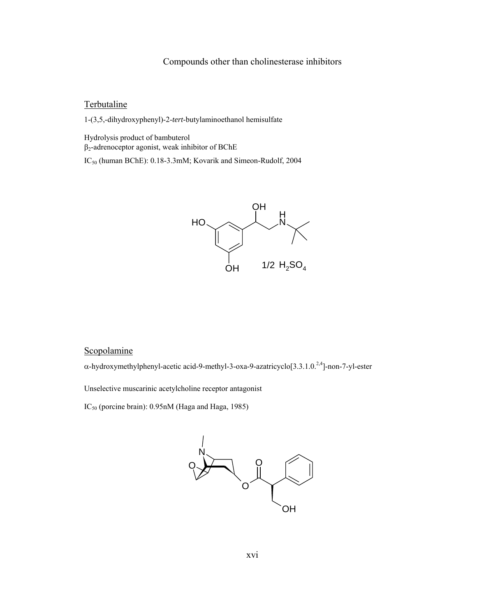### Compounds other than cholinesterase inhibitors

### **Terbutaline**

1-(3,5,-dihydroxyphenyl)-2-*tert*-butylaminoethanol hemisulfate

Hydrolysis product of bambuterol  $\beta_2$ -adrenoceptor agonist, weak inhibitor of BChE

IC<sub>50</sub> (human BChE): 0.18-3.3mM; Kovarik and Simeon-Rudolf, 2004



### Scopolamine

α-hydroxymethylphenyl-acetic acid-9-methyl-3-oxa-9-azatricyclo[3.3.1.0.2,4]-non-7-yl-ester

Unselective muscarinic acetylcholine receptor antagonist

IC50 (porcine brain): 0.95nM (Haga and Haga, 1985)

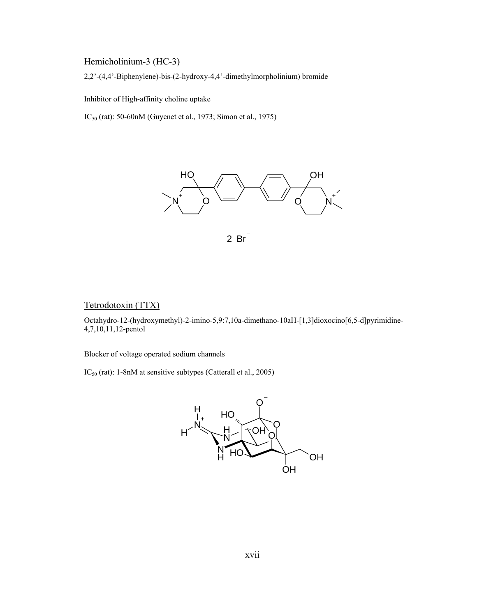# Hemicholinium-3 (HC-3)

2,2'-(4,4'-Biphenylene)-bis-(2-hydroxy-4,4'-dimethylmorpholinium) bromide

Inhibitor of High-affinity choline uptake

IC50 (rat): 50-60nM (Guyenet et al., 1973; Simon et al., 1975)





### Tetrodotoxin (TTX)

Octahydro-12-(hydroxymethyl)-2-imino-5,9:7,10a-dimethano-10aH-[1,3]dioxocino[6,5-d]pyrimidine-4,7,10,11,12-pentol

Blocker of voltage operated sodium channels

IC<sub>50</sub> (rat): 1-8nM at sensitive subtypes (Catterall et al., 2005)

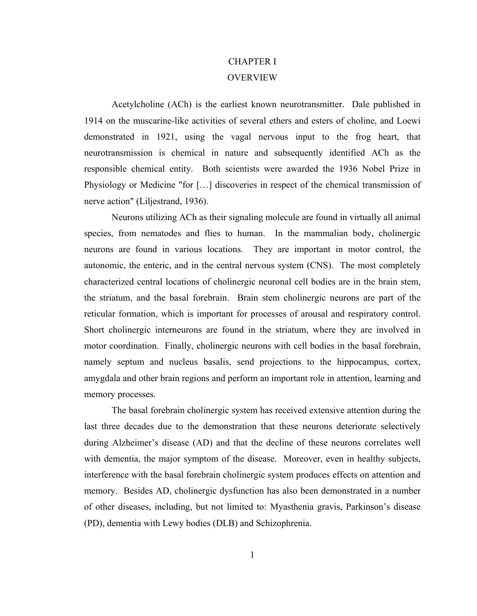# CHAPTER I **OVERVIEW**

Acetylcholine (ACh) is the earliest known neurotransmitter. Dale published in 1914 on the muscarine-like activities of several ethers and esters of choline, and Loewi demonstrated in 1921, using the vagal nervous input to the frog heart, that neurotransmission is chemical in nature and subsequently identified ACh as the responsible chemical entity. Both scientists were awarded the 1936 Nobel Prize in Physiology or Medicine "for […] discoveries in respect of the chemical transmission of nerve action" (Liljestrand, 1936).

Neurons utilizing ACh as their signaling molecule are found in virtually all animal species, from nematodes and flies to human. In the mammalian body, cholinergic neurons are found in various locations. They are important in motor control, the autonomic, the enteric, and in the central nervous system (CNS). The most completely characterized central locations of cholinergic neuronal cell bodies are in the brain stem, the striatum, and the basal forebrain. Brain stem cholinergic neurons are part of the reticular formation, which is important for processes of arousal and respiratory control. Short cholinergic interneurons are found in the striatum, where they are involved in motor coordination. Finally, cholinergic neurons with cell bodies in the basal forebrain, namely septum and nucleus basalis, send projections to the hippocampus, cortex, amygdala and other brain regions and perform an important role in attention, learning and memory processes.

The basal forebrain cholinergic system has received extensive attention during the last three decades due to the demonstration that these neurons deteriorate selectively during Alzheimer's disease (AD) and that the decline of these neurons correlates well with dementia, the major symptom of the disease. Moreover, even in healthy subjects, interference with the basal forebrain cholinergic system produces effects on attention and memory. Besides AD, cholinergic dysfunction has also been demonstrated in a number of other diseases, including, but not limited to: Myasthenia gravis, Parkinson's disease (PD), dementia with Lewy bodies (DLB) and Schizophrenia.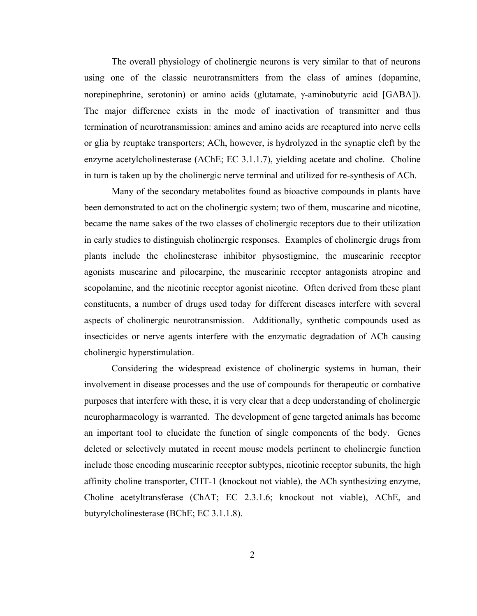The overall physiology of cholinergic neurons is very similar to that of neurons using one of the classic neurotransmitters from the class of amines (dopamine, norepinephrine, serotonin) or amino acids (glutamate, γ-aminobutyric acid [GABA]). The major difference exists in the mode of inactivation of transmitter and thus termination of neurotransmission: amines and amino acids are recaptured into nerve cells or glia by reuptake transporters; ACh, however, is hydrolyzed in the synaptic cleft by the enzyme acetylcholinesterase (AChE; EC 3.1.1.7), yielding acetate and choline. Choline in turn is taken up by the cholinergic nerve terminal and utilized for re-synthesis of ACh.

Many of the secondary metabolites found as bioactive compounds in plants have been demonstrated to act on the cholinergic system; two of them, muscarine and nicotine, became the name sakes of the two classes of cholinergic receptors due to their utilization in early studies to distinguish cholinergic responses. Examples of cholinergic drugs from plants include the cholinesterase inhibitor physostigmine, the muscarinic receptor agonists muscarine and pilocarpine, the muscarinic receptor antagonists atropine and scopolamine, and the nicotinic receptor agonist nicotine. Often derived from these plant constituents, a number of drugs used today for different diseases interfere with several aspects of cholinergic neurotransmission. Additionally, synthetic compounds used as insecticides or nerve agents interfere with the enzymatic degradation of ACh causing cholinergic hyperstimulation.

Considering the widespread existence of cholinergic systems in human, their involvement in disease processes and the use of compounds for therapeutic or combative purposes that interfere with these, it is very clear that a deep understanding of cholinergic neuropharmacology is warranted. The development of gene targeted animals has become an important tool to elucidate the function of single components of the body. Genes deleted or selectively mutated in recent mouse models pertinent to cholinergic function include those encoding muscarinic receptor subtypes, nicotinic receptor subunits, the high affinity choline transporter, CHT-1 (knockout not viable), the ACh synthesizing enzyme, Choline acetyltransferase (ChAT; EC 2.3.1.6; knockout not viable), AChE, and butyrylcholinesterase (BChE; EC 3.1.1.8).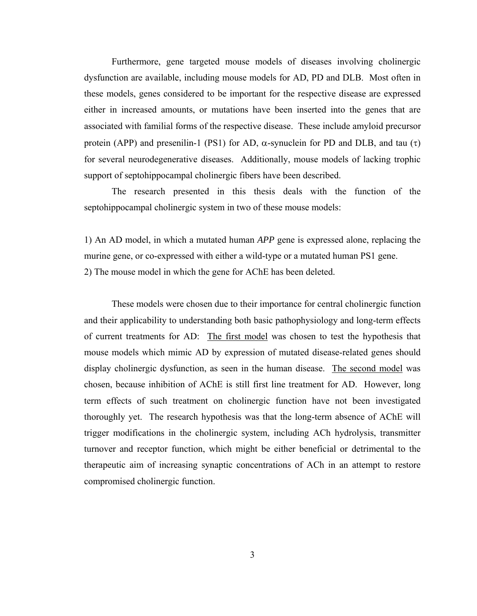Furthermore, gene targeted mouse models of diseases involving cholinergic dysfunction are available, including mouse models for AD, PD and DLB. Most often in these models, genes considered to be important for the respective disease are expressed either in increased amounts, or mutations have been inserted into the genes that are associated with familial forms of the respective disease. These include amyloid precursor protein (APP) and presenilin-1 (PS1) for AD,  $\alpha$ -synuclein for PD and DLB, and tau (τ) for several neurodegenerative diseases. Additionally, mouse models of lacking trophic support of septohippocampal cholinergic fibers have been described.

The research presented in this thesis deals with the function of the septohippocampal cholinergic system in two of these mouse models:

1) An AD model, in which a mutated human *APP* gene is expressed alone, replacing the murine gene, or co-expressed with either a wild-type or a mutated human PS1 gene. 2) The mouse model in which the gene for AChE has been deleted.

These models were chosen due to their importance for central cholinergic function and their applicability to understanding both basic pathophysiology and long-term effects of current treatments for AD: The first model was chosen to test the hypothesis that mouse models which mimic AD by expression of mutated disease-related genes should display cholinergic dysfunction, as seen in the human disease. The second model was chosen, because inhibition of AChE is still first line treatment for AD. However, long term effects of such treatment on cholinergic function have not been investigated thoroughly yet. The research hypothesis was that the long-term absence of AChE will trigger modifications in the cholinergic system, including ACh hydrolysis, transmitter turnover and receptor function, which might be either beneficial or detrimental to the therapeutic aim of increasing synaptic concentrations of ACh in an attempt to restore compromised cholinergic function.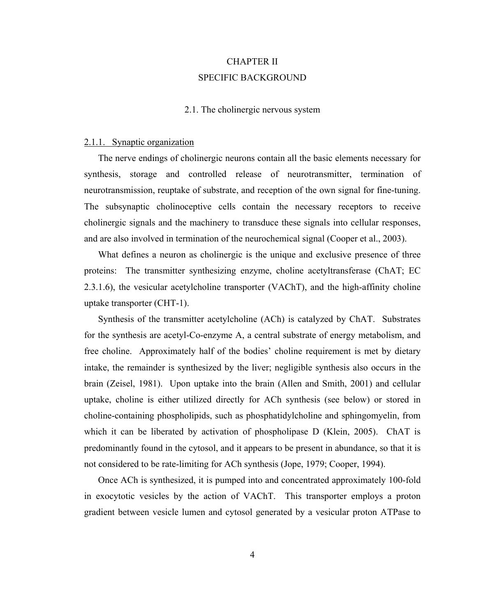# CHAPTER II SPECIFIC BACKGROUND

### 2.1. The cholinergic nervous system

#### 2.1.1. Synaptic organization

The nerve endings of cholinergic neurons contain all the basic elements necessary for synthesis, storage and controlled release of neurotransmitter, termination of neurotransmission, reuptake of substrate, and reception of the own signal for fine-tuning. The subsynaptic cholinoceptive cells contain the necessary receptors to receive cholinergic signals and the machinery to transduce these signals into cellular responses, and are also involved in termination of the neurochemical signal (Cooper et al., 2003).

What defines a neuron as cholinergic is the unique and exclusive presence of three proteins: The transmitter synthesizing enzyme, choline acetyltransferase (ChAT; EC 2.3.1.6), the vesicular acetylcholine transporter (VAChT), and the high-affinity choline uptake transporter (CHT-1).

Synthesis of the transmitter acetylcholine (ACh) is catalyzed by ChAT. Substrates for the synthesis are acetyl-Co-enzyme A, a central substrate of energy metabolism, and free choline. Approximately half of the bodies' choline requirement is met by dietary intake, the remainder is synthesized by the liver; negligible synthesis also occurs in the brain (Zeisel, 1981). Upon uptake into the brain (Allen and Smith, 2001) and cellular uptake, choline is either utilized directly for ACh synthesis (see below) or stored in choline-containing phospholipids, such as phosphatidylcholine and sphingomyelin, from which it can be liberated by activation of phospholipase D (Klein, 2005). ChAT is predominantly found in the cytosol, and it appears to be present in abundance, so that it is not considered to be rate-limiting for ACh synthesis (Jope, 1979; Cooper, 1994).

Once ACh is synthesized, it is pumped into and concentrated approximately 100-fold in exocytotic vesicles by the action of VAChT. This transporter employs a proton gradient between vesicle lumen and cytosol generated by a vesicular proton ATPase to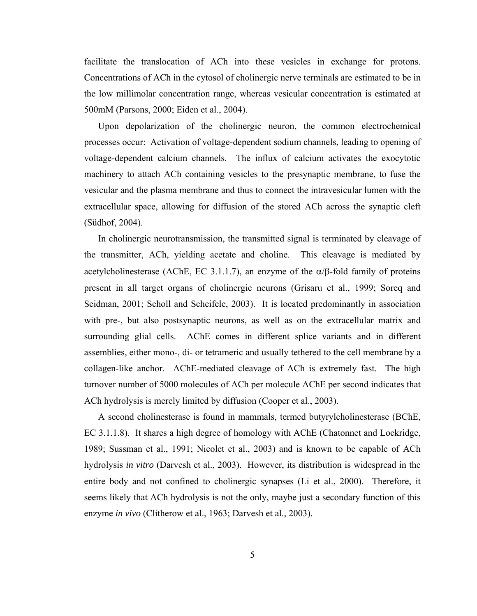facilitate the translocation of ACh into these vesicles in exchange for protons. Concentrations of ACh in the cytosol of cholinergic nerve terminals are estimated to be in the low millimolar concentration range, whereas vesicular concentration is estimated at 500mM (Parsons, 2000; Eiden et al., 2004).

Upon depolarization of the cholinergic neuron, the common electrochemical processes occur: Activation of voltage-dependent sodium channels, leading to opening of voltage-dependent calcium channels. The influx of calcium activates the exocytotic machinery to attach ACh containing vesicles to the presynaptic membrane, to fuse the vesicular and the plasma membrane and thus to connect the intravesicular lumen with the extracellular space, allowing for diffusion of the stored ACh across the synaptic cleft (Südhof, 2004).

In cholinergic neurotransmission, the transmitted signal is terminated by cleavage of the transmitter, ACh, yielding acetate and choline. This cleavage is mediated by acetylcholinesterase (AChE, EC 3.1.1.7), an enzyme of the  $\alpha/\beta$ -fold family of proteins present in all target organs of cholinergic neurons (Grisaru et al., 1999; Soreq and Seidman, 2001; Scholl and Scheifele, 2003). It is located predominantly in association with pre-, but also postsynaptic neurons, as well as on the extracellular matrix and surrounding glial cells. AChE comes in different splice variants and in different assemblies, either mono-, di- or tetrameric and usually tethered to the cell membrane by a collagen-like anchor. AChE-mediated cleavage of ACh is extremely fast. The high turnover number of 5000 molecules of ACh per molecule AChE per second indicates that ACh hydrolysis is merely limited by diffusion (Cooper et al., 2003).

A second cholinesterase is found in mammals, termed butyrylcholinesterase (BChE, EC 3.1.1.8). It shares a high degree of homology with AChE (Chatonnet and Lockridge, 1989; Sussman et al., 1991; Nicolet et al., 2003) and is known to be capable of ACh hydrolysis *in vitro* (Darvesh et al., 2003). However, its distribution is widespread in the entire body and not confined to cholinergic synapses (Li et al., 2000). Therefore, it seems likely that ACh hydrolysis is not the only, maybe just a secondary function of this enzyme *in vivo* (Clitherow et al., 1963; Darvesh et al., 2003).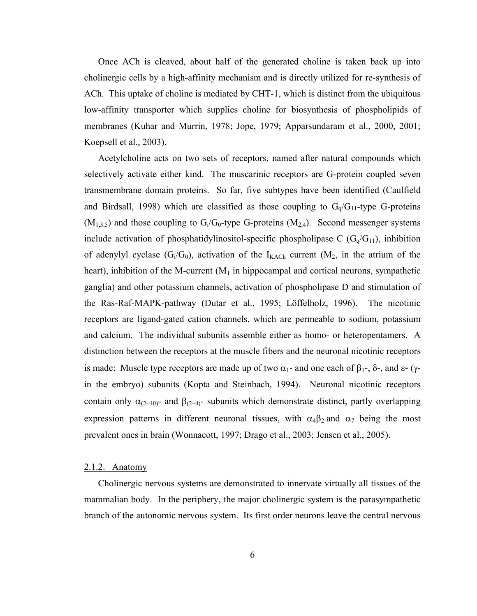Once ACh is cleaved, about half of the generated choline is taken back up into cholinergic cells by a high-affinity mechanism and is directly utilized for re-synthesis of ACh. This uptake of choline is mediated by CHT-1, which is distinct from the ubiquitous low-affinity transporter which supplies choline for biosynthesis of phospholipids of membranes (Kuhar and Murrin, 1978; Jope, 1979; Apparsundaram et al., 2000, 2001; Koepsell et al., 2003).

Acetylcholine acts on two sets of receptors, named after natural compounds which selectively activate either kind. The muscarinic receptors are G-protein coupled seven transmembrane domain proteins. So far, five subtypes have been identified (Caulfield and Birdsall, 1998) which are classified as those coupling to  $G_q/G_{11}$ -type G-proteins  $(M<sub>1,3,5</sub>)$  and those coupling to  $G<sub>i</sub>/G<sub>0</sub>$ -type G-proteins  $(M<sub>2,4</sub>)$ . Second messenger systems include activation of phosphatidylinositol-specific phospholipase C  $(G_q/G_{11})$ , inhibition of adenylyl cyclase  $(G_i/G_0)$ , activation of the  $I_{KACH}$  current  $(M_2,$  in the atrium of the heart), inhibition of the M-current  $(M_1$  in hippocampal and cortical neurons, sympathetic ganglia) and other potassium channels, activation of phospholipase D and stimulation of the Ras-Raf-MAPK-pathway (Dutar et al., 1995; Löffelholz, 1996). The nicotinic receptors are ligand-gated cation channels, which are permeable to sodium, potassium and calcium. The individual subunits assemble either as homo- or heteropentamers. A distinction between the receptors at the muscle fibers and the neuronal nicotinic receptors is made: Muscle type receptors are made up of two  $\alpha_1$ - and one each of β<sub>1</sub>-, δ-, and ε- (γin the embryo) subunits (Kopta and Steinbach, 1994). Neuronal nicotinic receptors contain only  $\alpha_{(2-10)}$ - and  $\beta_{(2-4)}$ - subunits which demonstrate distinct, partly overlapping expression patterns in different neuronal tissues, with  $\alpha_4\beta_2$  and  $\alpha_7$  being the most prevalent ones in brain (Wonnacott, 1997; Drago et al., 2003; Jensen et al., 2005).

### 2.1.2. Anatomy

Cholinergic nervous systems are demonstrated to innervate virtually all tissues of the mammalian body. In the periphery, the major cholinergic system is the parasympathetic branch of the autonomic nervous system. Its first order neurons leave the central nervous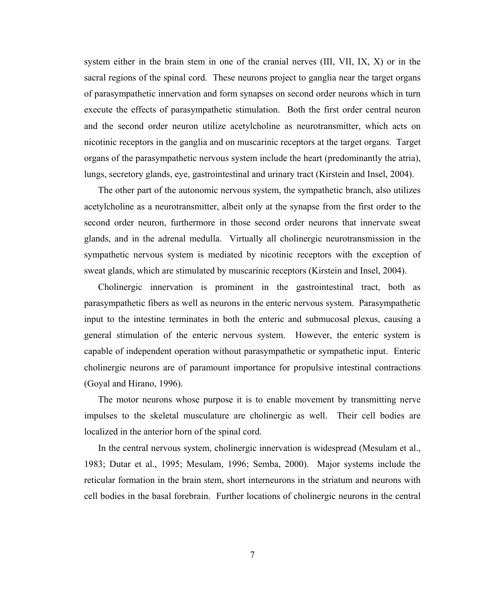system either in the brain stem in one of the cranial nerves (III, VII, IX, X) or in the sacral regions of the spinal cord. These neurons project to ganglia near the target organs of parasympathetic innervation and form synapses on second order neurons which in turn execute the effects of parasympathetic stimulation. Both the first order central neuron and the second order neuron utilize acetylcholine as neurotransmitter, which acts on nicotinic receptors in the ganglia and on muscarinic receptors at the target organs. Target organs of the parasympathetic nervous system include the heart (predominantly the atria), lungs, secretory glands, eye, gastrointestinal and urinary tract (Kirstein and Insel, 2004).

The other part of the autonomic nervous system, the sympathetic branch, also utilizes acetylcholine as a neurotransmitter, albeit only at the synapse from the first order to the second order neuron, furthermore in those second order neurons that innervate sweat glands, and in the adrenal medulla. Virtually all cholinergic neurotransmission in the sympathetic nervous system is mediated by nicotinic receptors with the exception of sweat glands, which are stimulated by muscarinic receptors (Kirstein and Insel, 2004).

Cholinergic innervation is prominent in the gastrointestinal tract, both as parasympathetic fibers as well as neurons in the enteric nervous system. Parasympathetic input to the intestine terminates in both the enteric and submucosal plexus, causing a general stimulation of the enteric nervous system. However, the enteric system is capable of independent operation without parasympathetic or sympathetic input. Enteric cholinergic neurons are of paramount importance for propulsive intestinal contractions (Goyal and Hirano, 1996).

The motor neurons whose purpose it is to enable movement by transmitting nerve impulses to the skeletal musculature are cholinergic as well. Their cell bodies are localized in the anterior horn of the spinal cord.

In the central nervous system, cholinergic innervation is widespread (Mesulam et al., 1983; Dutar et al., 1995; Mesulam, 1996; Semba, 2000). Major systems include the reticular formation in the brain stem, short interneurons in the striatum and neurons with cell bodies in the basal forebrain. Further locations of cholinergic neurons in the central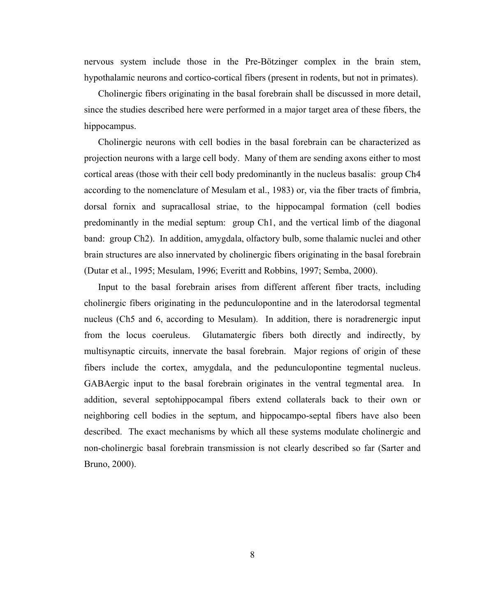nervous system include those in the Pre-Bötzinger complex in the brain stem, hypothalamic neurons and cortico-cortical fibers (present in rodents, but not in primates).

Cholinergic fibers originating in the basal forebrain shall be discussed in more detail, since the studies described here were performed in a major target area of these fibers, the hippocampus.

Cholinergic neurons with cell bodies in the basal forebrain can be characterized as projection neurons with a large cell body. Many of them are sending axons either to most cortical areas (those with their cell body predominantly in the nucleus basalis: group Ch4 according to the nomenclature of Mesulam et al., 1983) or, via the fiber tracts of fimbria, dorsal fornix and supracallosal striae, to the hippocampal formation (cell bodies predominantly in the medial septum: group Ch1, and the vertical limb of the diagonal band: group Ch2). In addition, amygdala, olfactory bulb, some thalamic nuclei and other brain structures are also innervated by cholinergic fibers originating in the basal forebrain (Dutar et al., 1995; Mesulam, 1996; Everitt and Robbins, 1997; Semba, 2000).

Input to the basal forebrain arises from different afferent fiber tracts, including cholinergic fibers originating in the pedunculopontine and in the laterodorsal tegmental nucleus (Ch5 and 6, according to Mesulam). In addition, there is noradrenergic input from the locus coeruleus. Glutamatergic fibers both directly and indirectly, by multisynaptic circuits, innervate the basal forebrain. Major regions of origin of these fibers include the cortex, amygdala, and the pedunculopontine tegmental nucleus. GABAergic input to the basal forebrain originates in the ventral tegmental area. In addition, several septohippocampal fibers extend collaterals back to their own or neighboring cell bodies in the septum, and hippocampo-septal fibers have also been described. The exact mechanisms by which all these systems modulate cholinergic and non-cholinergic basal forebrain transmission is not clearly described so far (Sarter and Bruno, 2000).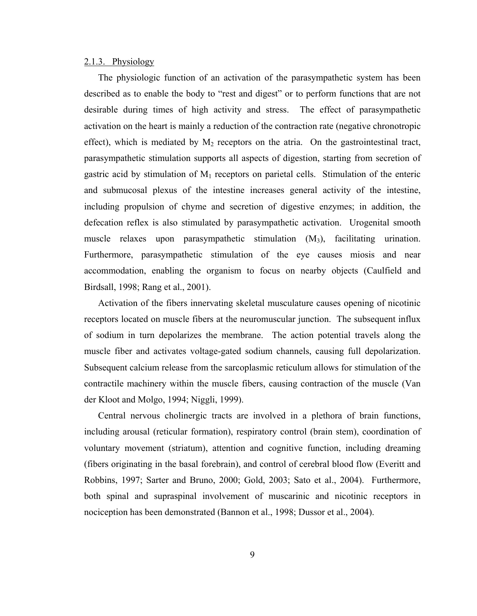### 2.1.3. Physiology

The physiologic function of an activation of the parasympathetic system has been described as to enable the body to "rest and digest" or to perform functions that are not desirable during times of high activity and stress. The effect of parasympathetic activation on the heart is mainly a reduction of the contraction rate (negative chronotropic effect), which is mediated by  $M_2$  receptors on the atria. On the gastrointestinal tract, parasympathetic stimulation supports all aspects of digestion, starting from secretion of gastric acid by stimulation of  $M_1$  receptors on parietal cells. Stimulation of the enteric and submucosal plexus of the intestine increases general activity of the intestine, including propulsion of chyme and secretion of digestive enzymes; in addition, the defecation reflex is also stimulated by parasympathetic activation. Urogenital smooth muscle relaxes upon parasympathetic stimulation  $(M_3)$ , facilitating urination. Furthermore, parasympathetic stimulation of the eye causes miosis and near accommodation, enabling the organism to focus on nearby objects (Caulfield and Birdsall, 1998; Rang et al., 2001).

Activation of the fibers innervating skeletal musculature causes opening of nicotinic receptors located on muscle fibers at the neuromuscular junction. The subsequent influx of sodium in turn depolarizes the membrane. The action potential travels along the muscle fiber and activates voltage-gated sodium channels, causing full depolarization. Subsequent calcium release from the sarcoplasmic reticulum allows for stimulation of the contractile machinery within the muscle fibers, causing contraction of the muscle (Van der Kloot and Molgo, 1994; Niggli, 1999).

Central nervous cholinergic tracts are involved in a plethora of brain functions, including arousal (reticular formation), respiratory control (brain stem), coordination of voluntary movement (striatum), attention and cognitive function, including dreaming (fibers originating in the basal forebrain), and control of cerebral blood flow (Everitt and Robbins, 1997; Sarter and Bruno, 2000; Gold, 2003; Sato et al., 2004). Furthermore, both spinal and supraspinal involvement of muscarinic and nicotinic receptors in nociception has been demonstrated (Bannon et al., 1998; Dussor et al., 2004).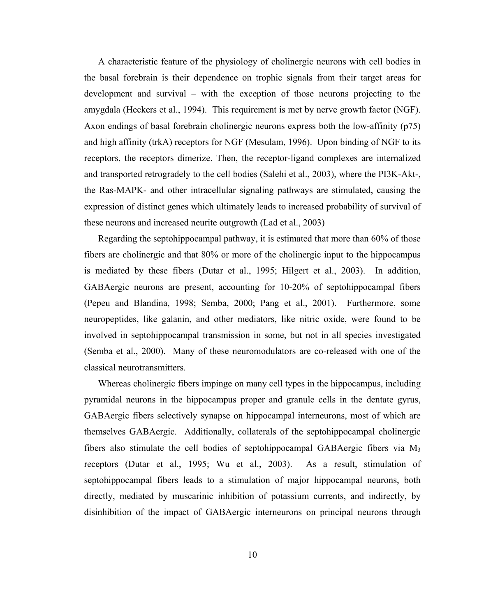A characteristic feature of the physiology of cholinergic neurons with cell bodies in the basal forebrain is their dependence on trophic signals from their target areas for development and survival – with the exception of those neurons projecting to the amygdala (Heckers et al., 1994). This requirement is met by nerve growth factor (NGF). Axon endings of basal forebrain cholinergic neurons express both the low-affinity (p75) and high affinity (trkA) receptors for NGF (Mesulam, 1996). Upon binding of NGF to its receptors, the receptors dimerize. Then, the receptor-ligand complexes are internalized and transported retrogradely to the cell bodies (Salehi et al., 2003), where the PI3K-Akt-, the Ras-MAPK- and other intracellular signaling pathways are stimulated, causing the expression of distinct genes which ultimately leads to increased probability of survival of these neurons and increased neurite outgrowth (Lad et al., 2003)

Regarding the septohippocampal pathway, it is estimated that more than 60% of those fibers are cholinergic and that 80% or more of the cholinergic input to the hippocampus is mediated by these fibers (Dutar et al., 1995; Hilgert et al., 2003). In addition, GABAergic neurons are present, accounting for 10-20% of septohippocampal fibers (Pepeu and Blandina, 1998; Semba, 2000; Pang et al., 2001). Furthermore, some neuropeptides, like galanin, and other mediators, like nitric oxide, were found to be involved in septohippocampal transmission in some, but not in all species investigated (Semba et al., 2000). Many of these neuromodulators are co-released with one of the classical neurotransmitters.

Whereas cholinergic fibers impinge on many cell types in the hippocampus, including pyramidal neurons in the hippocampus proper and granule cells in the dentate gyrus, GABAergic fibers selectively synapse on hippocampal interneurons, most of which are themselves GABAergic. Additionally, collaterals of the septohippocampal cholinergic fibers also stimulate the cell bodies of septohippocampal GABAergic fibers via  $M_3$ receptors (Dutar et al., 1995; Wu et al., 2003). As a result, stimulation of septohippocampal fibers leads to a stimulation of major hippocampal neurons, both directly, mediated by muscarinic inhibition of potassium currents, and indirectly, by disinhibition of the impact of GABAergic interneurons on principal neurons through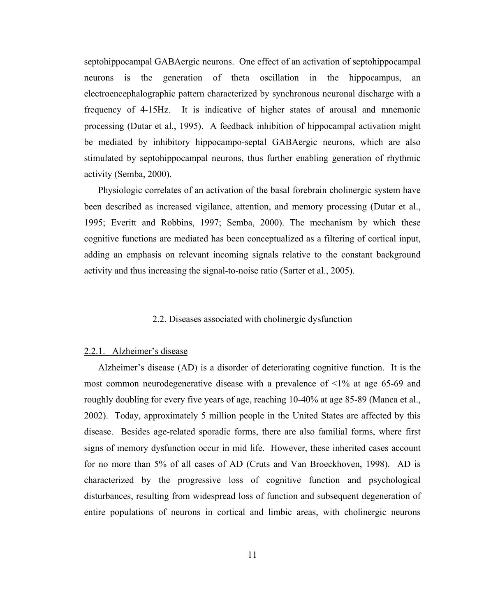septohippocampal GABAergic neurons. One effect of an activation of septohippocampal neurons is the generation of theta oscillation in the hippocampus, an electroencephalographic pattern characterized by synchronous neuronal discharge with a frequency of 4-15Hz. It is indicative of higher states of arousal and mnemonic processing (Dutar et al., 1995). A feedback inhibition of hippocampal activation might be mediated by inhibitory hippocampo-septal GABAergic neurons, which are also stimulated by septohippocampal neurons, thus further enabling generation of rhythmic activity (Semba, 2000).

Physiologic correlates of an activation of the basal forebrain cholinergic system have been described as increased vigilance, attention, and memory processing (Dutar et al., 1995; Everitt and Robbins, 1997; Semba, 2000). The mechanism by which these cognitive functions are mediated has been conceptualized as a filtering of cortical input, adding an emphasis on relevant incoming signals relative to the constant background activity and thus increasing the signal-to-noise ratio (Sarter et al., 2005).

### 2.2. Diseases associated with cholinergic dysfunction

### 2.2.1. Alzheimer's disease

Alzheimer's disease (AD) is a disorder of deteriorating cognitive function. It is the most common neurodegenerative disease with a prevalence of  $\leq 1\%$  at age 65-69 and roughly doubling for every five years of age, reaching 10-40% at age 85-89 (Manca et al., 2002). Today, approximately 5 million people in the United States are affected by this disease. Besides age-related sporadic forms, there are also familial forms, where first signs of memory dysfunction occur in mid life. However, these inherited cases account for no more than 5% of all cases of AD (Cruts and Van Broeckhoven, 1998). AD is characterized by the progressive loss of cognitive function and psychological disturbances, resulting from widespread loss of function and subsequent degeneration of entire populations of neurons in cortical and limbic areas, with cholinergic neurons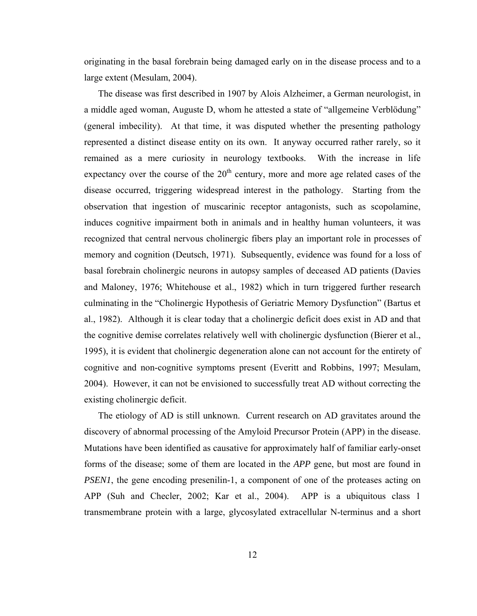originating in the basal forebrain being damaged early on in the disease process and to a large extent (Mesulam, 2004).

The disease was first described in 1907 by Alois Alzheimer, a German neurologist, in a middle aged woman, Auguste D, whom he attested a state of "allgemeine Verblödung" (general imbecility). At that time, it was disputed whether the presenting pathology represented a distinct disease entity on its own. It anyway occurred rather rarely, so it remained as a mere curiosity in neurology textbooks. With the increase in life expectancy over the course of the  $20<sup>th</sup>$  century, more and more age related cases of the disease occurred, triggering widespread interest in the pathology. Starting from the observation that ingestion of muscarinic receptor antagonists, such as scopolamine, induces cognitive impairment both in animals and in healthy human volunteers, it was recognized that central nervous cholinergic fibers play an important role in processes of memory and cognition (Deutsch, 1971). Subsequently, evidence was found for a loss of basal forebrain cholinergic neurons in autopsy samples of deceased AD patients (Davies and Maloney, 1976; Whitehouse et al., 1982) which in turn triggered further research culminating in the "Cholinergic Hypothesis of Geriatric Memory Dysfunction" (Bartus et al., 1982). Although it is clear today that a cholinergic deficit does exist in AD and that the cognitive demise correlates relatively well with cholinergic dysfunction (Bierer et al., 1995), it is evident that cholinergic degeneration alone can not account for the entirety of cognitive and non-cognitive symptoms present (Everitt and Robbins, 1997; Mesulam, 2004). However, it can not be envisioned to successfully treat AD without correcting the existing cholinergic deficit.

The etiology of AD is still unknown. Current research on AD gravitates around the discovery of abnormal processing of the Amyloid Precursor Protein (APP) in the disease. Mutations have been identified as causative for approximately half of familiar early-onset forms of the disease; some of them are located in the *APP* gene, but most are found in *PSEN1*, the gene encoding presenilin-1, a component of one of the proteases acting on APP (Suh and Checler, 2002; Kar et al., 2004). APP is a ubiquitous class 1 transmembrane protein with a large, glycosylated extracellular N-terminus and a short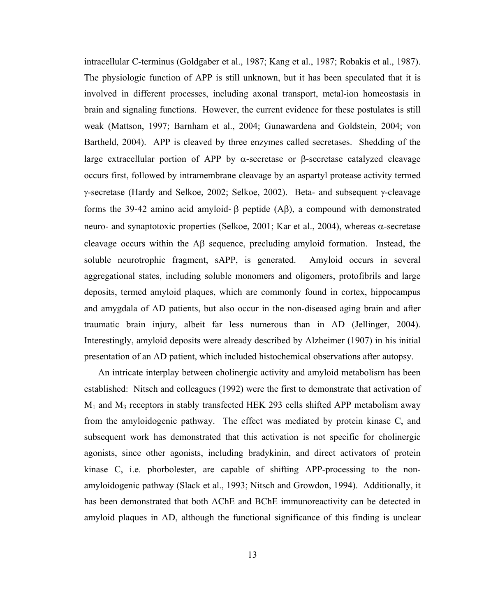intracellular C-terminus (Goldgaber et al., 1987; Kang et al., 1987; Robakis et al., 1987). The physiologic function of APP is still unknown, but it has been speculated that it is involved in different processes, including axonal transport, metal-ion homeostasis in brain and signaling functions. However, the current evidence for these postulates is still weak (Mattson, 1997; Barnham et al., 2004; Gunawardena and Goldstein, 2004; von Bartheld, 2004). APP is cleaved by three enzymes called secretases. Shedding of the large extracellular portion of APP by α-secretase or β-secretase catalyzed cleavage occurs first, followed by intramembrane cleavage by an aspartyl protease activity termed γ-secretase (Hardy and Selkoe, 2002; Selkoe, 2002). Beta- and subsequent γ-cleavage forms the 39-42 amino acid amyloid- β peptide (Aβ), a compound with demonstrated neuro- and synaptotoxic properties (Selkoe, 2001; Kar et al., 2004), whereas α-secretase cleavage occurs within the Αβ sequence, precluding amyloid formation. Instead, the soluble neurotrophic fragment, sAPP, is generated. Amyloid occurs in several aggregational states, including soluble monomers and oligomers, protofibrils and large deposits, termed amyloid plaques, which are commonly found in cortex, hippocampus and amygdala of AD patients, but also occur in the non-diseased aging brain and after traumatic brain injury, albeit far less numerous than in AD (Jellinger, 2004). Interestingly, amyloid deposits were already described by Alzheimer (1907) in his initial presentation of an AD patient, which included histochemical observations after autopsy.

An intricate interplay between cholinergic activity and amyloid metabolism has been established: Nitsch and colleagues (1992) were the first to demonstrate that activation of  $M_1$  and  $M_3$  receptors in stably transfected HEK 293 cells shifted APP metabolism away from the amyloidogenic pathway. The effect was mediated by protein kinase C, and subsequent work has demonstrated that this activation is not specific for cholinergic agonists, since other agonists, including bradykinin, and direct activators of protein kinase C, i.e. phorbolester, are capable of shifting APP-processing to the nonamyloidogenic pathway (Slack et al., 1993; Nitsch and Growdon, 1994). Additionally, it has been demonstrated that both AChE and BChE immunoreactivity can be detected in amyloid plaques in AD, although the functional significance of this finding is unclear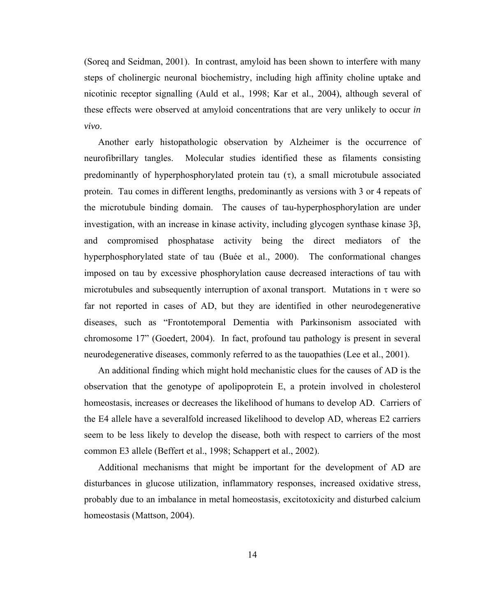(Soreq and Seidman, 2001). In contrast, amyloid has been shown to interfere with many steps of cholinergic neuronal biochemistry, including high affinity choline uptake and nicotinic receptor signalling (Auld et al., 1998; Kar et al., 2004), although several of these effects were observed at amyloid concentrations that are very unlikely to occur *in vivo*.

Another early histopathologic observation by Alzheimer is the occurrence of neurofibrillary tangles. Molecular studies identified these as filaments consisting predominantly of hyperphosphorylated protein tau  $(\tau)$ , a small microtubule associated protein. Tau comes in different lengths, predominantly as versions with 3 or 4 repeats of the microtubule binding domain. The causes of tau-hyperphosphorylation are under investigation, with an increase in kinase activity, including glycogen synthase kinase 3β, and compromised phosphatase activity being the direct mediators of the hyperphosphorylated state of tau (Buée et al., 2000). The conformational changes imposed on tau by excessive phosphorylation cause decreased interactions of tau with microtubules and subsequently interruption of axonal transport. Mutations in  $\tau$  were so far not reported in cases of AD, but they are identified in other neurodegenerative diseases, such as "Frontotemporal Dementia with Parkinsonism associated with chromosome 17" (Goedert, 2004). In fact, profound tau pathology is present in several neurodegenerative diseases, commonly referred to as the tauopathies (Lee et al., 2001).

An additional finding which might hold mechanistic clues for the causes of AD is the observation that the genotype of apolipoprotein E, a protein involved in cholesterol homeostasis, increases or decreases the likelihood of humans to develop AD. Carriers of the E4 allele have a severalfold increased likelihood to develop AD, whereas E2 carriers seem to be less likely to develop the disease, both with respect to carriers of the most common E3 allele (Beffert et al., 1998; Schappert et al., 2002).

Additional mechanisms that might be important for the development of AD are disturbances in glucose utilization, inflammatory responses, increased oxidative stress, probably due to an imbalance in metal homeostasis, excitotoxicity and disturbed calcium homeostasis (Mattson, 2004).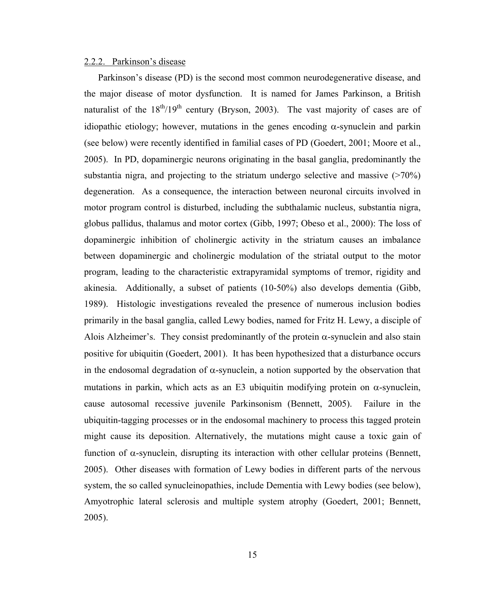### 2.2.2. Parkinson's disease

Parkinson's disease (PD) is the second most common neurodegenerative disease, and the major disease of motor dysfunction. It is named for James Parkinson, a British naturalist of the  $18^{th}/19^{th}$  century (Bryson, 2003). The vast majority of cases are of idiopathic etiology; however, mutations in the genes encoding  $\alpha$ -synuclein and parkin (see below) were recently identified in familial cases of PD (Goedert, 2001; Moore et al., 2005). In PD, dopaminergic neurons originating in the basal ganglia, predominantly the substantia nigra, and projecting to the striatum undergo selective and massive  $(270\%)$ degeneration. As a consequence, the interaction between neuronal circuits involved in motor program control is disturbed, including the subthalamic nucleus, substantia nigra, globus pallidus, thalamus and motor cortex (Gibb, 1997; Obeso et al., 2000): The loss of dopaminergic inhibition of cholinergic activity in the striatum causes an imbalance between dopaminergic and cholinergic modulation of the striatal output to the motor program, leading to the characteristic extrapyramidal symptoms of tremor, rigidity and akinesia. Additionally, a subset of patients (10-50%) also develops dementia (Gibb, 1989). Histologic investigations revealed the presence of numerous inclusion bodies primarily in the basal ganglia, called Lewy bodies, named for Fritz H. Lewy, a disciple of Alois Alzheimer's. They consist predominantly of the protein  $\alpha$ -synuclein and also stain positive for ubiquitin (Goedert, 2001). It has been hypothesized that a disturbance occurs in the endosomal degradation of  $\alpha$ -synuclein, a notion supported by the observation that mutations in parkin, which acts as an E3 ubiquitin modifying protein on  $\alpha$ -synuclein, cause autosomal recessive juvenile Parkinsonism (Bennett, 2005). Failure in the ubiquitin-tagging processes or in the endosomal machinery to process this tagged protein might cause its deposition. Alternatively, the mutations might cause a toxic gain of function of α-synuclein, disrupting its interaction with other cellular proteins (Bennett, 2005). Other diseases with formation of Lewy bodies in different parts of the nervous system, the so called synucleinopathies, include Dementia with Lewy bodies (see below), Amyotrophic lateral sclerosis and multiple system atrophy (Goedert, 2001; Bennett, 2005).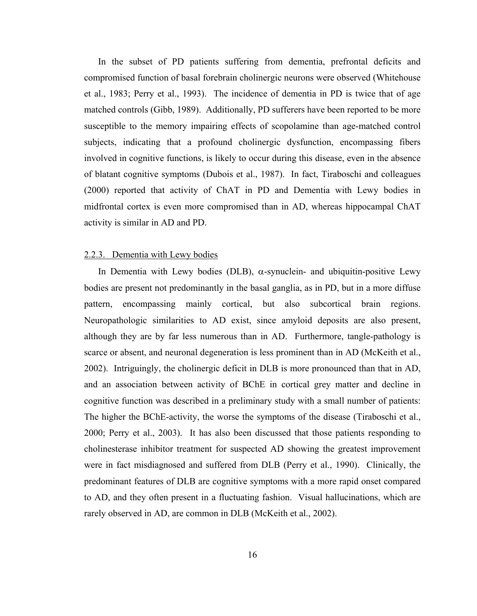In the subset of PD patients suffering from dementia, prefrontal deficits and compromised function of basal forebrain cholinergic neurons were observed (Whitehouse et al., 1983; Perry et al., 1993). The incidence of dementia in PD is twice that of age matched controls (Gibb, 1989). Additionally, PD sufferers have been reported to be more susceptible to the memory impairing effects of scopolamine than age-matched control subjects, indicating that a profound cholinergic dysfunction, encompassing fibers involved in cognitive functions, is likely to occur during this disease, even in the absence of blatant cognitive symptoms (Dubois et al., 1987). In fact, Tiraboschi and colleagues (2000) reported that activity of ChAT in PD and Dementia with Lewy bodies in midfrontal cortex is even more compromised than in AD, whereas hippocampal ChAT activity is similar in AD and PD.

### 2.2.3. Dementia with Lewy bodies

In Dementia with Lewy bodies (DLB),  $\alpha$ -synuclein- and ubiquitin-positive Lewy bodies are present not predominantly in the basal ganglia, as in PD, but in a more diffuse pattern, encompassing mainly cortical, but also subcortical brain regions. Neuropathologic similarities to AD exist, since amyloid deposits are also present, although they are by far less numerous than in AD. Furthermore, tangle-pathology is scarce or absent, and neuronal degeneration is less prominent than in AD (McKeith et al., 2002). Intriguingly, the cholinergic deficit in DLB is more pronounced than that in AD, and an association between activity of BChE in cortical grey matter and decline in cognitive function was described in a preliminary study with a small number of patients: The higher the BChE-activity, the worse the symptoms of the disease (Tiraboschi et al., 2000; Perry et al., 2003). It has also been discussed that those patients responding to cholinesterase inhibitor treatment for suspected AD showing the greatest improvement were in fact misdiagnosed and suffered from DLB (Perry et al., 1990). Clinically, the predominant features of DLB are cognitive symptoms with a more rapid onset compared to AD, and they often present in a fluctuating fashion. Visual hallucinations, which are rarely observed in AD, are common in DLB (McKeith et al., 2002).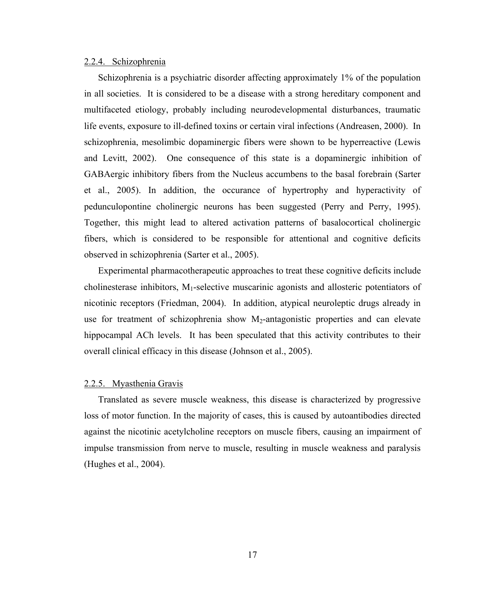### 2.2.4. Schizophrenia

Schizophrenia is a psychiatric disorder affecting approximately 1% of the population in all societies. It is considered to be a disease with a strong hereditary component and multifaceted etiology, probably including neurodevelopmental disturbances, traumatic life events, exposure to ill-defined toxins or certain viral infections (Andreasen, 2000). In schizophrenia, mesolimbic dopaminergic fibers were shown to be hyperreactive (Lewis and Levitt, 2002). One consequence of this state is a dopaminergic inhibition of GABAergic inhibitory fibers from the Nucleus accumbens to the basal forebrain (Sarter et al., 2005). In addition, the occurance of hypertrophy and hyperactivity of pedunculopontine cholinergic neurons has been suggested (Perry and Perry, 1995). Together, this might lead to altered activation patterns of basalocortical cholinergic fibers, which is considered to be responsible for attentional and cognitive deficits observed in schizophrenia (Sarter et al., 2005).

Experimental pharmacotherapeutic approaches to treat these cognitive deficits include cholinesterase inhibitors,  $M_1$ -selective muscarinic agonists and allosteric potentiators of nicotinic receptors (Friedman, 2004). In addition, atypical neuroleptic drugs already in use for treatment of schizophrenia show  $M_2$ -antagonistic properties and can elevate hippocampal ACh levels. It has been speculated that this activity contributes to their overall clinical efficacy in this disease (Johnson et al., 2005).

#### 2.2.5. Myasthenia Gravis

Translated as severe muscle weakness, this disease is characterized by progressive loss of motor function. In the majority of cases, this is caused by autoantibodies directed against the nicotinic acetylcholine receptors on muscle fibers, causing an impairment of impulse transmission from nerve to muscle, resulting in muscle weakness and paralysis (Hughes et al., 2004).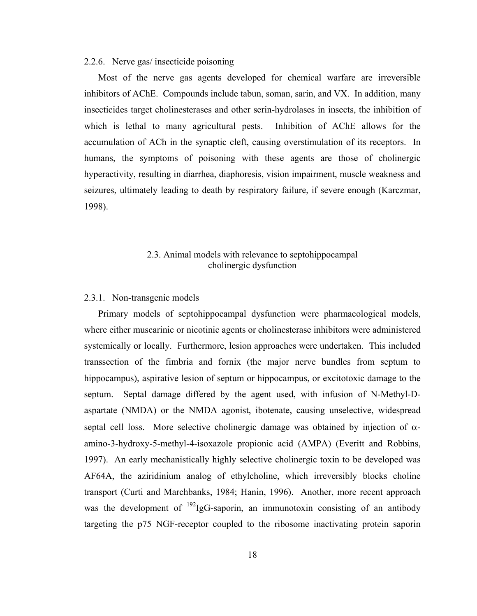## 2.2.6. Nerve gas/ insecticide poisoning

Most of the nerve gas agents developed for chemical warfare are irreversible inhibitors of AChE. Compounds include tabun, soman, sarin, and VX. In addition, many insecticides target cholinesterases and other serin-hydrolases in insects, the inhibition of which is lethal to many agricultural pests. Inhibition of AChE allows for the accumulation of ACh in the synaptic cleft, causing overstimulation of its receptors. In humans, the symptoms of poisoning with these agents are those of cholinergic hyperactivity, resulting in diarrhea, diaphoresis, vision impairment, muscle weakness and seizures, ultimately leading to death by respiratory failure, if severe enough (Karczmar, 1998).

## 2.3. Animal models with relevance to septohippocampal cholinergic dysfunction

#### 2.3.1. Non-transgenic models

Primary models of septohippocampal dysfunction were pharmacological models, where either muscarinic or nicotinic agents or cholinesterase inhibitors were administered systemically or locally. Furthermore, lesion approaches were undertaken. This included transsection of the fimbria and fornix (the major nerve bundles from septum to hippocampus), aspirative lesion of septum or hippocampus, or excitotoxic damage to the septum. Septal damage differed by the agent used, with infusion of N-Methyl-Daspartate (NMDA) or the NMDA agonist, ibotenate, causing unselective, widespread septal cell loss. More selective cholinergic damage was obtained by injection of  $\alpha$ amino-3-hydroxy-5-methyl-4-isoxazole propionic acid (AMPA) (Everitt and Robbins, 1997). An early mechanistically highly selective cholinergic toxin to be developed was AF64A, the aziridinium analog of ethylcholine, which irreversibly blocks choline transport (Curti and Marchbanks, 1984; Hanin, 1996). Another, more recent approach was the development of  $^{192}$ IgG-saporin, an immunotoxin consisting of an antibody targeting the p75 NGF-receptor coupled to the ribosome inactivating protein saporin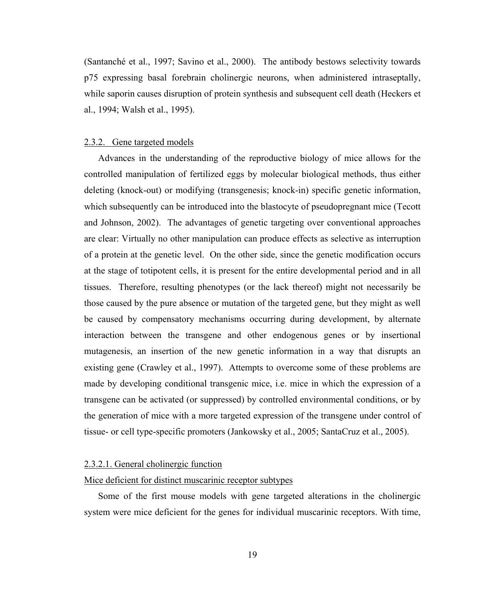(Santanché et al., 1997; Savino et al., 2000). The antibody bestows selectivity towards p75 expressing basal forebrain cholinergic neurons, when administered intraseptally, while saporin causes disruption of protein synthesis and subsequent cell death (Heckers et al., 1994; Walsh et al., 1995).

#### 2.3.2. Gene targeted models

Advances in the understanding of the reproductive biology of mice allows for the controlled manipulation of fertilized eggs by molecular biological methods, thus either deleting (knock-out) or modifying (transgenesis; knock-in) specific genetic information, which subsequently can be introduced into the blastocyte of pseudopregnant mice (Tecott and Johnson, 2002). The advantages of genetic targeting over conventional approaches are clear: Virtually no other manipulation can produce effects as selective as interruption of a protein at the genetic level. On the other side, since the genetic modification occurs at the stage of totipotent cells, it is present for the entire developmental period and in all tissues. Therefore, resulting phenotypes (or the lack thereof) might not necessarily be those caused by the pure absence or mutation of the targeted gene, but they might as well be caused by compensatory mechanisms occurring during development, by alternate interaction between the transgene and other endogenous genes or by insertional mutagenesis, an insertion of the new genetic information in a way that disrupts an existing gene (Crawley et al., 1997). Attempts to overcome some of these problems are made by developing conditional transgenic mice, i.e. mice in which the expression of a transgene can be activated (or suppressed) by controlled environmental conditions, or by the generation of mice with a more targeted expression of the transgene under control of tissue- or cell type-specific promoters (Jankowsky et al., 2005; SantaCruz et al., 2005).

#### 2.3.2.1. General cholinergic function

#### Mice deficient for distinct muscarinic receptor subtypes

Some of the first mouse models with gene targeted alterations in the cholinergic system were mice deficient for the genes for individual muscarinic receptors. With time,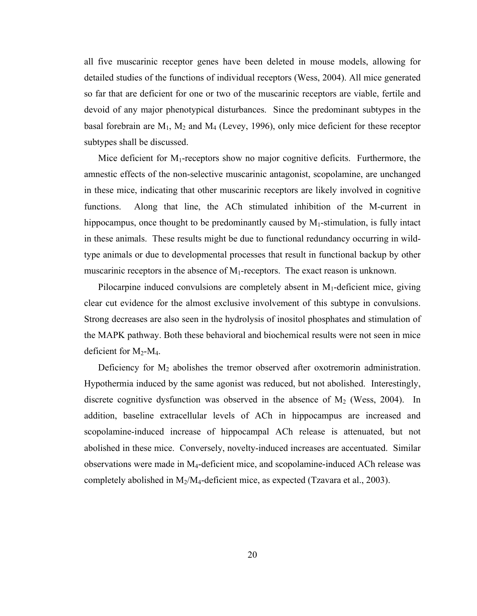all five muscarinic receptor genes have been deleted in mouse models, allowing for detailed studies of the functions of individual receptors (Wess, 2004). All mice generated so far that are deficient for one or two of the muscarinic receptors are viable, fertile and devoid of any major phenotypical disturbances. Since the predominant subtypes in the basal forebrain are  $M_1$ ,  $M_2$  and  $M_4$  (Levey, 1996), only mice deficient for these receptor subtypes shall be discussed.

Mice deficient for  $M_1$ -receptors show no major cognitive deficits. Furthermore, the amnestic effects of the non-selective muscarinic antagonist, scopolamine, are unchanged in these mice, indicating that other muscarinic receptors are likely involved in cognitive functions. Along that line, the ACh stimulated inhibition of the M-current in hippocampus, once thought to be predominantly caused by  $M_1$ -stimulation, is fully intact in these animals. These results might be due to functional redundancy occurring in wildtype animals or due to developmental processes that result in functional backup by other muscarinic receptors in the absence of  $M_1$ -receptors. The exact reason is unknown.

Pilocarpine induced convulsions are completely absent in  $M_1$ -deficient mice, giving clear cut evidence for the almost exclusive involvement of this subtype in convulsions. Strong decreases are also seen in the hydrolysis of inositol phosphates and stimulation of the MAPK pathway. Both these behavioral and biochemical results were not seen in mice deficient for  $M_2$ - $M_4$ .

Deficiency for  $M_2$  abolishes the tremor observed after oxotremorin administration. Hypothermia induced by the same agonist was reduced, but not abolished. Interestingly, discrete cognitive dysfunction was observed in the absence of  $M_2$  (Wess, 2004). In addition, baseline extracellular levels of ACh in hippocampus are increased and scopolamine-induced increase of hippocampal ACh release is attenuated, but not abolished in these mice. Conversely, novelty-induced increases are accentuated. Similar observations were made in  $M_4$ -deficient mice, and scopolamine-induced ACh release was completely abolished in  $M_2/M_4$ -deficient mice, as expected (Tzavara et al., 2003).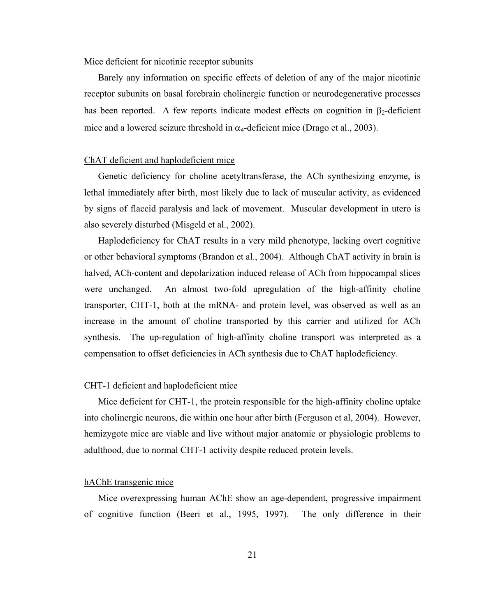## Mice deficient for nicotinic receptor subunits

Barely any information on specific effects of deletion of any of the major nicotinic receptor subunits on basal forebrain cholinergic function or neurodegenerative processes has been reported. A few reports indicate modest effects on cognition in  $\beta_2$ -deficient mice and a lowered seizure threshold in  $\alpha_4$ -deficient mice (Drago et al., 2003).

#### ChAT deficient and haplodeficient mice

Genetic deficiency for choline acetyltransferase, the ACh synthesizing enzyme, is lethal immediately after birth, most likely due to lack of muscular activity, as evidenced by signs of flaccid paralysis and lack of movement. Muscular development in utero is also severely disturbed (Misgeld et al., 2002).

Haplodeficiency for ChAT results in a very mild phenotype, lacking overt cognitive or other behavioral symptoms (Brandon et al., 2004). Although ChAT activity in brain is halved, ACh-content and depolarization induced release of ACh from hippocampal slices were unchanged. An almost two-fold upregulation of the high-affinity choline transporter, CHT-1, both at the mRNA- and protein level, was observed as well as an increase in the amount of choline transported by this carrier and utilized for ACh synthesis. The up-regulation of high-affinity choline transport was interpreted as a compensation to offset deficiencies in ACh synthesis due to ChAT haplodeficiency.

#### CHT-1 deficient and haplodeficient mice

Mice deficient for CHT-1, the protein responsible for the high-affinity choline uptake into cholinergic neurons, die within one hour after birth (Ferguson et al, 2004). However, hemizygote mice are viable and live without major anatomic or physiologic problems to adulthood, due to normal CHT-1 activity despite reduced protein levels.

#### hAChE transgenic mice

Mice overexpressing human AChE show an age-dependent, progressive impairment of cognitive function (Beeri et al., 1995, 1997). The only difference in their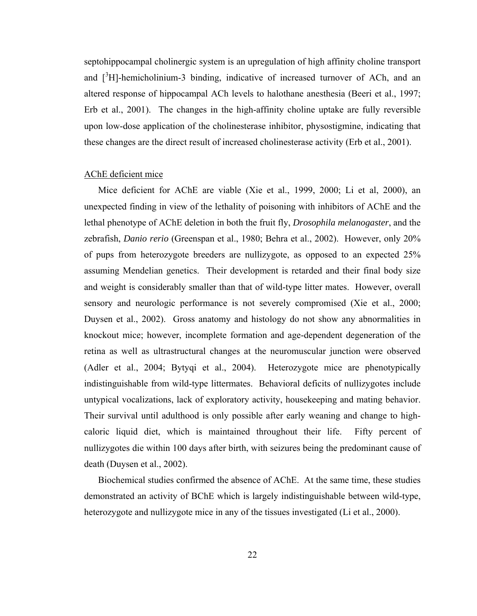septohippocampal cholinergic system is an upregulation of high affinity choline transport and  $\int_0^3 H$ ]-hemicholinium-3 binding, indicative of increased turnover of ACh, and an altered response of hippocampal ACh levels to halothane anesthesia (Beeri et al., 1997; Erb et al., 2001). The changes in the high-affinity choline uptake are fully reversible upon low-dose application of the cholinesterase inhibitor, physostigmine, indicating that these changes are the direct result of increased cholinesterase activity (Erb et al., 2001).

#### AChE deficient mice

Mice deficient for AChE are viable (Xie et al., 1999, 2000; Li et al, 2000), an unexpected finding in view of the lethality of poisoning with inhibitors of AChE and the lethal phenotype of AChE deletion in both the fruit fly, *Drosophila melanogaster*, and the zebrafish, *Danio rerio* (Greenspan et al., 1980; Behra et al., 2002). However, only 20% of pups from heterozygote breeders are nullizygote, as opposed to an expected 25% assuming Mendelian genetics. Their development is retarded and their final body size and weight is considerably smaller than that of wild-type litter mates. However, overall sensory and neurologic performance is not severely compromised (Xie et al., 2000; Duysen et al., 2002). Gross anatomy and histology do not show any abnormalities in knockout mice; however, incomplete formation and age-dependent degeneration of the retina as well as ultrastructural changes at the neuromuscular junction were observed (Adler et al., 2004; Bytyqi et al., 2004). Heterozygote mice are phenotypically indistinguishable from wild-type littermates. Behavioral deficits of nullizygotes include untypical vocalizations, lack of exploratory activity, housekeeping and mating behavior. Their survival until adulthood is only possible after early weaning and change to highcaloric liquid diet, which is maintained throughout their life. Fifty percent of nullizygotes die within 100 days after birth, with seizures being the predominant cause of death (Duysen et al., 2002).

Biochemical studies confirmed the absence of AChE. At the same time, these studies demonstrated an activity of BChE which is largely indistinguishable between wild-type, heterozygote and nullizygote mice in any of the tissues investigated (Li et al., 2000).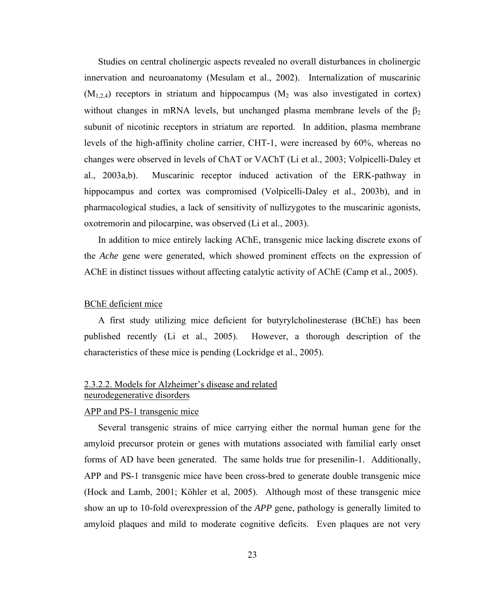Studies on central cholinergic aspects revealed no overall disturbances in cholinergic innervation and neuroanatomy (Mesulam et al., 2002). Internalization of muscarinic  $(M_{1,2,4})$  receptors in striatum and hippocampus  $(M_2$  was also investigated in cortex) without changes in mRNA levels, but unchanged plasma membrane levels of the  $\beta_2$ subunit of nicotinic receptors in striatum are reported. In addition, plasma membrane levels of the high-affinity choline carrier, CHT-1, were increased by 60%, whereas no changes were observed in levels of ChAT or VAChT (Li et al., 2003; Volpicelli-Daley et al., 2003a,b). Muscarinic receptor induced activation of the ERK-pathway in hippocampus and cortex was compromised (Volpicelli-Daley et al., 2003b), and in pharmacological studies, a lack of sensitivity of nullizygotes to the muscarinic agonists, oxotremorin and pilocarpine, was observed (Li et al., 2003).

In addition to mice entirely lacking AChE, transgenic mice lacking discrete exons of the *Ache* gene were generated, which showed prominent effects on the expression of AChE in distinct tissues without affecting catalytic activity of AChE (Camp et al., 2005).

## BChE deficient mice

A first study utilizing mice deficient for butyrylcholinesterase (BChE) has been published recently (Li et al., 2005). However, a thorough description of the characteristics of these mice is pending (Lockridge et al., 2005).

## 2.3.2.2. Models for Alzheimer's disease and related neurodegenerative disorders

## APP and PS-1 transgenic mice

Several transgenic strains of mice carrying either the normal human gene for the amyloid precursor protein or genes with mutations associated with familial early onset forms of AD have been generated. The same holds true for presenilin-1. Additionally, APP and PS-1 transgenic mice have been cross-bred to generate double transgenic mice (Hock and Lamb, 2001; Köhler et al, 2005). Although most of these transgenic mice show an up to 10-fold overexpression of the *APP* gene, pathology is generally limited to amyloid plaques and mild to moderate cognitive deficits. Even plaques are not very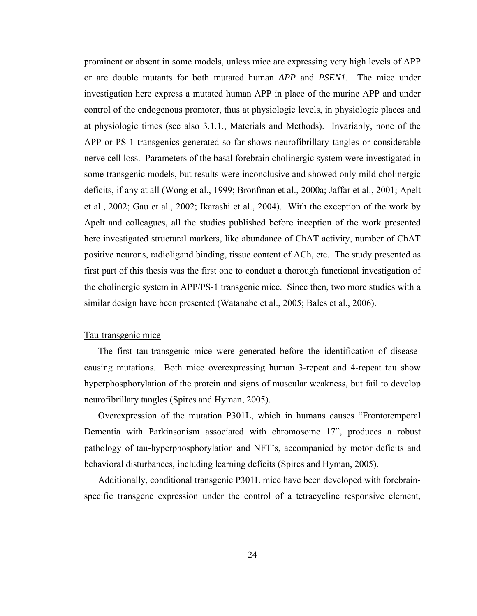prominent or absent in some models, unless mice are expressing very high levels of APP or are double mutants for both mutated human *APP* and *PSEN1*. The mice under investigation here express a mutated human APP in place of the murine APP and under control of the endogenous promoter, thus at physiologic levels, in physiologic places and at physiologic times (see also 3.1.1., Materials and Methods). Invariably, none of the APP or PS-1 transgenics generated so far shows neurofibrillary tangles or considerable nerve cell loss. Parameters of the basal forebrain cholinergic system were investigated in some transgenic models, but results were inconclusive and showed only mild cholinergic deficits, if any at all (Wong et al., 1999; Bronfman et al., 2000a; Jaffar et al., 2001; Apelt et al., 2002; Gau et al., 2002; Ikarashi et al., 2004). With the exception of the work by Apelt and colleagues, all the studies published before inception of the work presented here investigated structural markers, like abundance of ChAT activity, number of ChAT positive neurons, radioligand binding, tissue content of ACh, etc. The study presented as first part of this thesis was the first one to conduct a thorough functional investigation of the cholinergic system in APP/PS-1 transgenic mice. Since then, two more studies with a similar design have been presented (Watanabe et al., 2005; Bales et al., 2006).

## Tau-transgenic mice

The first tau-transgenic mice were generated before the identification of diseasecausing mutations. Both mice overexpressing human 3-repeat and 4-repeat tau show hyperphosphorylation of the protein and signs of muscular weakness, but fail to develop neurofibrillary tangles (Spires and Hyman, 2005).

Overexpression of the mutation P301L, which in humans causes "Frontotemporal Dementia with Parkinsonism associated with chromosome 17", produces a robust pathology of tau-hyperphosphorylation and NFT's, accompanied by motor deficits and behavioral disturbances, including learning deficits (Spires and Hyman, 2005).

Additionally, conditional transgenic P301L mice have been developed with forebrainspecific transgene expression under the control of a tetracycline responsive element,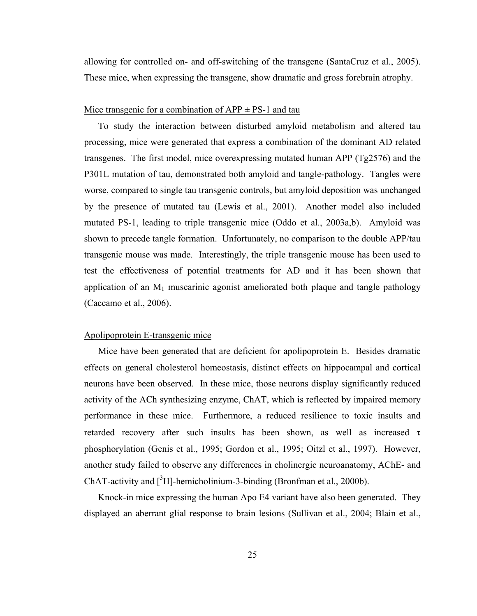allowing for controlled on- and off-switching of the transgene (SantaCruz et al., 2005). These mice, when expressing the transgene, show dramatic and gross forebrain atrophy.

#### Mice transgenic for a combination of  $APP + PS-1$  and tau

To study the interaction between disturbed amyloid metabolism and altered tau processing, mice were generated that express a combination of the dominant AD related transgenes. The first model, mice overexpressing mutated human APP (Tg2576) and the P301L mutation of tau, demonstrated both amyloid and tangle-pathology. Tangles were worse, compared to single tau transgenic controls, but amyloid deposition was unchanged by the presence of mutated tau (Lewis et al., 2001). Another model also included mutated PS-1, leading to triple transgenic mice (Oddo et al., 2003a,b). Amyloid was shown to precede tangle formation. Unfortunately, no comparison to the double APP/tau transgenic mouse was made. Interestingly, the triple transgenic mouse has been used to test the effectiveness of potential treatments for AD and it has been shown that application of an  $M_1$  muscarinic agonist ameliorated both plaque and tangle pathology (Caccamo et al., 2006).

## Apolipoprotein E-transgenic mice

Mice have been generated that are deficient for apolipoprotein E. Besides dramatic effects on general cholesterol homeostasis, distinct effects on hippocampal and cortical neurons have been observed. In these mice, those neurons display significantly reduced activity of the ACh synthesizing enzyme, ChAT, which is reflected by impaired memory performance in these mice. Furthermore, a reduced resilience to toxic insults and retarded recovery after such insults has been shown, as well as increased τ phosphorylation (Genis et al., 1995; Gordon et al., 1995; Oitzl et al., 1997). However, another study failed to observe any differences in cholinergic neuroanatomy, AChE- and ChAT-activity and  $[{}^{3}H]$ -hemicholinium-3-binding (Bronfman et al., 2000b).

Knock-in mice expressing the human Apo E4 variant have also been generated. They displayed an aberrant glial response to brain lesions (Sullivan et al., 2004; Blain et al.,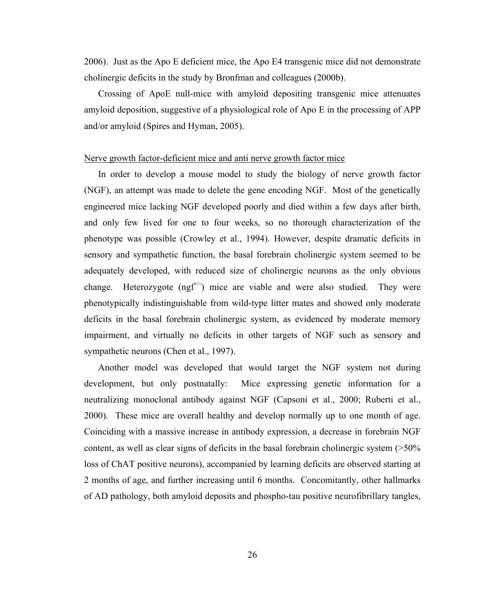2006). Just as the Apo E deficient mice, the Apo E4 transgenic mice did not demonstrate cholinergic deficits in the study by Bronfman and colleagues (2000b).

Crossing of ApoE null-mice with amyloid depositing transgenic mice attenuates amyloid deposition, suggestive of a physiological role of Apo E in the processing of APP and/or amyloid (Spires and Hyman, 2005).

#### Nerve growth factor-deficient mice and anti nerve growth factor mice

In order to develop a mouse model to study the biology of nerve growth factor (NGF), an attempt was made to delete the gene encoding NGF. Most of the genetically engineered mice lacking NGF developed poorly and died within a few days after birth, and only few lived for one to four weeks, so no thorough characterization of the phenotype was possible (Crowley et al., 1994). However, despite dramatic deficits in sensory and sympathetic function, the basal forebrain cholinergic system seemed to be adequately developed, with reduced size of cholinergic neurons as the only obvious change. Heterozygote (ngf<sup>+/-</sup>) mice are viable and were also studied. They were phenotypically indistinguishable from wild-type litter mates and showed only moderate deficits in the basal forebrain cholinergic system, as evidenced by moderate memory impairment, and virtually no deficits in other targets of NGF such as sensory and sympathetic neurons (Chen et al., 1997).

Another model was developed that would target the NGF system not during development, but only postnatally: Mice expressing genetic information for a neutralizing monoclonal antibody against NGF (Capsoni et al., 2000; Ruberti et al., 2000). These mice are overall healthy and develop normally up to one month of age. Coinciding with a massive increase in antibody expression, a decrease in forebrain NGF content, as well as clear signs of deficits in the basal forebrain cholinergic system (>50% loss of ChAT positive neurons), accompanied by learning deficits are observed starting at 2 months of age, and further increasing until 6 months. Concomitantly, other hallmarks of AD pathology, both amyloid deposits and phospho-tau positive neurofibrillary tangles,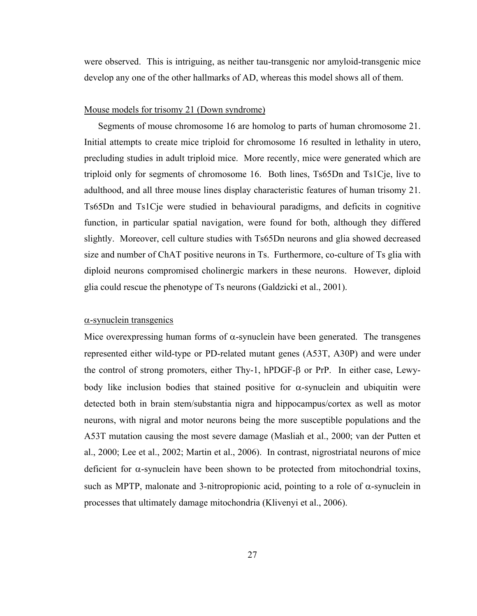were observed. This is intriguing, as neither tau-transgenic nor amyloid-transgenic mice develop any one of the other hallmarks of AD, whereas this model shows all of them.

#### Mouse models for trisomy 21 (Down syndrome)

Segments of mouse chromosome 16 are homolog to parts of human chromosome 21. Initial attempts to create mice triploid for chromosome 16 resulted in lethality in utero, precluding studies in adult triploid mice. More recently, mice were generated which are triploid only for segments of chromosome 16. Both lines, Ts65Dn and Ts1Cje, live to adulthood, and all three mouse lines display characteristic features of human trisomy 21. Ts65Dn and Ts1Cje were studied in behavioural paradigms, and deficits in cognitive function, in particular spatial navigation, were found for both, although they differed slightly. Moreover, cell culture studies with Ts65Dn neurons and glia showed decreased size and number of ChAT positive neurons in Ts. Furthermore, co-culture of Ts glia with diploid neurons compromised cholinergic markers in these neurons. However, diploid glia could rescue the phenotype of Ts neurons (Galdzicki et al., 2001).

#### $\alpha$ -synuclein transgenics

Mice overexpressing human forms of  $\alpha$ -synuclein have been generated. The transgenes represented either wild-type or PD-related mutant genes (A53T, A30P) and were under the control of strong promoters, either Thy-1, hPDGF-β or PrP. In either case, Lewybody like inclusion bodies that stained positive for  $\alpha$ -synuclein and ubiquitin were detected both in brain stem/substantia nigra and hippocampus/cortex as well as motor neurons, with nigral and motor neurons being the more susceptible populations and the A53T mutation causing the most severe damage (Masliah et al., 2000; van der Putten et al., 2000; Lee et al., 2002; Martin et al., 2006). In contrast, nigrostriatal neurons of mice deficient for  $\alpha$ -synuclein have been shown to be protected from mitochondrial toxins, such as MPTP, malonate and 3-nitropropionic acid, pointing to a role of  $\alpha$ -synuclein in processes that ultimately damage mitochondria (Klivenyi et al., 2006).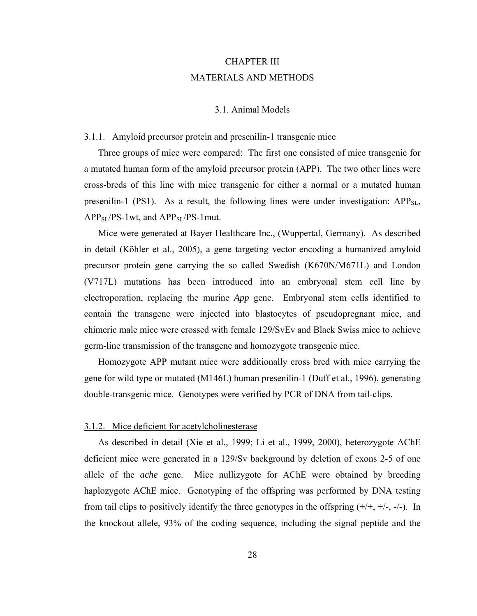# CHAPTER III MATERIALS AND METHODS

## 3.1. Animal Models

## 3.1.1. Amyloid precursor protein and presenilin-1 transgenic mice

Three groups of mice were compared: The first one consisted of mice transgenic for a mutated human form of the amyloid precursor protein (APP). The two other lines were cross-breds of this line with mice transgenic for either a normal or a mutated human presenilin-1 (PS1). As a result, the following lines were under investigation:  $APP_{SL}$ ,  $APP_{SI}/PS-1wt$ , and  $APP_{SI}/PS-1mut$ .

Mice were generated at Bayer Healthcare Inc., (Wuppertal, Germany). As described in detail (Köhler et al., 2005), a gene targeting vector encoding a humanized amyloid precursor protein gene carrying the so called Swedish (K670N/M671L) and London (V717L) mutations has been introduced into an embryonal stem cell line by electroporation, replacing the murine *App* gene. Embryonal stem cells identified to contain the transgene were injected into blastocytes of pseudopregnant mice, and chimeric male mice were crossed with female 129/SvEv and Black Swiss mice to achieve germ-line transmission of the transgene and homozygote transgenic mice.

Homozygote APP mutant mice were additionally cross bred with mice carrying the gene for wild type or mutated (M146L) human presenilin-1 (Duff et al., 1996), generating double-transgenic mice. Genotypes were verified by PCR of DNA from tail-clips.

#### 3.1.2. Mice deficient for acetylcholinesterase

As described in detail (Xie et al., 1999; Li et al., 1999, 2000), heterozygote AChE deficient mice were generated in a 129/Sv background by deletion of exons 2-5 of one allele of the *ache* gene. Mice nullizygote for AChE were obtained by breeding haplozygote AChE mice. Genotyping of the offspring was performed by DNA testing from tail clips to positively identify the three genotypes in the offspring  $(+/+, +/-, -/-)$ . In the knockout allele, 93% of the coding sequence, including the signal peptide and the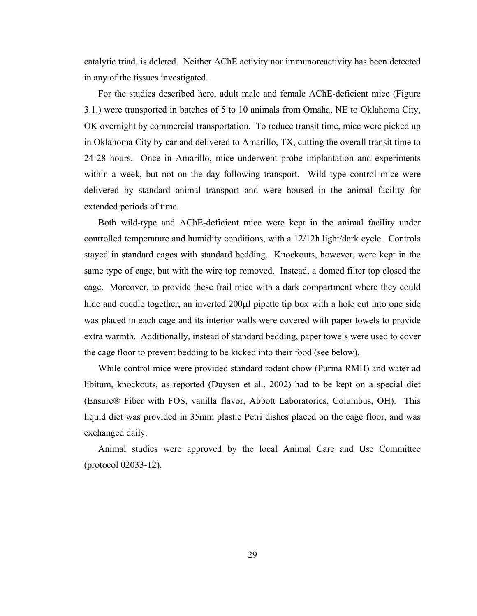catalytic triad, is deleted. Neither AChE activity nor immunoreactivity has been detected in any of the tissues investigated.

For the studies described here, adult male and female AChE-deficient mice (Figure 3.1.) were transported in batches of 5 to 10 animals from Omaha, NE to Oklahoma City, OK overnight by commercial transportation. To reduce transit time, mice were picked up in Oklahoma City by car and delivered to Amarillo, TX, cutting the overall transit time to 24-28 hours. Once in Amarillo, mice underwent probe implantation and experiments within a week, but not on the day following transport. Wild type control mice were delivered by standard animal transport and were housed in the animal facility for extended periods of time.

Both wild-type and AChE-deficient mice were kept in the animal facility under controlled temperature and humidity conditions, with a 12/12h light/dark cycle. Controls stayed in standard cages with standard bedding. Knockouts, however, were kept in the same type of cage, but with the wire top removed. Instead, a domed filter top closed the cage. Moreover, to provide these frail mice with a dark compartment where they could hide and cuddle together, an inverted 200μl pipette tip box with a hole cut into one side was placed in each cage and its interior walls were covered with paper towels to provide extra warmth. Additionally, instead of standard bedding, paper towels were used to cover the cage floor to prevent bedding to be kicked into their food (see below).

While control mice were provided standard rodent chow (Purina RMH) and water ad libitum, knockouts, as reported (Duysen et al., 2002) had to be kept on a special diet (Ensure® Fiber with FOS, vanilla flavor, Abbott Laboratories, Columbus, OH). This liquid diet was provided in 35mm plastic Petri dishes placed on the cage floor, and was exchanged daily.

Animal studies were approved by the local Animal Care and Use Committee (protocol 02033-12).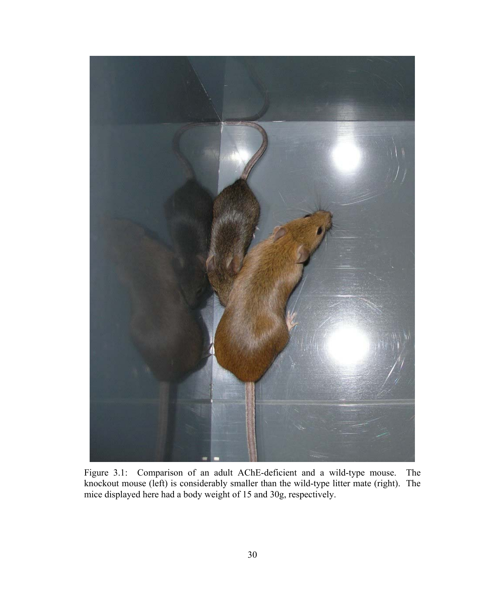

Figure 3.1: Comparison of an adult AChE-deficient and a wild-type mouse. The knockout mouse (left) is considerably smaller than the wild-type litter mate (right). The mice displayed here had a body weight of 15 and 30g, respectively.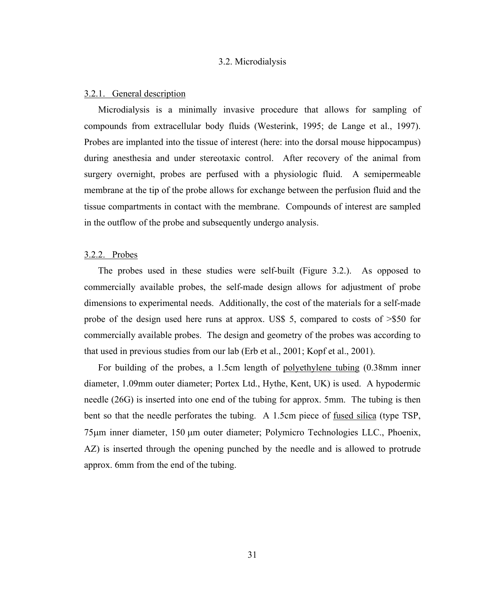#### 3.2. Microdialysis

#### 3.2.1. General description

Microdialysis is a minimally invasive procedure that allows for sampling of compounds from extracellular body fluids (Westerink, 1995; de Lange et al., 1997). Probes are implanted into the tissue of interest (here: into the dorsal mouse hippocampus) during anesthesia and under stereotaxic control. After recovery of the animal from surgery overnight, probes are perfused with a physiologic fluid. A semipermeable membrane at the tip of the probe allows for exchange between the perfusion fluid and the tissue compartments in contact with the membrane. Compounds of interest are sampled in the outflow of the probe and subsequently undergo analysis.

#### 3.2.2. Probes

The probes used in these studies were self-built (Figure 3.2.). As opposed to commercially available probes, the self-made design allows for adjustment of probe dimensions to experimental needs. Additionally, the cost of the materials for a self-made probe of the design used here runs at approx. US\$ 5, compared to costs of >\$50 for commercially available probes. The design and geometry of the probes was according to that used in previous studies from our lab (Erb et al., 2001; Kopf et al., 2001).

For building of the probes, a 1.5cm length of polyethylene tubing (0.38mm inner diameter, 1.09mm outer diameter; Portex Ltd., Hythe, Kent, UK) is used. A hypodermic needle (26G) is inserted into one end of the tubing for approx. 5mm. The tubing is then bent so that the needle perforates the tubing. A 1.5cm piece of fused silica (type TSP, 75μm inner diameter, 150 μm outer diameter; Polymicro Technologies LLC., Phoenix, AZ) is inserted through the opening punched by the needle and is allowed to protrude approx. 6mm from the end of the tubing.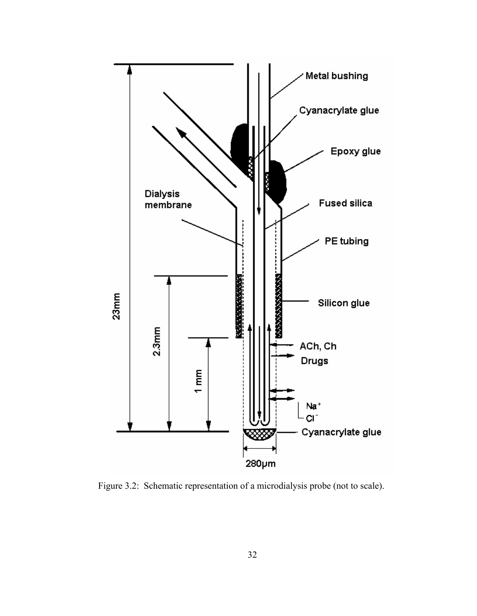

Figure 3.2: Schematic representation of a microdialysis probe (not to scale).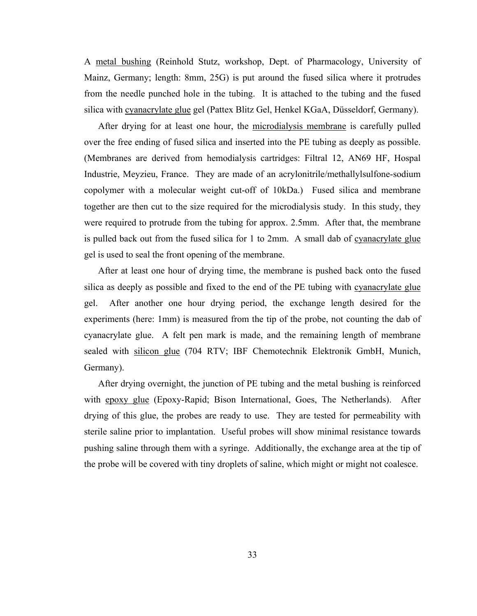A metal bushing (Reinhold Stutz, workshop, Dept. of Pharmacology, University of Mainz, Germany; length: 8mm, 25G) is put around the fused silica where it protrudes from the needle punched hole in the tubing. It is attached to the tubing and the fused silica with cyanacrylate glue gel (Pattex Blitz Gel, Henkel KGaA, Düsseldorf, Germany).

After drying for at least one hour, the microdialysis membrane is carefully pulled over the free ending of fused silica and inserted into the PE tubing as deeply as possible. (Membranes are derived from hemodialysis cartridges: Filtral 12, AN69 HF, Hospal Industrie, Meyzieu, France. They are made of an acrylonitrile/methallylsulfone-sodium copolymer with a molecular weight cut-off of 10kDa.) Fused silica and membrane together are then cut to the size required for the microdialysis study. In this study, they were required to protrude from the tubing for approx. 2.5mm. After that, the membrane is pulled back out from the fused silica for 1 to 2mm. A small dab of cyanacrylate glue gel is used to seal the front opening of the membrane.

After at least one hour of drying time, the membrane is pushed back onto the fused silica as deeply as possible and fixed to the end of the PE tubing with cyanacrylate glue gel. After another one hour drying period, the exchange length desired for the experiments (here: 1mm) is measured from the tip of the probe, not counting the dab of cyanacrylate glue. A felt pen mark is made, and the remaining length of membrane sealed with silicon glue (704 RTV; IBF Chemotechnik Elektronik GmbH, Munich, Germany).

After drying overnight, the junction of PE tubing and the metal bushing is reinforced with epoxy glue (Epoxy-Rapid; Bison International, Goes, The Netherlands). After drying of this glue, the probes are ready to use. They are tested for permeability with sterile saline prior to implantation. Useful probes will show minimal resistance towards pushing saline through them with a syringe. Additionally, the exchange area at the tip of the probe will be covered with tiny droplets of saline, which might or might not coalesce.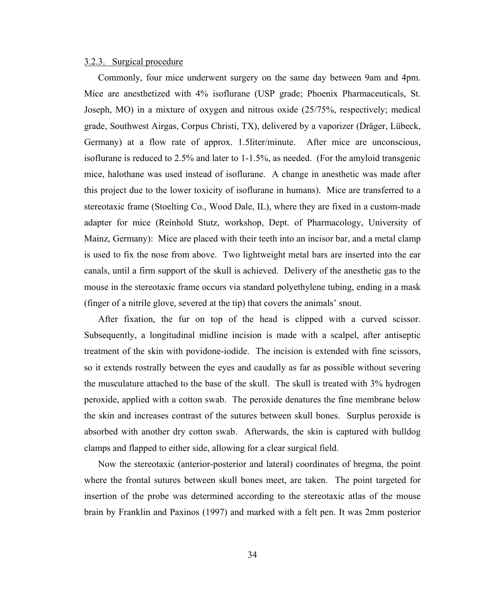#### 3.2.3. Surgical procedure

Commonly, four mice underwent surgery on the same day between 9am and 4pm. Mice are anesthetized with 4% isoflurane (USP grade; Phoenix Pharmaceuticals, St. Joseph, MO) in a mixture of oxygen and nitrous oxide (25/75%, respectively; medical grade, Southwest Airgas, Corpus Christi, TX), delivered by a vaporizer (Dräger, Lübeck, Germany) at a flow rate of approx. 1.5liter/minute. After mice are unconscious, isoflurane is reduced to 2.5% and later to 1-1.5%, as needed. (For the amyloid transgenic mice, halothane was used instead of isoflurane. A change in anesthetic was made after this project due to the lower toxicity of isoflurane in humans). Mice are transferred to a stereotaxic frame (Stoelting Co., Wood Dale, IL), where they are fixed in a custom-made adapter for mice (Reinhold Stutz, workshop, Dept. of Pharmacology, University of Mainz, Germany): Mice are placed with their teeth into an incisor bar, and a metal clamp is used to fix the nose from above. Two lightweight metal bars are inserted into the ear canals, until a firm support of the skull is achieved. Delivery of the anesthetic gas to the mouse in the stereotaxic frame occurs via standard polyethylene tubing, ending in a mask (finger of a nitrile glove, severed at the tip) that covers the animals' snout.

After fixation, the fur on top of the head is clipped with a curved scissor. Subsequently, a longitudinal midline incision is made with a scalpel, after antiseptic treatment of the skin with povidone-iodide. The incision is extended with fine scissors, so it extends rostrally between the eyes and caudally as far as possible without severing the musculature attached to the base of the skull. The skull is treated with 3% hydrogen peroxide, applied with a cotton swab. The peroxide denatures the fine membrane below the skin and increases contrast of the sutures between skull bones. Surplus peroxide is absorbed with another dry cotton swab. Afterwards, the skin is captured with bulldog clamps and flapped to either side, allowing for a clear surgical field.

Now the stereotaxic (anterior-posterior and lateral) coordinates of bregma, the point where the frontal sutures between skull bones meet, are taken. The point targeted for insertion of the probe was determined according to the stereotaxic atlas of the mouse brain by Franklin and Paxinos (1997) and marked with a felt pen. It was 2mm posterior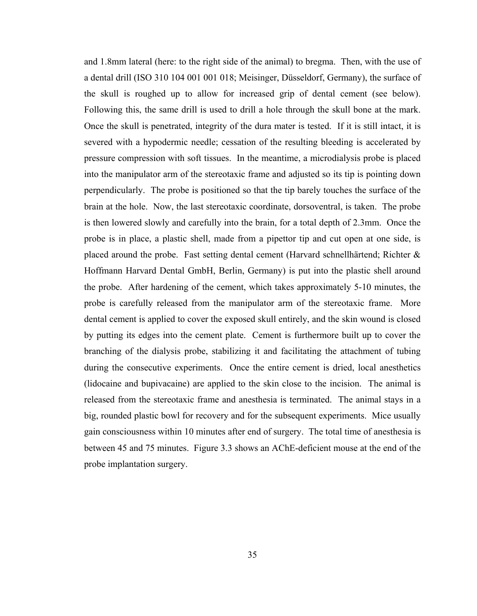and 1.8mm lateral (here: to the right side of the animal) to bregma. Then, with the use of a dental drill (ISO 310 104 001 001 018; Meisinger, Düsseldorf, Germany), the surface of the skull is roughed up to allow for increased grip of dental cement (see below). Following this, the same drill is used to drill a hole through the skull bone at the mark. Once the skull is penetrated, integrity of the dura mater is tested. If it is still intact, it is severed with a hypodermic needle; cessation of the resulting bleeding is accelerated by pressure compression with soft tissues. In the meantime, a microdialysis probe is placed into the manipulator arm of the stereotaxic frame and adjusted so its tip is pointing down perpendicularly. The probe is positioned so that the tip barely touches the surface of the brain at the hole. Now, the last stereotaxic coordinate, dorsoventral, is taken. The probe is then lowered slowly and carefully into the brain, for a total depth of 2.3mm. Once the probe is in place, a plastic shell, made from a pipettor tip and cut open at one side, is placed around the probe. Fast setting dental cement (Harvard schnellhärtend; Richter & Hoffmann Harvard Dental GmbH, Berlin, Germany) is put into the plastic shell around the probe. After hardening of the cement, which takes approximately 5-10 minutes, the probe is carefully released from the manipulator arm of the stereotaxic frame. More dental cement is applied to cover the exposed skull entirely, and the skin wound is closed by putting its edges into the cement plate. Cement is furthermore built up to cover the branching of the dialysis probe, stabilizing it and facilitating the attachment of tubing during the consecutive experiments. Once the entire cement is dried, local anesthetics (lidocaine and bupivacaine) are applied to the skin close to the incision. The animal is released from the stereotaxic frame and anesthesia is terminated. The animal stays in a big, rounded plastic bowl for recovery and for the subsequent experiments. Mice usually gain consciousness within 10 minutes after end of surgery. The total time of anesthesia is between 45 and 75 minutes. Figure 3.3 shows an AChE-deficient mouse at the end of the probe implantation surgery.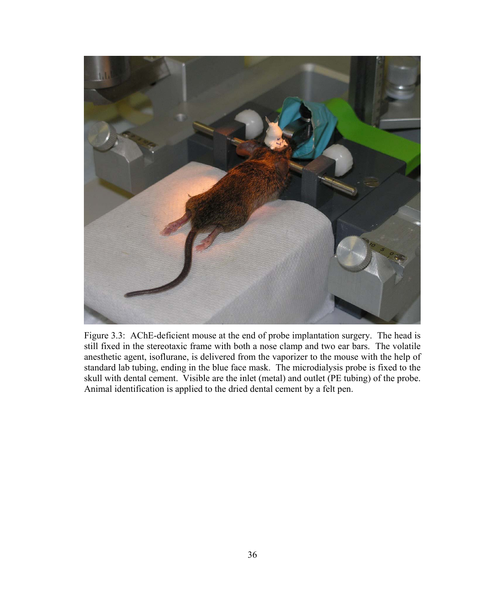

Figure 3.3: AChE-deficient mouse at the end of probe implantation surgery. The head is still fixed in the stereotaxic frame with both a nose clamp and two ear bars. The volatile anesthetic agent, isoflurane, is delivered from the vaporizer to the mouse with the help of standard lab tubing, ending in the blue face mask. The microdialysis probe is fixed to the skull with dental cement. Visible are the inlet (metal) and outlet (PE tubing) of the probe. Animal identification is applied to the dried dental cement by a felt pen.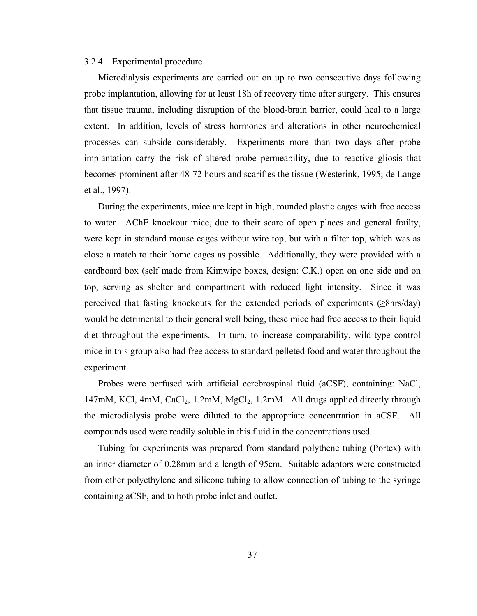#### 3.2.4. Experimental procedure

Microdialysis experiments are carried out on up to two consecutive days following probe implantation, allowing for at least 18h of recovery time after surgery. This ensures that tissue trauma, including disruption of the blood-brain barrier, could heal to a large extent. In addition, levels of stress hormones and alterations in other neurochemical processes can subside considerably. Experiments more than two days after probe implantation carry the risk of altered probe permeability, due to reactive gliosis that becomes prominent after 48-72 hours and scarifies the tissue (Westerink, 1995; de Lange et al., 1997).

During the experiments, mice are kept in high, rounded plastic cages with free access to water. AChE knockout mice, due to their scare of open places and general frailty, were kept in standard mouse cages without wire top, but with a filter top, which was as close a match to their home cages as possible. Additionally, they were provided with a cardboard box (self made from Kimwipe boxes, design: C.K.) open on one side and on top, serving as shelter and compartment with reduced light intensity. Since it was perceived that fasting knockouts for the extended periods of experiments (≥8hrs/day) would be detrimental to their general well being, these mice had free access to their liquid diet throughout the experiments. In turn, to increase comparability, wild-type control mice in this group also had free access to standard pelleted food and water throughout the experiment.

Probes were perfused with artificial cerebrospinal fluid (aCSF), containing: NaCl,  $147 \text{mM}$ , KCl, 4mM, CaCl<sub>2</sub>, 1.2mM, MgCl<sub>2</sub>, 1.2mM. All drugs applied directly through the microdialysis probe were diluted to the appropriate concentration in aCSF. All compounds used were readily soluble in this fluid in the concentrations used.

Tubing for experiments was prepared from standard polythene tubing (Portex) with an inner diameter of 0.28mm and a length of 95cm. Suitable adaptors were constructed from other polyethylene and silicone tubing to allow connection of tubing to the syringe containing aCSF, and to both probe inlet and outlet.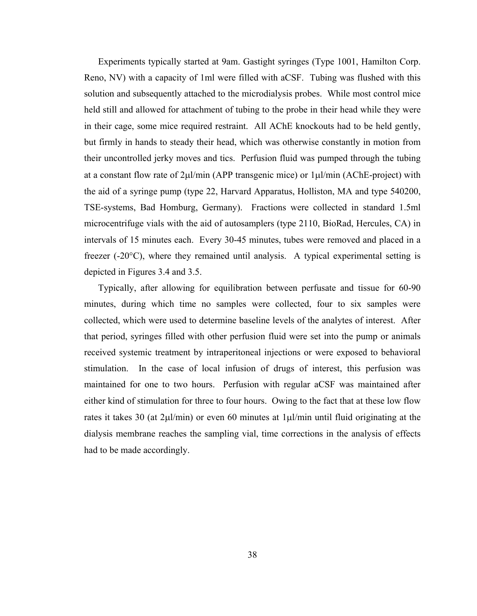Experiments typically started at 9am. Gastight syringes (Type 1001, Hamilton Corp. Reno, NV) with a capacity of 1ml were filled with aCSF. Tubing was flushed with this solution and subsequently attached to the microdialysis probes. While most control mice held still and allowed for attachment of tubing to the probe in their head while they were in their cage, some mice required restraint. All AChE knockouts had to be held gently, but firmly in hands to steady their head, which was otherwise constantly in motion from their uncontrolled jerky moves and tics. Perfusion fluid was pumped through the tubing at a constant flow rate of 2μl/min (APP transgenic mice) or 1μl/min (AChE-project) with the aid of a syringe pump (type 22, Harvard Apparatus, Holliston, MA and type 540200, TSE-systems, Bad Homburg, Germany). Fractions were collected in standard 1.5ml microcentrifuge vials with the aid of autosamplers (type 2110, BioRad, Hercules, CA) in intervals of 15 minutes each. Every 30-45 minutes, tubes were removed and placed in a freezer  $(-20^{\circ}C)$ , where they remained until analysis. A typical experimental setting is depicted in Figures 3.4 and 3.5.

Typically, after allowing for equilibration between perfusate and tissue for 60-90 minutes, during which time no samples were collected, four to six samples were collected, which were used to determine baseline levels of the analytes of interest. After that period, syringes filled with other perfusion fluid were set into the pump or animals received systemic treatment by intraperitoneal injections or were exposed to behavioral stimulation. In the case of local infusion of drugs of interest, this perfusion was maintained for one to two hours. Perfusion with regular aCSF was maintained after either kind of stimulation for three to four hours. Owing to the fact that at these low flow rates it takes 30 (at 2μl/min) or even 60 minutes at 1μl/min until fluid originating at the dialysis membrane reaches the sampling vial, time corrections in the analysis of effects had to be made accordingly.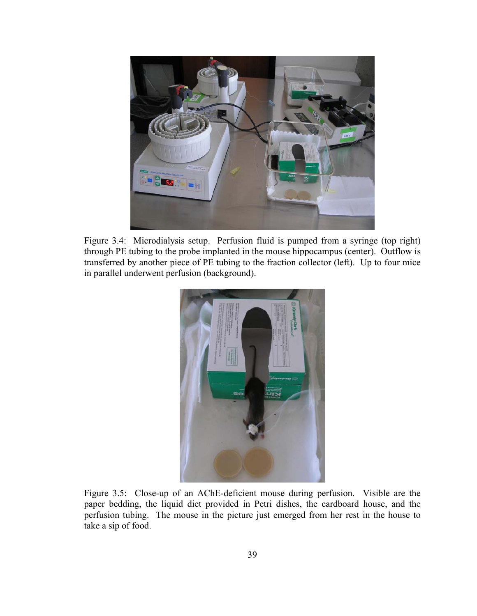

Figure 3.4: Microdialysis setup. Perfusion fluid is pumped from a syringe (top right) through PE tubing to the probe implanted in the mouse hippocampus (center). Outflow is transferred by another piece of PE tubing to the fraction collector (left). Up to four mice in parallel underwent perfusion (background).



Figure 3.5: Close-up of an AChE-deficient mouse during perfusion. Visible are the paper bedding, the liquid diet provided in Petri dishes, the cardboard house, and the perfusion tubing. The mouse in the picture just emerged from her rest in the house to take a sip of food.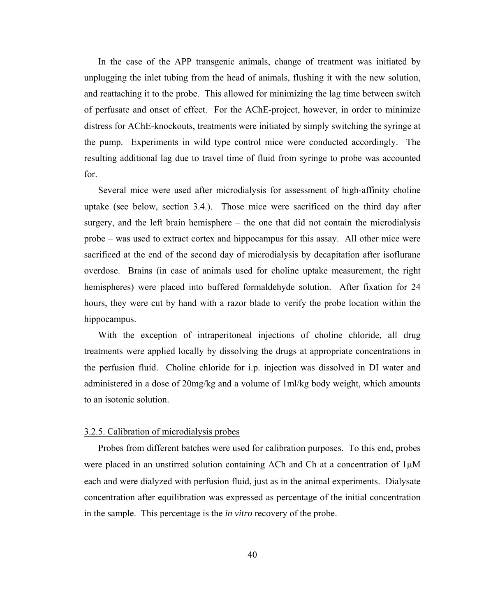In the case of the APP transgenic animals, change of treatment was initiated by unplugging the inlet tubing from the head of animals, flushing it with the new solution, and reattaching it to the probe. This allowed for minimizing the lag time between switch of perfusate and onset of effect. For the AChE-project, however, in order to minimize distress for AChE-knockouts, treatments were initiated by simply switching the syringe at the pump. Experiments in wild type control mice were conducted accordingly. The resulting additional lag due to travel time of fluid from syringe to probe was accounted for.

Several mice were used after microdialysis for assessment of high-affinity choline uptake (see below, section 3.4.). Those mice were sacrificed on the third day after surgery, and the left brain hemisphere – the one that did not contain the microdialysis probe – was used to extract cortex and hippocampus for this assay. All other mice were sacrificed at the end of the second day of microdialysis by decapitation after isoflurane overdose. Brains (in case of animals used for choline uptake measurement, the right hemispheres) were placed into buffered formaldehyde solution. After fixation for 24 hours, they were cut by hand with a razor blade to verify the probe location within the hippocampus.

With the exception of intraperitoneal injections of choline chloride, all drug treatments were applied locally by dissolving the drugs at appropriate concentrations in the perfusion fluid. Choline chloride for i.p. injection was dissolved in DI water and administered in a dose of 20mg/kg and a volume of 1ml/kg body weight, which amounts to an isotonic solution.

## 3.2.5. Calibration of microdialysis probes

Probes from different batches were used for calibration purposes. To this end, probes were placed in an unstirred solution containing ACh and Ch at a concentration of 1μM each and were dialyzed with perfusion fluid, just as in the animal experiments. Dialysate concentration after equilibration was expressed as percentage of the initial concentration in the sample. This percentage is the *in vitro* recovery of the probe.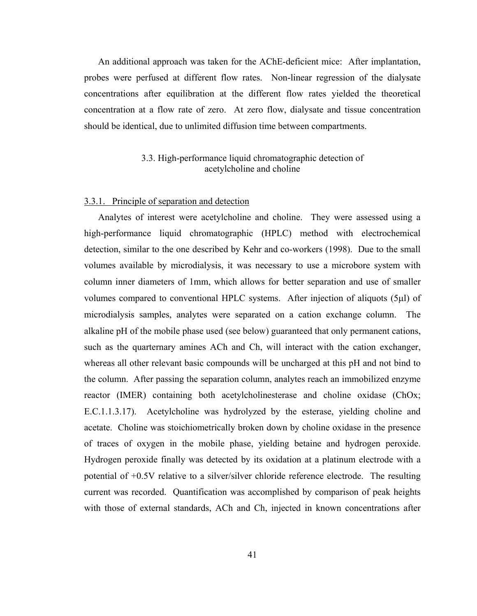An additional approach was taken for the AChE-deficient mice: After implantation, probes were perfused at different flow rates. Non-linear regression of the dialysate concentrations after equilibration at the different flow rates yielded the theoretical concentration at a flow rate of zero. At zero flow, dialysate and tissue concentration should be identical, due to unlimited diffusion time between compartments.

## 3.3. High-performance liquid chromatographic detection of acetylcholine and choline

## 3.3.1. Principle of separation and detection

Analytes of interest were acetylcholine and choline. They were assessed using a high-performance liquid chromatographic (HPLC) method with electrochemical detection, similar to the one described by Kehr and co-workers (1998). Due to the small volumes available by microdialysis, it was necessary to use a microbore system with column inner diameters of 1mm, which allows for better separation and use of smaller volumes compared to conventional HPLC systems. After injection of aliquots (5μl) of microdialysis samples, analytes were separated on a cation exchange column. The alkaline pH of the mobile phase used (see below) guaranteed that only permanent cations, such as the quarternary amines ACh and Ch, will interact with the cation exchanger, whereas all other relevant basic compounds will be uncharged at this pH and not bind to the column. After passing the separation column, analytes reach an immobilized enzyme reactor (IMER) containing both acetylcholinesterase and choline oxidase (ChOx; E.C.1.1.3.17). Acetylcholine was hydrolyzed by the esterase, yielding choline and acetate. Choline was stoichiometrically broken down by choline oxidase in the presence of traces of oxygen in the mobile phase, yielding betaine and hydrogen peroxide. Hydrogen peroxide finally was detected by its oxidation at a platinum electrode with a potential of +0.5V relative to a silver/silver chloride reference electrode. The resulting current was recorded. Quantification was accomplished by comparison of peak heights with those of external standards, ACh and Ch, injected in known concentrations after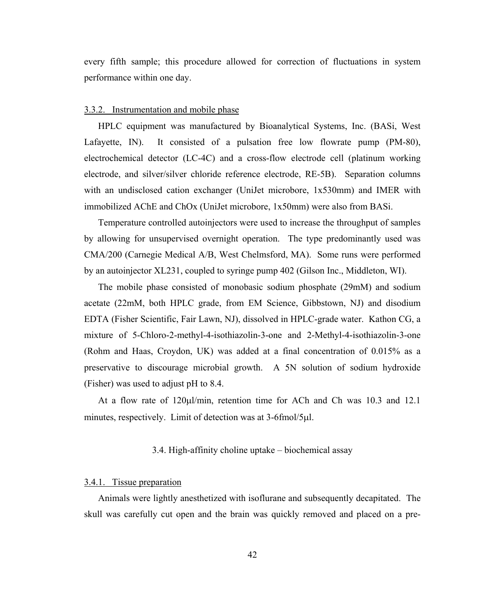every fifth sample; this procedure allowed for correction of fluctuations in system performance within one day.

#### 3.3.2. Instrumentation and mobile phase

HPLC equipment was manufactured by Bioanalytical Systems, Inc. (BASi, West Lafayette, IN). It consisted of a pulsation free low flowrate pump (PM-80), electrochemical detector (LC-4C) and a cross-flow electrode cell (platinum working electrode, and silver/silver chloride reference electrode, RE-5B). Separation columns with an undisclosed cation exchanger (UniJet microbore, 1x530mm) and IMER with immobilized AChE and ChOx (UniJet microbore, 1x50mm) were also from BASi.

Temperature controlled autoinjectors were used to increase the throughput of samples by allowing for unsupervised overnight operation. The type predominantly used was CMA/200 (Carnegie Medical A/B, West Chelmsford, MA). Some runs were performed by an autoinjector XL231, coupled to syringe pump 402 (Gilson Inc., Middleton, WI).

The mobile phase consisted of monobasic sodium phosphate (29mM) and sodium acetate (22mM, both HPLC grade, from EM Science, Gibbstown, NJ) and disodium EDTA (Fisher Scientific, Fair Lawn, NJ), dissolved in HPLC-grade water. Kathon CG, a mixture of 5-Chloro-2-methyl-4-isothiazolin-3-one and 2-Methyl-4-isothiazolin-3-one (Rohm and Haas, Croydon, UK) was added at a final concentration of 0.015% as a preservative to discourage microbial growth. A 5N solution of sodium hydroxide (Fisher) was used to adjust pH to 8.4.

At a flow rate of 120μl/min, retention time for ACh and Ch was 10.3 and 12.1 minutes, respectively. Limit of detection was at 3-6fmol/5μl.

## 3.4. High-affinity choline uptake – biochemical assay

#### 3.4.1. Tissue preparation

Animals were lightly anesthetized with isoflurane and subsequently decapitated. The skull was carefully cut open and the brain was quickly removed and placed on a pre-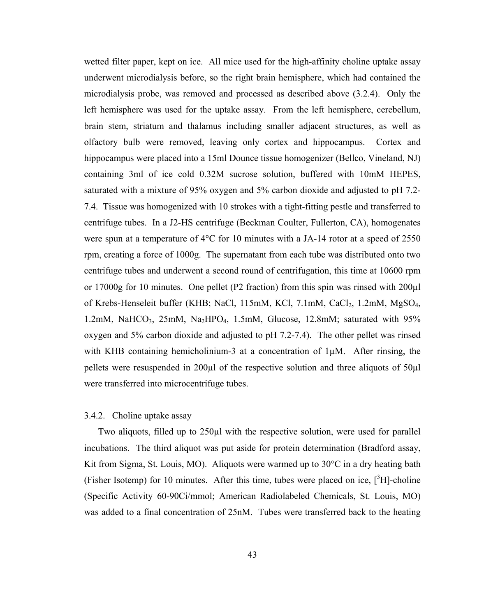wetted filter paper, kept on ice. All mice used for the high-affinity choline uptake assay underwent microdialysis before, so the right brain hemisphere, which had contained the microdialysis probe, was removed and processed as described above (3.2.4). Only the left hemisphere was used for the uptake assay. From the left hemisphere, cerebellum, brain stem, striatum and thalamus including smaller adjacent structures, as well as olfactory bulb were removed, leaving only cortex and hippocampus. Cortex and hippocampus were placed into a 15ml Dounce tissue homogenizer (Bellco, Vineland, NJ) containing 3ml of ice cold 0.32M sucrose solution, buffered with 10mM HEPES, saturated with a mixture of 95% oxygen and 5% carbon dioxide and adjusted to pH 7.2- 7.4. Tissue was homogenized with 10 strokes with a tight-fitting pestle and transferred to centrifuge tubes. In a J2-HS centrifuge (Beckman Coulter, Fullerton, CA), homogenates were spun at a temperature of 4°C for 10 minutes with a JA-14 rotor at a speed of 2550 rpm, creating a force of 1000g. The supernatant from each tube was distributed onto two centrifuge tubes and underwent a second round of centrifugation, this time at 10600 rpm or 17000g for 10 minutes. One pellet (P2 fraction) from this spin was rinsed with 200µl of Krebs-Henseleit buffer (KHB; NaCl, 115mM, KCl, 7.1mM, CaCl<sub>2</sub>, 1.2mM, MgSO<sub>4</sub>, 1.2mM, NaHCO<sub>3</sub>, 25mM, Na<sub>2</sub>HPO<sub>4</sub>, 1.5mM, Glucose, 12.8mM; saturated with  $95\%$ oxygen and 5% carbon dioxide and adjusted to pH 7.2-7.4). The other pellet was rinsed with KHB containing hemicholinium-3 at a concentration of  $1\mu$ M. After rinsing, the pellets were resuspended in 200µl of the respective solution and three aliquots of 50µl were transferred into microcentrifuge tubes.

## 3.4.2. Choline uptake assay

Two aliquots, filled up to 250µl with the respective solution, were used for parallel incubations. The third aliquot was put aside for protein determination (Bradford assay, Kit from Sigma, St. Louis, MO). Aliquots were warmed up to  $30^{\circ}$ C in a dry heating bath (Fisher Isotemp) for 10 minutes. After this time, tubes were placed on ice,  $[^{3}H]$ -choline (Specific Activity 60-90Ci/mmol; American Radiolabeled Chemicals, St. Louis, MO) was added to a final concentration of 25nM. Tubes were transferred back to the heating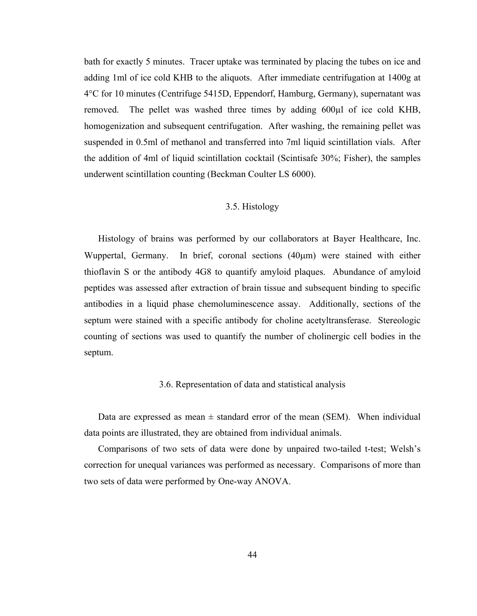bath for exactly 5 minutes. Tracer uptake was terminated by placing the tubes on ice and adding 1ml of ice cold KHB to the aliquots. After immediate centrifugation at 1400g at 4°C for 10 minutes (Centrifuge 5415D, Eppendorf, Hamburg, Germany), supernatant was removed. The pellet was washed three times by adding 600µl of ice cold KHB, homogenization and subsequent centrifugation. After washing, the remaining pellet was suspended in 0.5ml of methanol and transferred into 7ml liquid scintillation vials. After the addition of 4ml of liquid scintillation cocktail (Scintisafe 30%; Fisher), the samples underwent scintillation counting (Beckman Coulter LS 6000).

## 3.5. Histology

Histology of brains was performed by our collaborators at Bayer Healthcare, Inc. Wuppertal, Germany. In brief, coronal sections (40μm) were stained with either thioflavin S or the antibody 4G8 to quantify amyloid plaques. Abundance of amyloid peptides was assessed after extraction of brain tissue and subsequent binding to specific antibodies in a liquid phase chemoluminescence assay. Additionally, sections of the septum were stained with a specific antibody for choline acetyltransferase. Stereologic counting of sections was used to quantify the number of cholinergic cell bodies in the septum.

#### 3.6. Representation of data and statistical analysis

Data are expressed as mean  $\pm$  standard error of the mean (SEM). When individual data points are illustrated, they are obtained from individual animals.

Comparisons of two sets of data were done by unpaired two-tailed t-test; Welsh's correction for unequal variances was performed as necessary. Comparisons of more than two sets of data were performed by One-way ANOVA.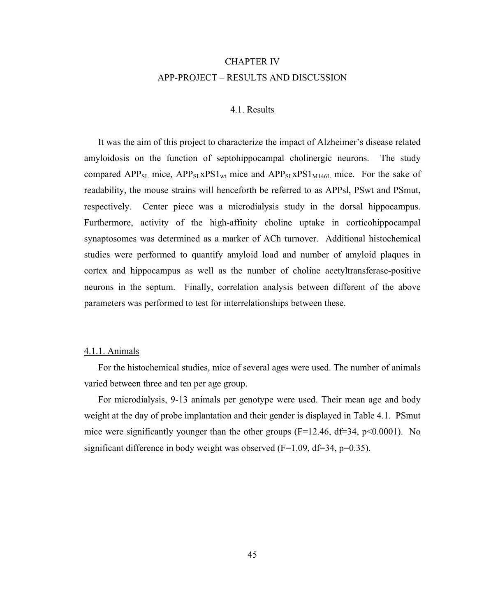# CHAPTER IV APP-PROJECT – RESULTS AND DISCUSSION

## 4.1. Results

It was the aim of this project to characterize the impact of Alzheimer's disease related amyloidosis on the function of septohippocampal cholinergic neurons. The study compared APP<sub>SL</sub> mice,  $APP_{SL}XPS1_{wt}$  mice and  $APP_{SL}XPS1_{M146L}$  mice. For the sake of readability, the mouse strains will henceforth be referred to as APPsl, PSwt and PSmut, respectively. Center piece was a microdialysis study in the dorsal hippocampus. Furthermore, activity of the high-affinity choline uptake in corticohippocampal synaptosomes was determined as a marker of ACh turnover. Additional histochemical studies were performed to quantify amyloid load and number of amyloid plaques in cortex and hippocampus as well as the number of choline acetyltransferase-positive neurons in the septum. Finally, correlation analysis between different of the above parameters was performed to test for interrelationships between these.

## 4.1.1. Animals

For the histochemical studies, mice of several ages were used. The number of animals varied between three and ten per age group.

For microdialysis, 9-13 animals per genotype were used. Their mean age and body weight at the day of probe implantation and their gender is displayed in Table 4.1. PSmut mice were significantly younger than the other groups ( $F=12.46$ ,  $df=34$ ,  $p<0.0001$ ). No significant difference in body weight was observed  $(F=1.09, df=34, p=0.35)$ .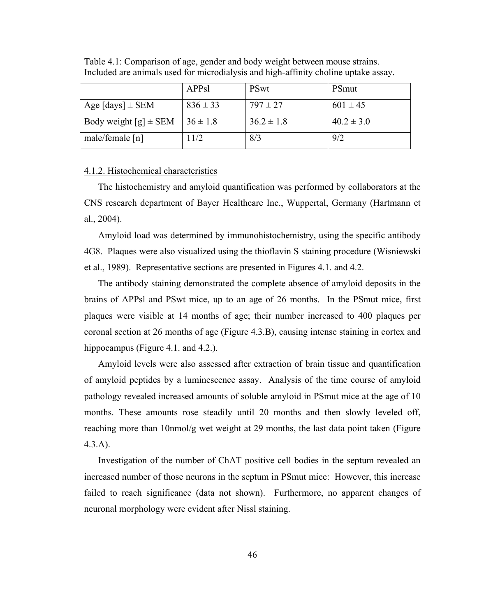|                           | APPsl         | <b>PSwt</b>    | <b>PSmut</b>   |
|---------------------------|---------------|----------------|----------------|
| Age $[days] \pm SEM$      | $836 \pm 33$  | $797 \pm 27$   | $601 \pm 45$   |
| Body weight $[g] \pm$ SEM | $136 \pm 1.8$ | $36.2 \pm 1.8$ | $40.2 \pm 3.0$ |
| male/female $[n]$         | 1/2           | 8/3            | 9/2            |

Table 4.1: Comparison of age, gender and body weight between mouse strains. Included are animals used for microdialysis and high-affinity choline uptake assay.

## 4.1.2. Histochemical characteristics

The histochemistry and amyloid quantification was performed by collaborators at the CNS research department of Bayer Healthcare Inc., Wuppertal, Germany (Hartmann et al., 2004).

Amyloid load was determined by immunohistochemistry, using the specific antibody 4G8. Plaques were also visualized using the thioflavin S staining procedure (Wisniewski et al., 1989). Representative sections are presented in Figures 4.1. and 4.2.

The antibody staining demonstrated the complete absence of amyloid deposits in the brains of APPsl and PSwt mice, up to an age of 26 months. In the PSmut mice, first plaques were visible at 14 months of age; their number increased to 400 plaques per coronal section at 26 months of age (Figure 4.3.B), causing intense staining in cortex and hippocampus (Figure 4.1. and 4.2.).

Amyloid levels were also assessed after extraction of brain tissue and quantification of amyloid peptides by a luminescence assay. Analysis of the time course of amyloid pathology revealed increased amounts of soluble amyloid in PSmut mice at the age of 10 months. These amounts rose steadily until 20 months and then slowly leveled off, reaching more than 10nmol/g wet weight at 29 months, the last data point taken (Figure 4.3.A).

Investigation of the number of ChAT positive cell bodies in the septum revealed an increased number of those neurons in the septum in PSmut mice: However, this increase failed to reach significance (data not shown). Furthermore, no apparent changes of neuronal morphology were evident after Nissl staining.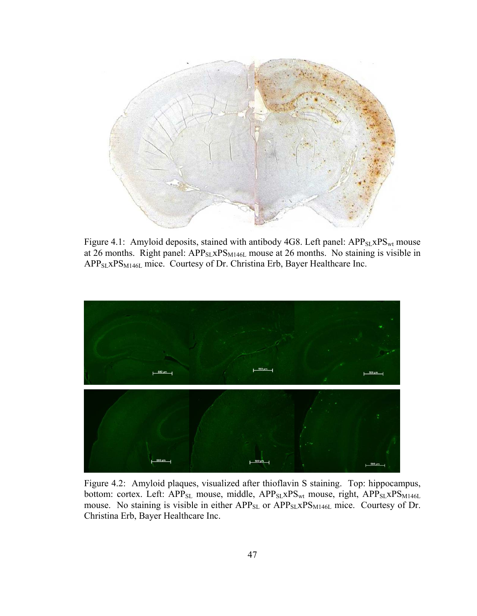

Figure 4.1: Amyloid deposits, stained with antibody 4G8. Left panel: APP<sub>SL</sub>xPS<sub>wt</sub> mouse at 26 months. Right panel:  $APP_{SL}XPS_{M146L}$  mouse at 26 months. No staining is visible in APP<sub>SL</sub>XPS<sub>M146L</sub> mice. Courtesy of Dr. Christina Erb, Bayer Healthcare Inc.



Figure 4.2: Amyloid plaques, visualized after thioflavin S staining. Top: hippocampus, bottom: cortex. Left: APP<sub>SL</sub> mouse, middle, APP<sub>SL</sub>xPS<sub>wt</sub> mouse, right, APP<sub>SL</sub>xPS<sub>M146L</sub> mouse. No staining is visible in either APP<sub>SL</sub> or APP<sub>SL</sub>xPS<sub>M146L</sub> mice. Courtesy of Dr. Christina Erb, Bayer Healthcare Inc.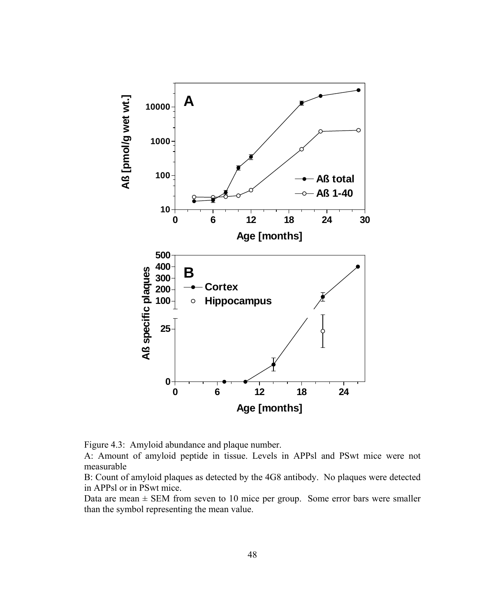

Figure 4.3: Amyloid abundance and plaque number.

A: Amount of amyloid peptide in tissue. Levels in APPsl and PSwt mice were not measurable

B: Count of amyloid plaques as detected by the 4G8 antibody. No plaques were detected in APPsl or in PSwt mice.

Data are mean  $\pm$  SEM from seven to 10 mice per group. Some error bars were smaller than the symbol representing the mean value.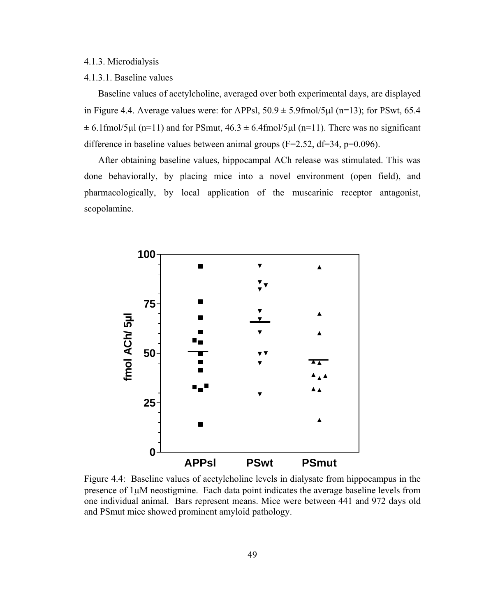#### 4.1.3. Microdialysis

#### 4.1.3.1. Baseline values

Baseline values of acetylcholine, averaged over both experimental days, are displayed in Figure 4.4. Average values were: for APPsl,  $50.9 \pm 5.9$  fmol/5 $\mu$ l (n=13); for PSwt, 65.4  $\pm$  6.1fmol/5μl (n=11) and for PSmut, 46.3  $\pm$  6.4fmol/5μl (n=11). There was no significant difference in baseline values between animal groups  $(F=2.52, df=34, p=0.096)$ .

After obtaining baseline values, hippocampal ACh release was stimulated. This was done behaviorally, by placing mice into a novel environment (open field), and pharmacologically, by local application of the muscarinic receptor antagonist, scopolamine.



Figure 4.4: Baseline values of acetylcholine levels in dialysate from hippocampus in the presence of 1μM neostigmine. Each data point indicates the average baseline levels from one individual animal. Bars represent means. Mice were between 441 and 972 days old and PSmut mice showed prominent amyloid pathology.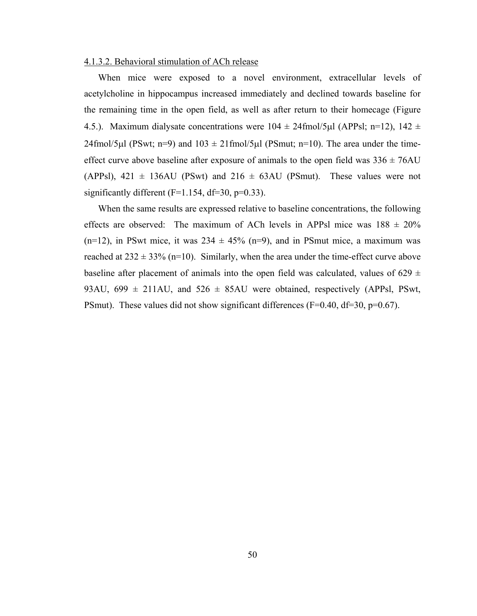#### 4.1.3.2. Behavioral stimulation of ACh release

When mice were exposed to a novel environment, extracellular levels of acetylcholine in hippocampus increased immediately and declined towards baseline for the remaining time in the open field, as well as after return to their homecage (Figure 4.5.). Maximum dialysate concentrations were  $104 \pm 24$  fmol/5µl (APPsl; n=12), 142  $\pm$ 24fmol/5μl (PSwt; n=9) and  $103 \pm 21$  fmol/5μl (PSmut; n=10). The area under the timeeffect curve above baseline after exposure of animals to the open field was  $336 \pm 76$ AU (APPsl), 421  $\pm$  136AU (PSwt) and 216  $\pm$  63AU (PSmut). These values were not significantly different  $(F=1.154, df=30, p=0.33)$ .

When the same results are expressed relative to baseline concentrations, the following effects are observed: The maximum of ACh levels in APPsl mice was  $188 \pm 20\%$  $(n=12)$ , in PSwt mice, it was  $234 \pm 45\%$  (n=9), and in PSmut mice, a maximum was reached at  $232 \pm 33\%$  (n=10). Similarly, when the area under the time-effect curve above baseline after placement of animals into the open field was calculated, values of 629  $\pm$ 93AU, 699  $\pm$  211AU, and 526  $\pm$  85AU were obtained, respectively (APPsl, PSwt, PSmut). These values did not show significant differences (F=0.40, df=30, p=0.67).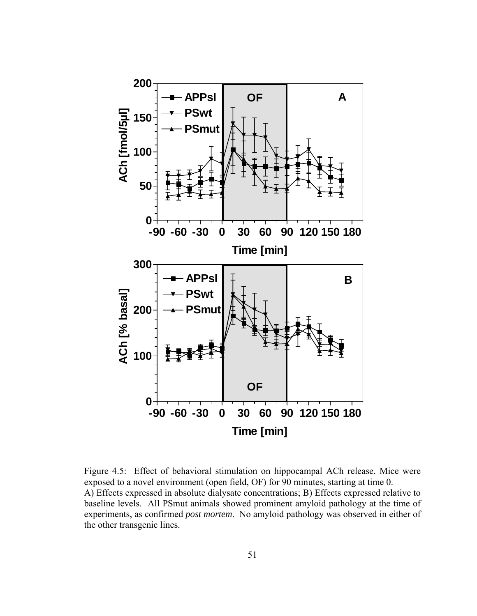

Figure 4.5: Effect of behavioral stimulation on hippocampal ACh release. Mice were exposed to a novel environment (open field, OF) for 90 minutes, starting at time 0. A) Effects expressed in absolute dialysate concentrations; B) Effects expressed relative to baseline levels. All PSmut animals showed prominent amyloid pathology at the time of experiments, as confirmed *post mortem*. No amyloid pathology was observed in either of the other transgenic lines.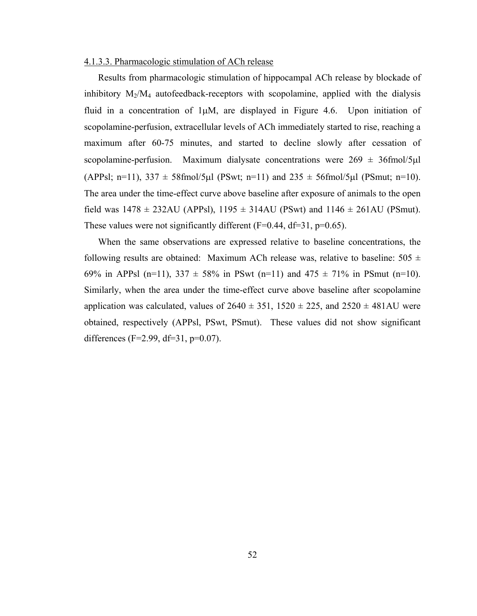#### 4.1.3.3. Pharmacologic stimulation of ACh release

Results from pharmacologic stimulation of hippocampal ACh release by blockade of inhibitory  $M_2/M_4$  autofeedback-receptors with scopolamine, applied with the dialysis fluid in a concentration of  $1\mu$ M, are displayed in Figure 4.6. Upon initiation of scopolamine-perfusion, extracellular levels of ACh immediately started to rise, reaching a maximum after 60-75 minutes, and started to decline slowly after cessation of scopolamine-perfusion. Maximum dialysate concentrations were  $269 \pm 36$  fmol/5µl (APPsl; n=11),  $337 \pm 58$ fmol/5µl (PSwt; n=11) and  $235 \pm 56$ fmol/5µl (PSmut; n=10). The area under the time-effect curve above baseline after exposure of animals to the open field was  $1478 \pm 232$ AU (APPsl),  $1195 \pm 314$ AU (PSwt) and  $1146 \pm 261$ AU (PSmut). These values were not significantly different  $(F=0.44, df=31, p=0.65)$ .

When the same observations are expressed relative to baseline concentrations, the following results are obtained: Maximum ACh release was, relative to baseline:  $505 \pm$ 69% in APPsl (n=11),  $337 \pm 58$ % in PSwt (n=11) and  $475 \pm 71$ % in PSmut (n=10). Similarly, when the area under the time-effect curve above baseline after scopolamine application was calculated, values of  $2640 \pm 351$ ,  $1520 \pm 225$ , and  $2520 \pm 481$ AU were obtained, respectively (APPsl, PSwt, PSmut). These values did not show significant differences ( $F=2.99$ ,  $df=31$ ,  $p=0.07$ ).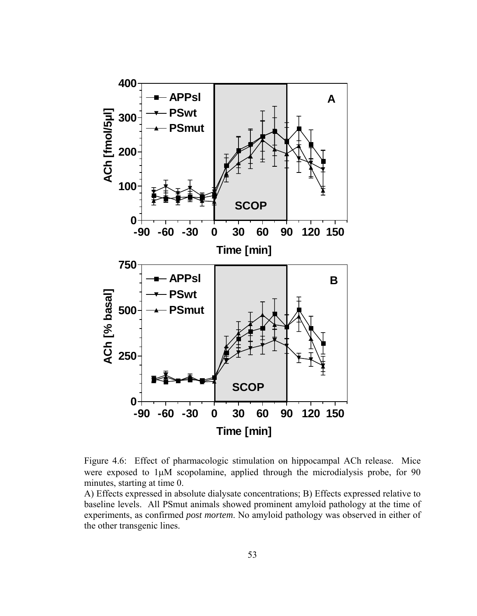

Figure 4.6: Effect of pharmacologic stimulation on hippocampal ACh release. Mice were exposed to 1μM scopolamine, applied through the microdialysis probe, for 90 minutes, starting at time 0.

A) Effects expressed in absolute dialysate concentrations; B) Effects expressed relative to baseline levels. All PSmut animals showed prominent amyloid pathology at the time of experiments, as confirmed *post mortem*. No amyloid pathology was observed in either of the other transgenic lines.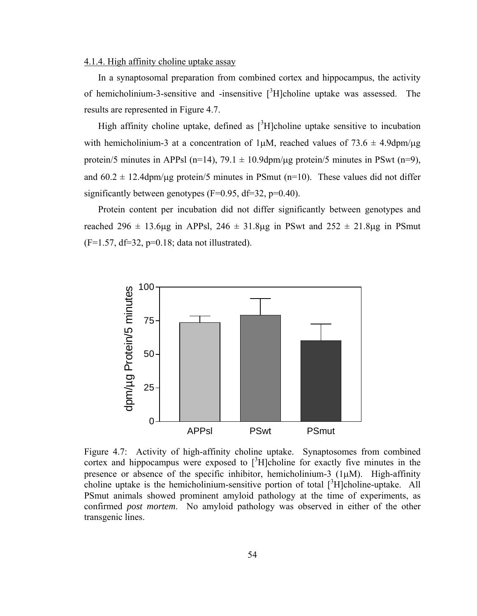## 4.1.4. High affinity choline uptake assay

In a synaptosomal preparation from combined cortex and hippocampus, the activity of hemicholinium-3-sensitive and -insensitive  $[3H]$ choline uptake was assessed. The results are represented in Figure 4.7.

High affinity choline uptake, defined as  $[3H]$ choline uptake sensitive to incubation with hemicholinium-3 at a concentration of  $1\mu$ M, reached values of  $73.6 \pm 4.9$ dpm/ $\mu$ g protein/5 minutes in APPsl (n=14), 79.1  $\pm$  10.9dpm/ug protein/5 minutes in PSwt (n=9), and  $60.2 \pm 12.4$ dpm/ $\mu$ g protein/5 minutes in PSmut (n=10). These values did not differ significantly between genotypes ( $F=0.95$ ,  $df=32$ ,  $p=0.40$ ).

Protein content per incubation did not differ significantly between genotypes and reached 296  $\pm$  13.6μg in APPsl, 246  $\pm$  31.8μg in PSwt and 252  $\pm$  21.8μg in PSmut  $(F=1.57, df=32, p=0.18; data not illustrated).$ 



Figure 4.7: Activity of high-affinity choline uptake. Synaptosomes from combined cortex and hippocampus were exposed to  $\int^3 H$ ]choline for exactly five minutes in the presence or absence of the specific inhibitor, hemicholinium-3  $(1\mu M)$ . High-affinity choline uptake is the hemicholinium-sensitive portion of total  $\int_{0}^{3} H[\text{choline-uptake}]$ . All PSmut animals showed prominent amyloid pathology at the time of experiments, as confirmed *post mortem*. No amyloid pathology was observed in either of the other transgenic lines.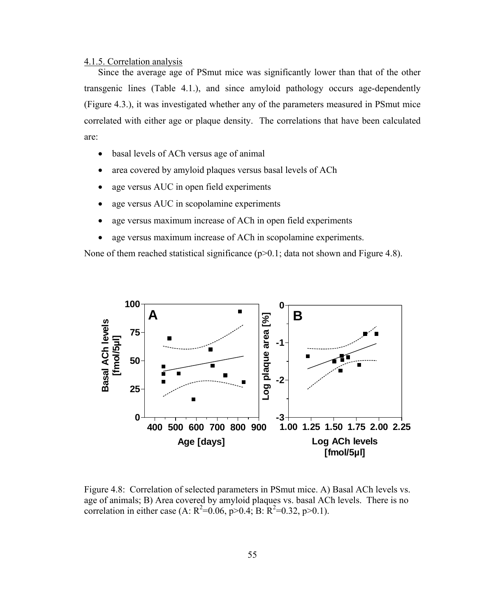#### 4.1.5. Correlation analysis

Since the average age of PSmut mice was significantly lower than that of the other transgenic lines (Table 4.1.), and since amyloid pathology occurs age-dependently (Figure 4.3.), it was investigated whether any of the parameters measured in PSmut mice correlated with either age or plaque density. The correlations that have been calculated are:

- basal levels of ACh versus age of animal
- area covered by amyloid plaques versus basal levels of ACh
- age versus AUC in open field experiments
- age versus AUC in scopolamine experiments
- age versus maximum increase of ACh in open field experiments
- age versus maximum increase of ACh in scopolamine experiments.

None of them reached statistical significance (p>0.1; data not shown and Figure 4.8).



Figure 4.8: Correlation of selected parameters in PSmut mice. A) Basal ACh levels vs. age of animals; B) Area covered by amyloid plaques vs. basal ACh levels. There is no correlation in either case (A:  $R^2$ =0.06, p>0.4; B:  $R^2$ =0.32, p>0.1).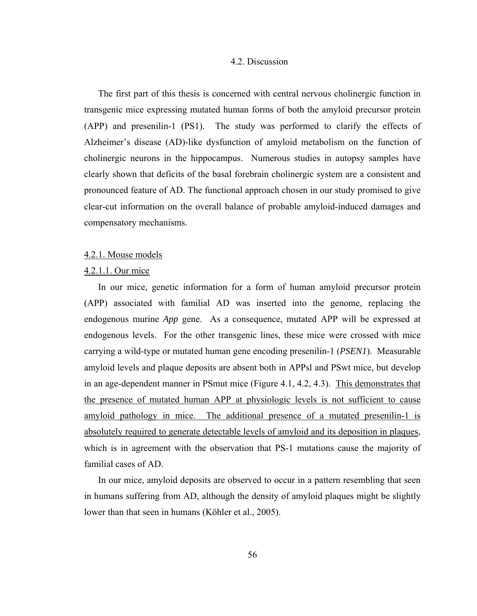#### 4.2. Discussion

The first part of this thesis is concerned with central nervous cholinergic function in transgenic mice expressing mutated human forms of both the amyloid precursor protein (APP) and presenilin-1 (PS1). The study was performed to clarify the effects of Alzheimer's disease (AD)-like dysfunction of amyloid metabolism on the function of cholinergic neurons in the hippocampus. Numerous studies in autopsy samples have clearly shown that deficits of the basal forebrain cholinergic system are a consistent and pronounced feature of AD. The functional approach chosen in our study promised to give clear-cut information on the overall balance of probable amyloid-induced damages and compensatory mechanisms.

#### 4.2.1. Mouse models

### 4.2.1.1. Our mice

In our mice, genetic information for a form of human amyloid precursor protein (APP) associated with familial AD was inserted into the genome, replacing the endogenous murine *App* gene. As a consequence, mutated APP will be expressed at endogenous levels. For the other transgenic lines, these mice were crossed with mice carrying a wild-type or mutated human gene encoding presenilin-1 (*PSEN1*). Measurable amyloid levels and plaque deposits are absent both in APPsl and PSwt mice, but develop in an age-dependent manner in PSmut mice (Figure 4.1, 4.2, 4.3). This demonstrates that the presence of mutated human APP at physiologic levels is not sufficient to cause amyloid pathology in mice. The additional presence of a mutated presenilin-1 is absolutely required to generate detectable levels of amyloid and its deposition in plaques, which is in agreement with the observation that PS-1 mutations cause the majority of familial cases of AD.

In our mice, amyloid deposits are observed to occur in a pattern resembling that seen in humans suffering from AD, although the density of amyloid plaques might be slightly lower than that seen in humans (Köhler et al., 2005).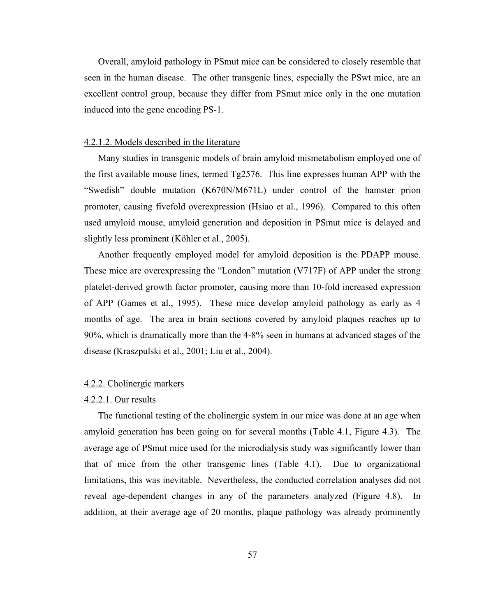Overall, amyloid pathology in PSmut mice can be considered to closely resemble that seen in the human disease. The other transgenic lines, especially the PSwt mice, are an excellent control group, because they differ from PSmut mice only in the one mutation induced into the gene encoding PS-1.

#### 4.2.1.2. Models described in the literature

Many studies in transgenic models of brain amyloid mismetabolism employed one of the first available mouse lines, termed Tg2576. This line expresses human APP with the "Swedish" double mutation (K670N/M671L) under control of the hamster prion promoter, causing fivefold overexpression (Hsiao et al., 1996). Compared to this often used amyloid mouse, amyloid generation and deposition in PSmut mice is delayed and slightly less prominent (Köhler et al., 2005).

Another frequently employed model for amyloid deposition is the PDAPP mouse. These mice are overexpressing the "London" mutation (V717F) of APP under the strong platelet-derived growth factor promoter, causing more than 10-fold increased expression of APP (Games et al., 1995). These mice develop amyloid pathology as early as 4 months of age. The area in brain sections covered by amyloid plaques reaches up to 90%, which is dramatically more than the 4-8% seen in humans at advanced stages of the disease (Kraszpulski et al., 2001; Liu et al., 2004).

#### 4.2.2. Cholinergic markers

## 4.2.2.1. Our results

The functional testing of the cholinergic system in our mice was done at an age when amyloid generation has been going on for several months (Table 4.1, Figure 4.3). The average age of PSmut mice used for the microdialysis study was significantly lower than that of mice from the other transgenic lines (Table 4.1). Due to organizational limitations, this was inevitable. Nevertheless, the conducted correlation analyses did not reveal age-dependent changes in any of the parameters analyzed (Figure 4.8). In addition, at their average age of 20 months, plaque pathology was already prominently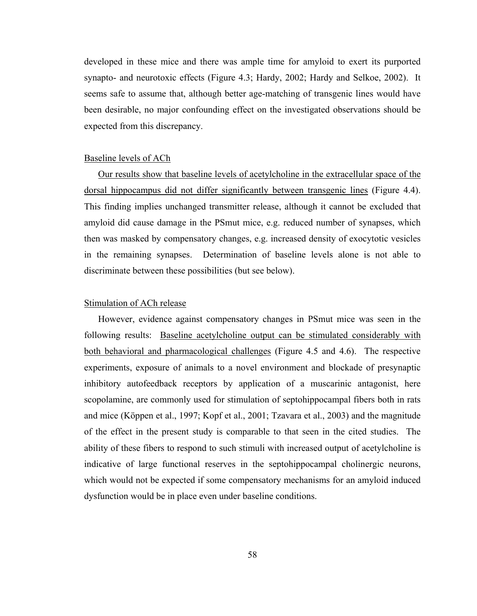developed in these mice and there was ample time for amyloid to exert its purported synapto- and neurotoxic effects (Figure 4.3; Hardy, 2002; Hardy and Selkoe, 2002). It seems safe to assume that, although better age-matching of transgenic lines would have been desirable, no major confounding effect on the investigated observations should be expected from this discrepancy.

#### Baseline levels of ACh

Our results show that baseline levels of acetylcholine in the extracellular space of the dorsal hippocampus did not differ significantly between transgenic lines (Figure 4.4). This finding implies unchanged transmitter release, although it cannot be excluded that amyloid did cause damage in the PSmut mice, e.g. reduced number of synapses, which then was masked by compensatory changes, e.g. increased density of exocytotic vesicles in the remaining synapses. Determination of baseline levels alone is not able to discriminate between these possibilities (but see below).

## Stimulation of ACh release

However, evidence against compensatory changes in PSmut mice was seen in the following results: Baseline acetylcholine output can be stimulated considerably with both behavioral and pharmacological challenges (Figure 4.5 and 4.6). The respective experiments, exposure of animals to a novel environment and blockade of presynaptic inhibitory autofeedback receptors by application of a muscarinic antagonist, here scopolamine, are commonly used for stimulation of septohippocampal fibers both in rats and mice (Köppen et al., 1997; Kopf et al., 2001; Tzavara et al., 2003) and the magnitude of the effect in the present study is comparable to that seen in the cited studies. The ability of these fibers to respond to such stimuli with increased output of acetylcholine is indicative of large functional reserves in the septohippocampal cholinergic neurons, which would not be expected if some compensatory mechanisms for an amyloid induced dysfunction would be in place even under baseline conditions.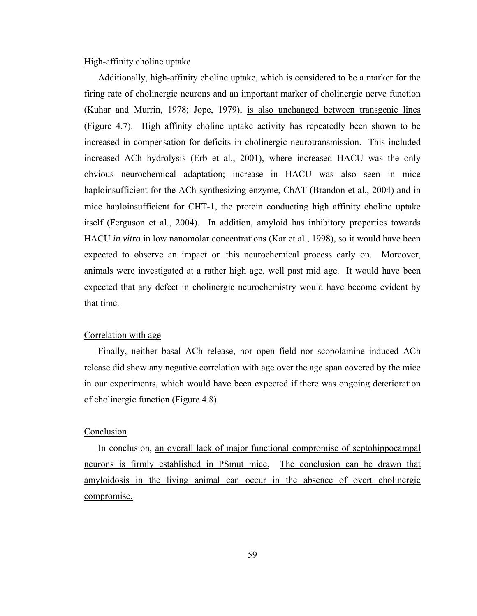## High-affinity choline uptake

Additionally, high-affinity choline uptake, which is considered to be a marker for the firing rate of cholinergic neurons and an important marker of cholinergic nerve function (Kuhar and Murrin, 1978; Jope, 1979), is also unchanged between transgenic lines (Figure 4.7). High affinity choline uptake activity has repeatedly been shown to be increased in compensation for deficits in cholinergic neurotransmission. This included increased ACh hydrolysis (Erb et al., 2001), where increased HACU was the only obvious neurochemical adaptation; increase in HACU was also seen in mice haploinsufficient for the ACh-synthesizing enzyme, ChAT (Brandon et al., 2004) and in mice haploinsufficient for CHT-1, the protein conducting high affinity choline uptake itself (Ferguson et al., 2004). In addition, amyloid has inhibitory properties towards HACU *in vitro* in low nanomolar concentrations (Kar et al., 1998), so it would have been expected to observe an impact on this neurochemical process early on. Moreover, animals were investigated at a rather high age, well past mid age. It would have been expected that any defect in cholinergic neurochemistry would have become evident by that time.

#### Correlation with age

Finally, neither basal ACh release, nor open field nor scopolamine induced ACh release did show any negative correlation with age over the age span covered by the mice in our experiments, which would have been expected if there was ongoing deterioration of cholinergic function (Figure 4.8).

#### Conclusion

In conclusion, an overall lack of major functional compromise of septohippocampal neurons is firmly established in PSmut mice. The conclusion can be drawn that amyloidosis in the living animal can occur in the absence of overt cholinergic compromise.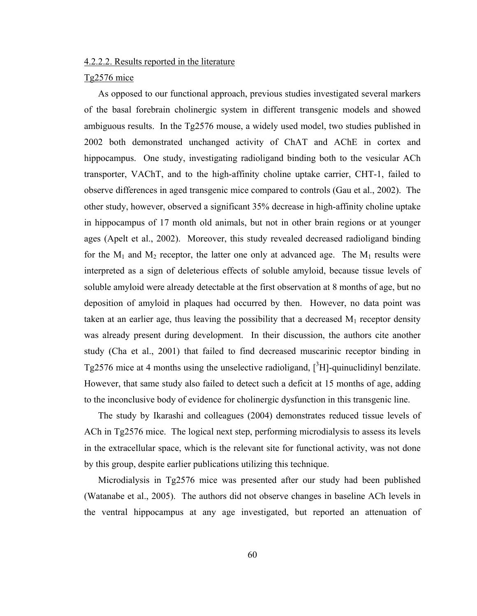## 4.2.2.2. Results reported in the literature

#### Tg2576 mice

As opposed to our functional approach, previous studies investigated several markers of the basal forebrain cholinergic system in different transgenic models and showed ambiguous results. In the Tg2576 mouse, a widely used model, two studies published in 2002 both demonstrated unchanged activity of ChAT and AChE in cortex and hippocampus. One study, investigating radioligand binding both to the vesicular ACh transporter, VAChT, and to the high-affinity choline uptake carrier, CHT-1, failed to observe differences in aged transgenic mice compared to controls (Gau et al., 2002). The other study, however, observed a significant 35% decrease in high-affinity choline uptake in hippocampus of 17 month old animals, but not in other brain regions or at younger ages (Apelt et al., 2002). Moreover, this study revealed decreased radioligand binding for the  $M_1$  and  $M_2$  receptor, the latter one only at advanced age. The  $M_1$  results were interpreted as a sign of deleterious effects of soluble amyloid, because tissue levels of soluble amyloid were already detectable at the first observation at 8 months of age, but no deposition of amyloid in plaques had occurred by then. However, no data point was taken at an earlier age, thus leaving the possibility that a decreased  $M_1$  receptor density was already present during development. In their discussion, the authors cite another study (Cha et al., 2001) that failed to find decreased muscarinic receptor binding in Tg2576 mice at 4 months using the unselective radioligand,  $[^{3}H]$ -quinuclidinyl benzilate. However, that same study also failed to detect such a deficit at 15 months of age, adding to the inconclusive body of evidence for cholinergic dysfunction in this transgenic line.

The study by Ikarashi and colleagues (2004) demonstrates reduced tissue levels of ACh in Tg2576 mice. The logical next step, performing microdialysis to assess its levels in the extracellular space, which is the relevant site for functional activity, was not done by this group, despite earlier publications utilizing this technique.

Microdialysis in Tg2576 mice was presented after our study had been published (Watanabe et al., 2005). The authors did not observe changes in baseline ACh levels in the ventral hippocampus at any age investigated, but reported an attenuation of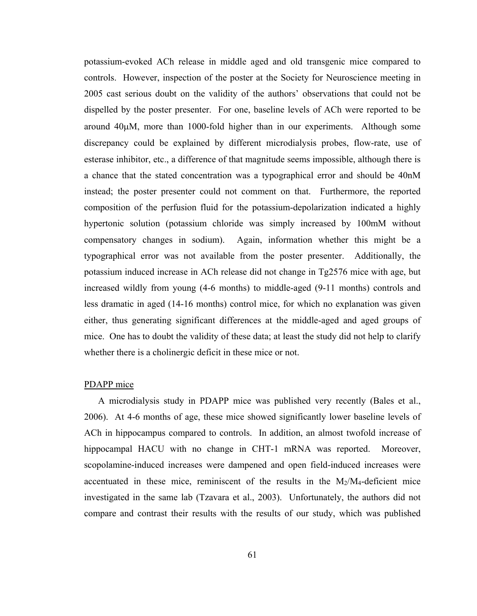potassium-evoked ACh release in middle aged and old transgenic mice compared to controls. However, inspection of the poster at the Society for Neuroscience meeting in 2005 cast serious doubt on the validity of the authors' observations that could not be dispelled by the poster presenter. For one, baseline levels of ACh were reported to be around 40μM, more than 1000-fold higher than in our experiments. Although some discrepancy could be explained by different microdialysis probes, flow-rate, use of esterase inhibitor, etc., a difference of that magnitude seems impossible, although there is a chance that the stated concentration was a typographical error and should be 40nM instead; the poster presenter could not comment on that. Furthermore, the reported composition of the perfusion fluid for the potassium-depolarization indicated a highly hypertonic solution (potassium chloride was simply increased by 100mM without compensatory changes in sodium). Again, information whether this might be a typographical error was not available from the poster presenter. Additionally, the potassium induced increase in ACh release did not change in Tg2576 mice with age, but increased wildly from young (4-6 months) to middle-aged (9-11 months) controls and less dramatic in aged (14-16 months) control mice, for which no explanation was given either, thus generating significant differences at the middle-aged and aged groups of mice. One has to doubt the validity of these data; at least the study did not help to clarify whether there is a cholinergic deficit in these mice or not.

#### PDAPP mice

A microdialysis study in PDAPP mice was published very recently (Bales et al., 2006). At 4-6 months of age, these mice showed significantly lower baseline levels of ACh in hippocampus compared to controls. In addition, an almost twofold increase of hippocampal HACU with no change in CHT-1 mRNA was reported. Moreover, scopolamine-induced increases were dampened and open field-induced increases were accentuated in these mice, reminiscent of the results in the  $M<sub>2</sub>/M<sub>4</sub>$ -deficient mice investigated in the same lab (Tzavara et al., 2003). Unfortunately, the authors did not compare and contrast their results with the results of our study, which was published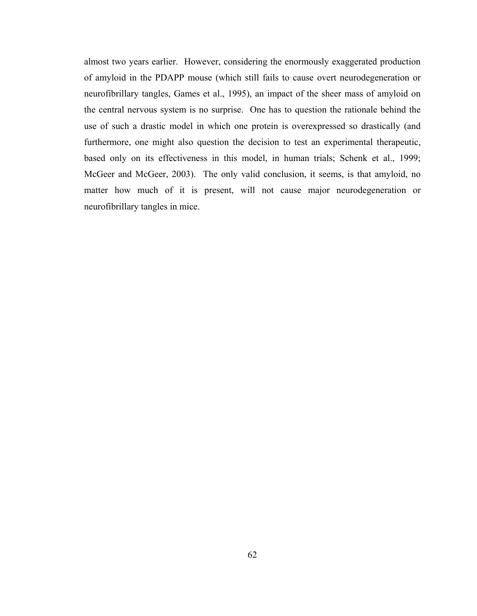almost two years earlier. However, considering the enormously exaggerated production of amyloid in the PDAPP mouse (which still fails to cause overt neurodegeneration or neurofibrillary tangles, Games et al., 1995), an impact of the sheer mass of amyloid on the central nervous system is no surprise. One has to question the rationale behind the use of such a drastic model in which one protein is overexpressed so drastically (and furthermore, one might also question the decision to test an experimental therapeutic, based only on its effectiveness in this model, in human trials; Schenk et al., 1999; McGeer and McGeer, 2003). The only valid conclusion, it seems, is that amyloid, no matter how much of it is present, will not cause major neurodegeneration or neurofibrillary tangles in mice.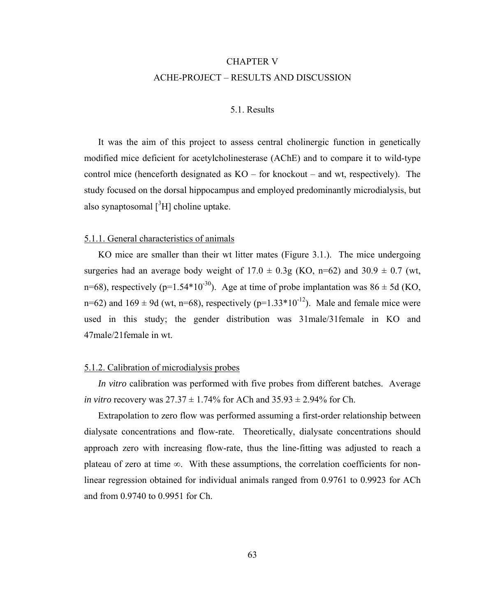# CHAPTER V ACHE-PROJECT – RESULTS AND DISCUSSION

## 5.1. Results

It was the aim of this project to assess central cholinergic function in genetically modified mice deficient for acetylcholinesterase (AChE) and to compare it to wild-type control mice (henceforth designated as KO – for knockout – and wt, respectively). The study focused on the dorsal hippocampus and employed predominantly microdialysis, but also synaptosomal  $[{}^{3}H]$  choline uptake.

# 5.1.1. General characteristics of animals

KO mice are smaller than their wt litter mates (Figure 3.1.). The mice undergoing surgeries had an average body weight of  $17.0 \pm 0.3$ g (KO, n=62) and  $30.9 \pm 0.7$  (wt, n=68), respectively (p=1.54\*10<sup>-30</sup>). Age at time of probe implantation was  $86 \pm 5d$  (KO, n=62) and  $169 \pm 9d$  (wt, n=68), respectively (p=1.33\*10<sup>-12</sup>). Male and female mice were used in this study; the gender distribution was 31male/31female in KO and 47male/21female in wt.

### 5.1.2. Calibration of microdialysis probes

*In vitro* calibration was performed with five probes from different batches. Average *in vitro* recovery was  $27.37 \pm 1.74\%$  for ACh and  $35.93 \pm 2.94\%$  for Ch.

Extrapolation to zero flow was performed assuming a first-order relationship between dialysate concentrations and flow-rate. Theoretically, dialysate concentrations should approach zero with increasing flow-rate, thus the line-fitting was adjusted to reach a plateau of zero at time ∞. With these assumptions, the correlation coefficients for nonlinear regression obtained for individual animals ranged from 0.9761 to 0.9923 for ACh and from 0.9740 to 0.9951 for Ch.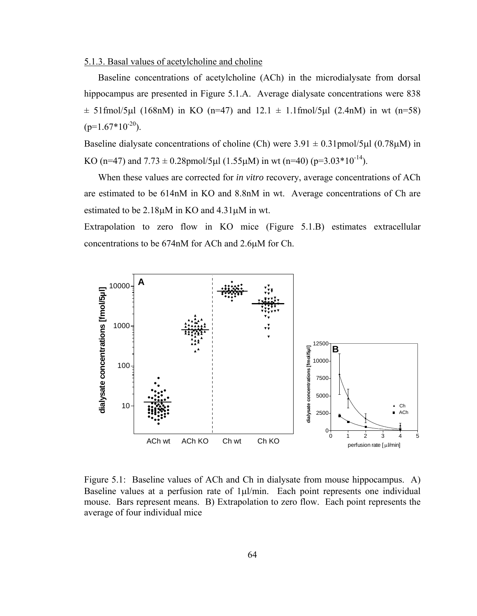## 5.1.3. Basal values of acetylcholine and choline

Baseline concentrations of acetylcholine (ACh) in the microdialysate from dorsal hippocampus are presented in Figure 5.1.A. Average dialysate concentrations were 838  $\pm$  51fmol/5µl (168nM) in KO (n=47) and 12.1  $\pm$  1.1fmol/5µl (2.4nM) in wt (n=58)  $(p=1.67*10^{-20})$ .

Baseline dialysate concentrations of choline (Ch) were  $3.91 \pm 0.31$  pmol/5μl (0.78μM) in KO (n=47) and  $7.73 \pm 0.28$ pmol/5µl (1.55µM) in wt (n=40) (p=3.03\*10<sup>-14</sup>).

When these values are corrected for *in vitro* recovery, average concentrations of ACh are estimated to be 614nM in KO and 8.8nM in wt. Average concentrations of Ch are estimated to be 2.18μM in KO and 4.31μM in wt.

Extrapolation to zero flow in KO mice (Figure 5.1.B) estimates extracellular concentrations to be 674nM for ACh and 2.6μM for Ch.



Figure 5.1: Baseline values of ACh and Ch in dialysate from mouse hippocampus. A) Baseline values at a perfusion rate of  $1\mu l/min$ . Each point represents one individual mouse. Bars represent means. B) Extrapolation to zero flow. Each point represents the average of four individual mice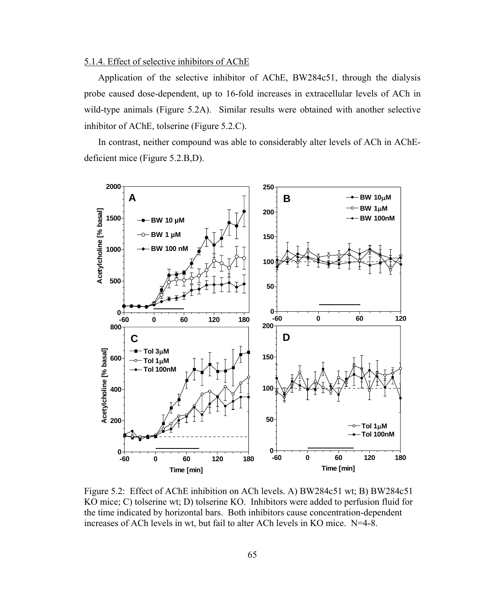## 5.1.4. Effect of selective inhibitors of AChE

Application of the selective inhibitor of AChE, BW284c51, through the dialysis probe caused dose-dependent, up to 16-fold increases in extracellular levels of ACh in wild-type animals (Figure 5.2A). Similar results were obtained with another selective inhibitor of AChE, tolserine (Figure 5.2.C).

In contrast, neither compound was able to considerably alter levels of ACh in AChEdeficient mice (Figure 5.2.B,D).



Figure 5.2: Effect of AChE inhibition on ACh levels. A) BW284c51 wt; B) BW284c51 KO mice; C) tolserine wt; D) tolserine KO. Inhibitors were added to perfusion fluid for the time indicated by horizontal bars. Both inhibitors cause concentration-dependent increases of ACh levels in wt, but fail to alter ACh levels in KO mice. N=4-8.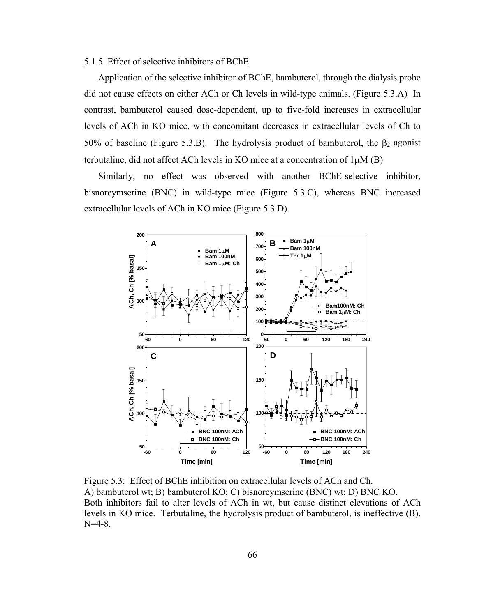#### 5.1.5. Effect of selective inhibitors of BChE

Application of the selective inhibitor of BChE, bambuterol, through the dialysis probe did not cause effects on either ACh or Ch levels in wild-type animals. (Figure 5.3.A) In contrast, bambuterol caused dose-dependent, up to five-fold increases in extracellular levels of ACh in KO mice, with concomitant decreases in extracellular levels of Ch to 50% of baseline (Figure 5.3.B). The hydrolysis product of bambuterol, the  $\beta_2$  agonist terbutaline, did not affect ACh levels in KO mice at a concentration of 1μM (B)

Similarly, no effect was observed with another BChE-selective inhibitor, bisnorcymserine (BNC) in wild-type mice (Figure 5.3.C), whereas BNC increased extracellular levels of ACh in KO mice (Figure 5.3.D).



Figure 5.3: Effect of BChE inhibition on extracellular levels of ACh and Ch. A) bambuterol wt; B) bambuterol KO; C) bisnorcymserine (BNC) wt; D) BNC KO. Both inhibitors fail to alter levels of ACh in wt, but cause distinct elevations of ACh levels in KO mice. Terbutaline, the hydrolysis product of bambuterol, is ineffective (B). N=4-8.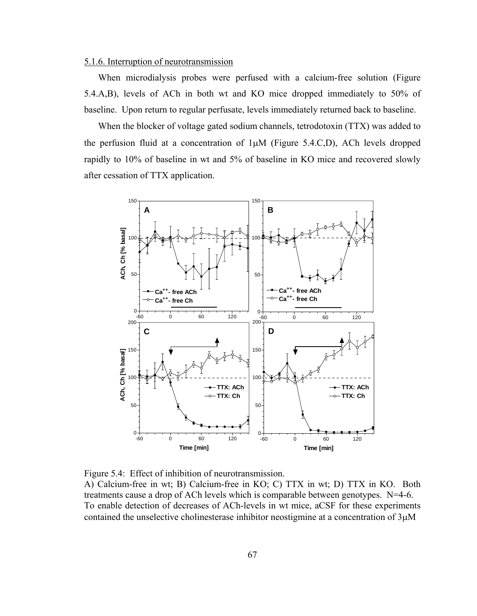## 5.1.6. Interruption of neurotransmission

When microdialysis probes were perfused with a calcium-free solution (Figure 5.4.A,B), levels of ACh in both wt and KO mice dropped immediately to 50% of baseline. Upon return to regular perfusate, levels immediately returned back to baseline.

When the blocker of voltage gated sodium channels, tetrodotoxin (TTX) was added to the perfusion fluid at a concentration of 1μM (Figure 5.4.C,D), ACh levels dropped rapidly to 10% of baseline in wt and 5% of baseline in KO mice and recovered slowly after cessation of TTX application.



Figure 5.4: Effect of inhibition of neurotransmission. A) Calcium-free in wt; B) Calcium-free in KO; C) TTX in wt; D) TTX in KO. Both treatments cause a drop of ACh levels which is comparable between genotypes. N=4-6. To enable detection of decreases of ACh-levels in wt mice, aCSF for these experiments contained the unselective cholinesterase inhibitor neostigmine at a concentration of 3μM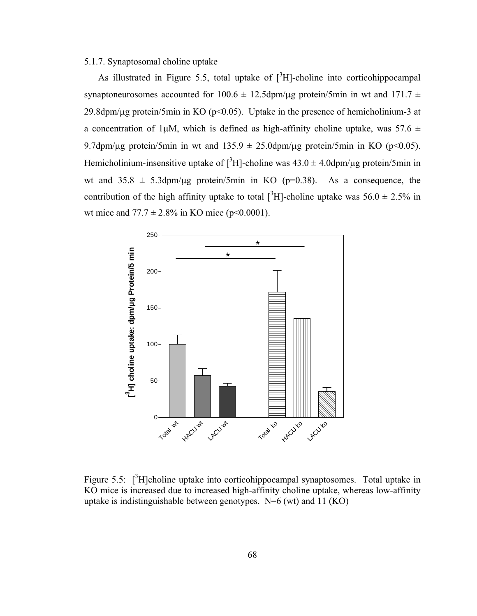#### 5.1.7. Synaptosomal choline uptake

As illustrated in Figure 5.5, total uptake of  $\int^3 H$ -choline into corticohippocampal synaptoneurosomes accounted for 100.6  $\pm$  12.5dpm/ $\mu$ g protein/5min in wt and 171.7  $\pm$ 29.8dpm/ $\mu$ g protein/5min in KO (p<0.05). Uptake in the presence of hemicholinium-3 at a concentration of 1µM, which is defined as high-affinity choline uptake, was  $57.6 \pm$ 9.7dpm/μg protein/5min in wt and  $135.9 \pm 25.0$ dpm/μg protein/5min in KO (p<0.05). Hemicholinium-insensitive uptake of  $[^{3}H]$ -choline was  $43.0 \pm 4.0$ dpm/ $\mu$ g protein/5min in wt and  $35.8 \pm 5.3$ dpm/ $\mu$ g protein/5min in KO (p=0.38). As a consequence, the contribution of the high affinity uptake to total  $\int^3 H$ -choline uptake was 56.0  $\pm$  2.5% in wt mice and  $77.7 \pm 2.8\%$  in KO mice (p<0.0001).



Figure 5.5:  $[^{3}H]$ choline uptake into corticohippocampal synaptosomes. Total uptake in KO mice is increased due to increased high-affinity choline uptake, whereas low-affinity uptake is indistinguishable between genotypes.  $N=6$  (wt) and 11 (KO)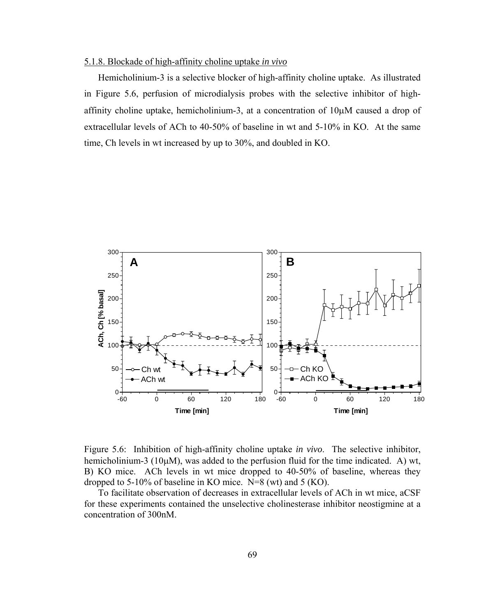#### 5.1.8. Blockade of high-affinity choline uptake *in vivo*

Hemicholinium-3 is a selective blocker of high-affinity choline uptake. As illustrated in Figure 5.6, perfusion of microdialysis probes with the selective inhibitor of highaffinity choline uptake, hemicholinium-3, at a concentration of 10μM caused a drop of extracellular levels of ACh to 40-50% of baseline in wt and 5-10% in KO. At the same time, Ch levels in wt increased by up to 30%, and doubled in KO.



Figure 5.6: Inhibition of high-affinity choline uptake *in vivo*. The selective inhibitor, hemicholinium-3 (10μM), was added to the perfusion fluid for the time indicated. A) wt, B) KO mice. ACh levels in wt mice dropped to 40-50% of baseline, whereas they dropped to 5-10% of baseline in KO mice.  $N=8$  (wt) and 5 (KO).

To facilitate observation of decreases in extracellular levels of ACh in wt mice, aCSF for these experiments contained the unselective cholinesterase inhibitor neostigmine at a concentration of 300nM.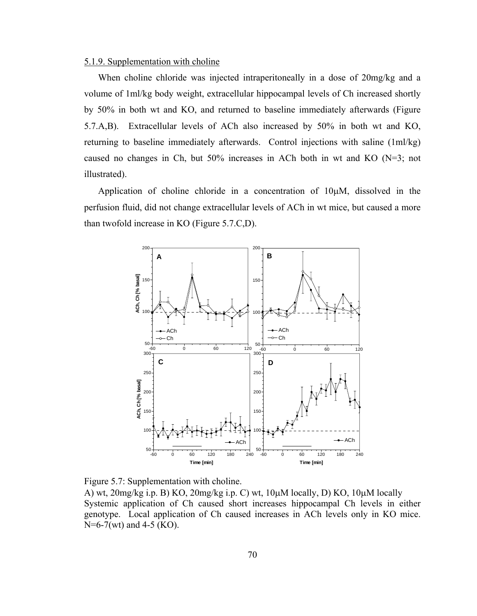#### 5.1.9. Supplementation with choline

When choline chloride was injected intraperitoneally in a dose of 20mg/kg and a volume of 1ml/kg body weight, extracellular hippocampal levels of Ch increased shortly by 50% in both wt and KO, and returned to baseline immediately afterwards (Figure 5.7.A,B). Extracellular levels of ACh also increased by 50% in both wt and KO, returning to baseline immediately afterwards. Control injections with saline (1ml/kg) caused no changes in Ch, but 50% increases in ACh both in wt and KO (N=3; not illustrated).

Application of choline chloride in a concentration of 10μM, dissolved in the perfusion fluid, did not change extracellular levels of ACh in wt mice, but caused a more than twofold increase in KO (Figure 5.7.C,D).



Figure 5.7: Supplementation with choline.

A) wt, 20mg/kg i.p. B) KO, 20mg/kg i.p. C) wt, 10μM locally, D) KO, 10μM locally Systemic application of Ch caused short increases hippocampal Ch levels in either genotype. Local application of Ch caused increases in ACh levels only in KO mice. N=6-7(wt) and 4-5 (KO).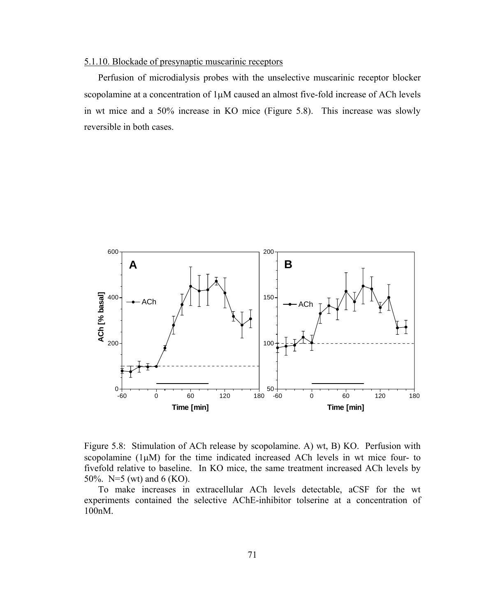## 5.1.10. Blockade of presynaptic muscarinic receptors

Perfusion of microdialysis probes with the unselective muscarinic receptor blocker scopolamine at a concentration of 1μM caused an almost five-fold increase of ACh levels in wt mice and a 50% increase in KO mice (Figure 5.8). This increase was slowly reversible in both cases.



Figure 5.8: Stimulation of ACh release by scopolamine. A) wt, B) KO. Perfusion with scopolamine  $(1\mu M)$  for the time indicated increased ACh levels in wt mice four- to fivefold relative to baseline. In KO mice, the same treatment increased ACh levels by 50%. N=5 (wt) and 6 (KO).

To make increases in extracellular ACh levels detectable, aCSF for the wt experiments contained the selective AChE-inhibitor tolserine at a concentration of 100nM.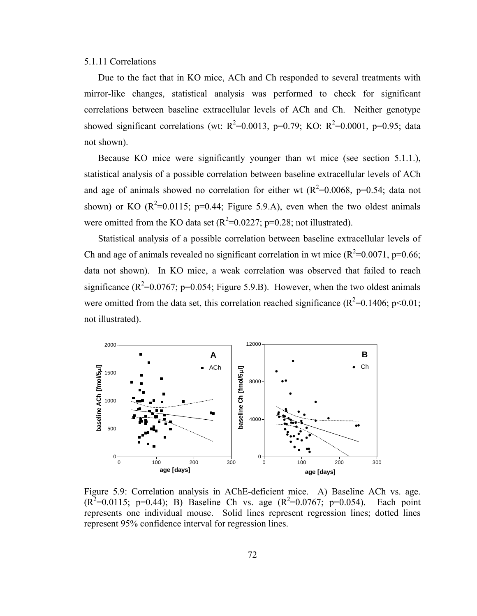#### 5.1.11 Correlations

Due to the fact that in KO mice, ACh and Ch responded to several treatments with mirror-like changes, statistical analysis was performed to check for significant correlations between baseline extracellular levels of ACh and Ch. Neither genotype showed significant correlations (wt:  $R^2$ =0.0013, p=0.79; KO:  $R^2$ =0.0001, p=0.95; data not shown).

Because KO mice were significantly younger than wt mice (see section 5.1.1.), statistical analysis of a possible correlation between baseline extracellular levels of ACh and age of animals showed no correlation for either wt ( $R^2$ =0.0068, p=0.54; data not shown) or KO  $(R^2=0.0115; p=0.44;$  Figure 5.9.A), even when the two oldest animals were omitted from the KO data set  $(R^2=0.0227; p=0.28; \text{not illustrated})$ .

Statistical analysis of a possible correlation between baseline extracellular levels of Ch and age of animals revealed no significant correlation in wt mice  $(R^2=0.0071, p=0.66;$ data not shown). In KO mice, a weak correlation was observed that failed to reach significance ( $R^2$ =0.0767; p=0.054; Figure 5.9.B). However, when the two oldest animals were omitted from the data set, this correlation reached significance ( $R^2$ =0.1406; p<0.01; not illustrated).



Figure 5.9: Correlation analysis in AChE-deficient mice. A) Baseline ACh vs. age.  $(R^2=0.0115; p=0.44)$ ; B) Baseline Ch vs. age  $(R^2=0.0767; p=0.054)$ . Each point represents one individual mouse. Solid lines represent regression lines; dotted lines represent 95% confidence interval for regression lines.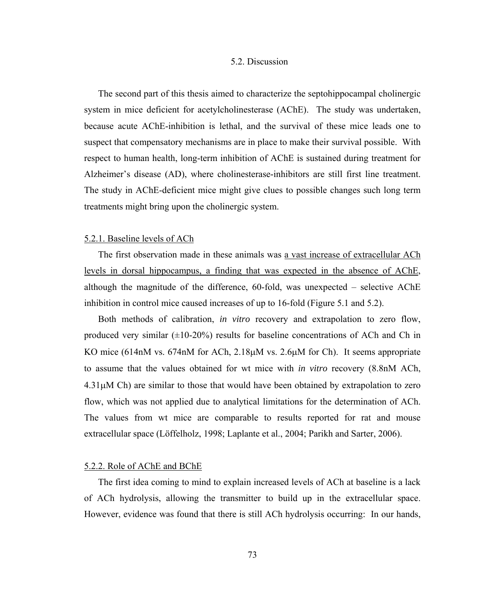#### 5.2. Discussion

The second part of this thesis aimed to characterize the septohippocampal cholinergic system in mice deficient for acetylcholinesterase (AChE). The study was undertaken, because acute AChE-inhibition is lethal, and the survival of these mice leads one to suspect that compensatory mechanisms are in place to make their survival possible. With respect to human health, long-term inhibition of AChE is sustained during treatment for Alzheimer's disease (AD), where cholinesterase-inhibitors are still first line treatment. The study in AChE-deficient mice might give clues to possible changes such long term treatments might bring upon the cholinergic system.

#### 5.2.1. Baseline levels of ACh

The first observation made in these animals was a vast increase of extracellular ACh levels in dorsal hippocampus, a finding that was expected in the absence of AChE, although the magnitude of the difference, 60-fold, was unexpected – selective AChE inhibition in control mice caused increases of up to 16-fold (Figure 5.1 and 5.2).

Both methods of calibration, *in vitro* recovery and extrapolation to zero flow, produced very similar  $(\pm 10{\text -}20\%)$  results for baseline concentrations of ACh and Ch in KO mice (614nM vs. 674nM for ACh, 2.18μM vs. 2.6μM for Ch). It seems appropriate to assume that the values obtained for wt mice with *in vitro* recovery (8.8nM ACh,  $4.31\mu$ M Ch) are similar to those that would have been obtained by extrapolation to zero flow, which was not applied due to analytical limitations for the determination of ACh. The values from wt mice are comparable to results reported for rat and mouse extracellular space (Löffelholz, 1998; Laplante et al., 2004; Parikh and Sarter, 2006).

## 5.2.2. Role of AChE and BChE

The first idea coming to mind to explain increased levels of ACh at baseline is a lack of ACh hydrolysis, allowing the transmitter to build up in the extracellular space. However, evidence was found that there is still ACh hydrolysis occurring: In our hands,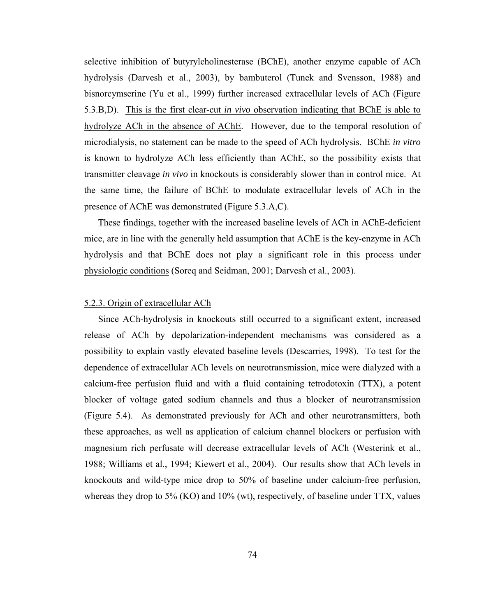selective inhibition of butyrylcholinesterase (BChE), another enzyme capable of ACh hydrolysis (Darvesh et al., 2003), by bambuterol (Tunek and Svensson, 1988) and bisnorcymserine (Yu et al., 1999) further increased extracellular levels of ACh (Figure 5.3.B,D). This is the first clear-cut *in vivo* observation indicating that BChE is able to hydrolyze ACh in the absence of AChE. However, due to the temporal resolution of microdialysis, no statement can be made to the speed of ACh hydrolysis. BChE *in vitro* is known to hydrolyze ACh less efficiently than AChE, so the possibility exists that transmitter cleavage *in vivo* in knockouts is considerably slower than in control mice. At the same time, the failure of BChE to modulate extracellular levels of ACh in the presence of AChE was demonstrated (Figure 5.3.A,C).

These findings, together with the increased baseline levels of ACh in AChE-deficient mice, are in line with the generally held assumption that AChE is the key-enzyme in ACh hydrolysis and that BChE does not play a significant role in this process under physiologic conditions (Soreq and Seidman, 2001; Darvesh et al., 2003).

## 5.2.3. Origin of extracellular ACh

Since ACh-hydrolysis in knockouts still occurred to a significant extent, increased release of ACh by depolarization-independent mechanisms was considered as a possibility to explain vastly elevated baseline levels (Descarries, 1998). To test for the dependence of extracellular ACh levels on neurotransmission, mice were dialyzed with a calcium-free perfusion fluid and with a fluid containing tetrodotoxin (TTX), a potent blocker of voltage gated sodium channels and thus a blocker of neurotransmission (Figure 5.4). As demonstrated previously for ACh and other neurotransmitters, both these approaches, as well as application of calcium channel blockers or perfusion with magnesium rich perfusate will decrease extracellular levels of ACh (Westerink et al., 1988; Williams et al., 1994; Kiewert et al., 2004). Our results show that ACh levels in knockouts and wild-type mice drop to 50% of baseline under calcium-free perfusion, whereas they drop to 5% (KO) and 10% (wt), respectively, of baseline under TTX, values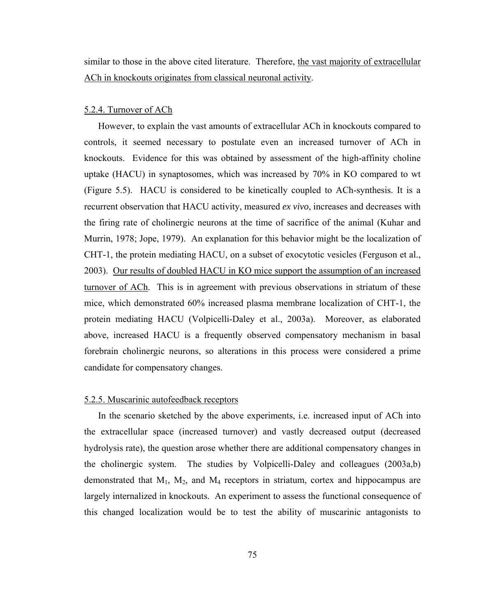similar to those in the above cited literature. Therefore, the vast majority of extracellular ACh in knockouts originates from classical neuronal activity.

#### 5.2.4. Turnover of ACh

However, to explain the vast amounts of extracellular ACh in knockouts compared to controls, it seemed necessary to postulate even an increased turnover of ACh in knockouts. Evidence for this was obtained by assessment of the high-affinity choline uptake (HACU) in synaptosomes, which was increased by 70% in KO compared to wt (Figure 5.5). HACU is considered to be kinetically coupled to ACh-synthesis. It is a recurrent observation that HACU activity, measured *ex vivo*, increases and decreases with the firing rate of cholinergic neurons at the time of sacrifice of the animal (Kuhar and Murrin, 1978; Jope, 1979). An explanation for this behavior might be the localization of CHT-1, the protein mediating HACU, on a subset of exocytotic vesicles (Ferguson et al., 2003). Our results of doubled HACU in KO mice support the assumption of an increased turnover of ACh. This is in agreement with previous observations in striatum of these mice, which demonstrated 60% increased plasma membrane localization of CHT-1, the protein mediating HACU (Volpicelli-Daley et al., 2003a). Moreover, as elaborated above, increased HACU is a frequently observed compensatory mechanism in basal forebrain cholinergic neurons, so alterations in this process were considered a prime candidate for compensatory changes.

## 5.2.5. Muscarinic autofeedback receptors

In the scenario sketched by the above experiments, i.e. increased input of ACh into the extracellular space (increased turnover) and vastly decreased output (decreased hydrolysis rate), the question arose whether there are additional compensatory changes in the cholinergic system. The studies by Volpicelli-Daley and colleagues (2003a,b) demonstrated that  $M_1$ ,  $M_2$ , and  $M_4$  receptors in striatum, cortex and hippocampus are largely internalized in knockouts. An experiment to assess the functional consequence of this changed localization would be to test the ability of muscarinic antagonists to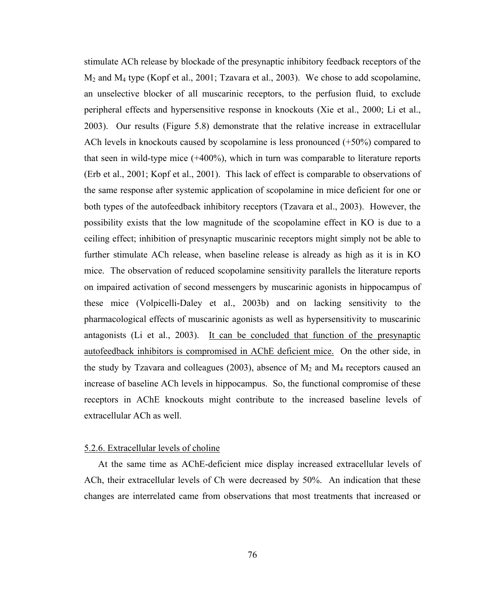stimulate ACh release by blockade of the presynaptic inhibitory feedback receptors of the  $M_2$  and  $M_4$  type (Kopf et al., 2001; Tzavara et al., 2003). We chose to add scopolamine, an unselective blocker of all muscarinic receptors, to the perfusion fluid, to exclude peripheral effects and hypersensitive response in knockouts (Xie et al., 2000; Li et al., 2003). Our results (Figure 5.8) demonstrate that the relative increase in extracellular ACh levels in knockouts caused by scopolamine is less pronounced (+50%) compared to that seen in wild-type mice (+400%), which in turn was comparable to literature reports (Erb et al., 2001; Kopf et al., 2001). This lack of effect is comparable to observations of the same response after systemic application of scopolamine in mice deficient for one or both types of the autofeedback inhibitory receptors (Tzavara et al., 2003). However, the possibility exists that the low magnitude of the scopolamine effect in KO is due to a ceiling effect; inhibition of presynaptic muscarinic receptors might simply not be able to further stimulate ACh release, when baseline release is already as high as it is in KO mice. The observation of reduced scopolamine sensitivity parallels the literature reports on impaired activation of second messengers by muscarinic agonists in hippocampus of these mice (Volpicelli-Daley et al., 2003b) and on lacking sensitivity to the pharmacological effects of muscarinic agonists as well as hypersensitivity to muscarinic antagonists (Li et al., 2003). It can be concluded that function of the presynaptic autofeedback inhibitors is compromised in AChE deficient mice. On the other side, in the study by Tzavara and colleagues (2003), absence of  $M_2$  and  $M_4$  receptors caused an increase of baseline ACh levels in hippocampus. So, the functional compromise of these receptors in AChE knockouts might contribute to the increased baseline levels of extracellular ACh as well.

#### 5.2.6. Extracellular levels of choline

At the same time as AChE-deficient mice display increased extracellular levels of ACh, their extracellular levels of Ch were decreased by 50%. An indication that these changes are interrelated came from observations that most treatments that increased or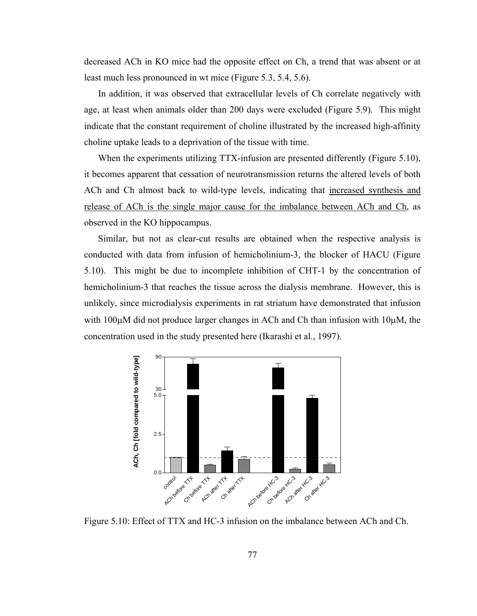decreased ACh in KO mice had the opposite effect on Ch, a trend that was absent or at least much less pronounced in wt mice (Figure 5.3, 5.4, 5.6).

In addition, it was observed that extracellular levels of Ch correlate negatively with age, at least when animals older than 200 days were excluded (Figure 5.9). This might indicate that the constant requirement of choline illustrated by the increased high-affinity choline uptake leads to a deprivation of the tissue with time.

When the experiments utilizing TTX-infusion are presented differently (Figure 5.10), it becomes apparent that cessation of neurotransmission returns the altered levels of both ACh and Ch almost back to wild-type levels, indicating that increased synthesis and release of ACh is the single major cause for the imbalance between ACh and Ch, as observed in the KO hippocampus.

Similar, but not as clear-cut results are obtained when the respective analysis is conducted with data from infusion of hemicholinium-3, the blocker of HACU (Figure 5.10). This might be due to incomplete inhibition of CHT-1 by the concentration of hemicholinium-3 that reaches the tissue across the dialysis membrane. However, this is unlikely, since microdialysis experiments in rat striatum have demonstrated that infusion with  $100\mu$ M did not produce larger changes in ACh and Ch than infusion with  $10\mu$ M, the concentration used in the study presented here (Ikarashi et al., 1997).



Figure 5.10: Effect of TTX and HC-3 infusion on the imbalance between ACh and Ch.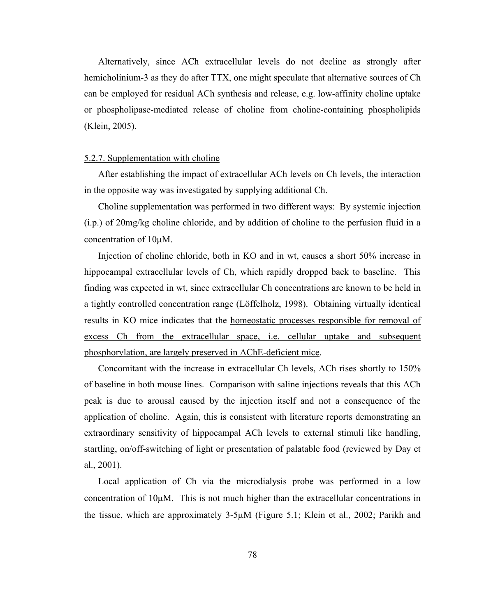Alternatively, since ACh extracellular levels do not decline as strongly after hemicholinium-3 as they do after TTX, one might speculate that alternative sources of Ch can be employed for residual ACh synthesis and release, e.g. low-affinity choline uptake or phospholipase-mediated release of choline from choline-containing phospholipids (Klein, 2005).

#### 5.2.7. Supplementation with choline

After establishing the impact of extracellular ACh levels on Ch levels, the interaction in the opposite way was investigated by supplying additional Ch.

Choline supplementation was performed in two different ways: By systemic injection (i.p.) of 20mg/kg choline chloride, and by addition of choline to the perfusion fluid in a concentration of 10μM.

Injection of choline chloride, both in KO and in wt, causes a short 50% increase in hippocampal extracellular levels of Ch, which rapidly dropped back to baseline. This finding was expected in wt, since extracellular Ch concentrations are known to be held in a tightly controlled concentration range (Löffelholz, 1998). Obtaining virtually identical results in KO mice indicates that the homeostatic processes responsible for removal of excess Ch from the extracellular space, i.e. cellular uptake and subsequent phosphorylation, are largely preserved in AChE-deficient mice.

Concomitant with the increase in extracellular Ch levels, ACh rises shortly to 150% of baseline in both mouse lines. Comparison with saline injections reveals that this ACh peak is due to arousal caused by the injection itself and not a consequence of the application of choline. Again, this is consistent with literature reports demonstrating an extraordinary sensitivity of hippocampal ACh levels to external stimuli like handling, startling, on/off-switching of light or presentation of palatable food (reviewed by Day et al., 2001).

Local application of Ch via the microdialysis probe was performed in a low concentration of 10μM. This is not much higher than the extracellular concentrations in the tissue, which are approximately  $3-5\mu$ M (Figure 5.1; Klein et al., 2002; Parikh and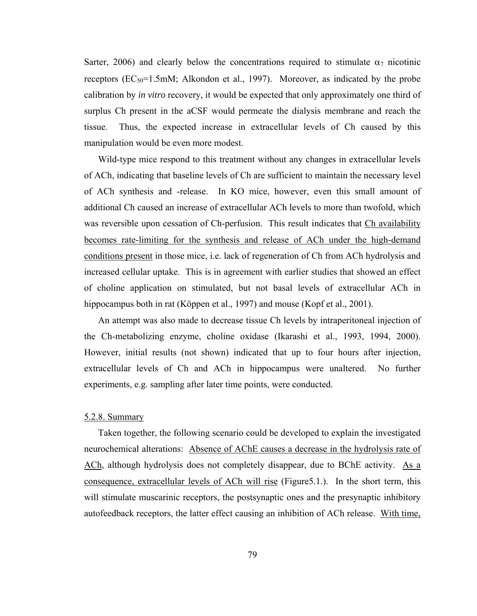Sarter, 2006) and clearly below the concentrations required to stimulate  $\alpha_7$  nicotinic receptors  $(EC_{50}=1.5 \text{mM})$ ; Alkondon et al., 1997). Moreover, as indicated by the probe calibration by *in vitro* recovery, it would be expected that only approximately one third of surplus Ch present in the aCSF would permeate the dialysis membrane and reach the tissue. Thus, the expected increase in extracellular levels of Ch caused by this manipulation would be even more modest.

Wild-type mice respond to this treatment without any changes in extracellular levels of ACh, indicating that baseline levels of Ch are sufficient to maintain the necessary level of ACh synthesis and -release. In KO mice, however, even this small amount of additional Ch caused an increase of extracellular ACh levels to more than twofold, which was reversible upon cessation of Ch-perfusion. This result indicates that Ch availability becomes rate-limiting for the synthesis and release of ACh under the high-demand conditions present in those mice, i.e. lack of regeneration of Ch from ACh hydrolysis and increased cellular uptake. This is in agreement with earlier studies that showed an effect of choline application on stimulated, but not basal levels of extracellular ACh in hippocampus both in rat (Köppen et al., 1997) and mouse (Kopf et al., 2001).

An attempt was also made to decrease tissue Ch levels by intraperitoneal injection of the Ch-metabolizing enzyme, choline oxidase (Ikarashi et al., 1993, 1994, 2000). However, initial results (not shown) indicated that up to four hours after injection, extracellular levels of Ch and ACh in hippocampus were unaltered. No further experiments, e.g. sampling after later time points, were conducted.

## 5.2.8. Summary

Taken together, the following scenario could be developed to explain the investigated neurochemical alterations: Absence of AChE causes a decrease in the hydrolysis rate of ACh, although hydrolysis does not completely disappear, due to BChE activity. As a consequence, extracellular levels of ACh will rise (Figure5.1.). In the short term, this will stimulate muscarinic receptors, the postsynaptic ones and the presynaptic inhibitory autofeedback receptors, the latter effect causing an inhibition of ACh release. With time,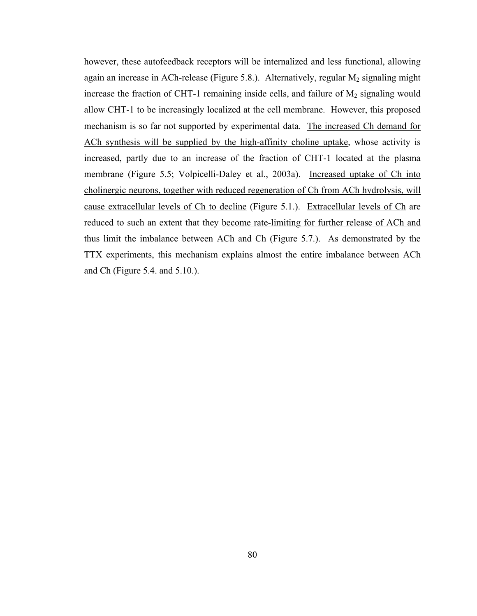however, these autofeedback receptors will be internalized and less functional, allowing again an increase in ACh-release (Figure 5.8.). Alternatively, regular  $M_2$  signaling might increase the fraction of CHT-1 remaining inside cells, and failure of  $M_2$  signaling would allow CHT-1 to be increasingly localized at the cell membrane. However, this proposed mechanism is so far not supported by experimental data. The increased Ch demand for ACh synthesis will be supplied by the high-affinity choline uptake, whose activity is increased, partly due to an increase of the fraction of CHT-1 located at the plasma membrane (Figure 5.5; Volpicelli-Daley et al., 2003a). Increased uptake of Ch into cholinergic neurons, together with reduced regeneration of Ch from ACh hydrolysis, will cause extracellular levels of Ch to decline (Figure 5.1.). Extracellular levels of Ch are reduced to such an extent that they become rate-limiting for further release of ACh and thus limit the imbalance between ACh and Ch (Figure 5.7.). As demonstrated by the TTX experiments, this mechanism explains almost the entire imbalance between ACh and Ch (Figure 5.4. and 5.10.).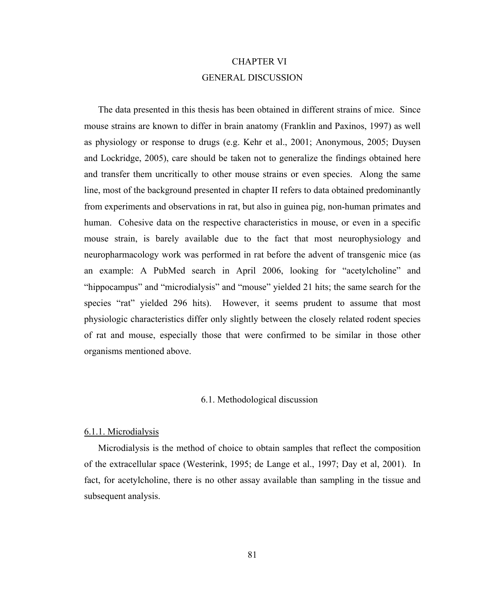# CHAPTER VI GENERAL DISCUSSION

The data presented in this thesis has been obtained in different strains of mice. Since mouse strains are known to differ in brain anatomy (Franklin and Paxinos, 1997) as well as physiology or response to drugs (e.g. Kehr et al., 2001; Anonymous, 2005; Duysen and Lockridge, 2005), care should be taken not to generalize the findings obtained here and transfer them uncritically to other mouse strains or even species. Along the same line, most of the background presented in chapter II refers to data obtained predominantly from experiments and observations in rat, but also in guinea pig, non-human primates and human. Cohesive data on the respective characteristics in mouse, or even in a specific mouse strain, is barely available due to the fact that most neurophysiology and neuropharmacology work was performed in rat before the advent of transgenic mice (as an example: A PubMed search in April 2006, looking for "acetylcholine" and "hippocampus" and "microdialysis" and "mouse" yielded 21 hits; the same search for the species "rat" yielded 296 hits). However, it seems prudent to assume that most physiologic characteristics differ only slightly between the closely related rodent species of rat and mouse, especially those that were confirmed to be similar in those other organisms mentioned above.

## 6.1. Methodological discussion

#### 6.1.1. Microdialysis

Microdialysis is the method of choice to obtain samples that reflect the composition of the extracellular space (Westerink, 1995; de Lange et al., 1997; Day et al, 2001). In fact, for acetylcholine, there is no other assay available than sampling in the tissue and subsequent analysis.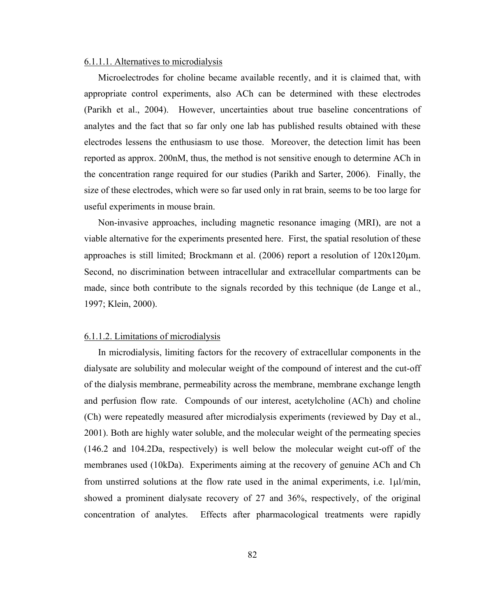#### 6.1.1.1. Alternatives to microdialysis

Microelectrodes for choline became available recently, and it is claimed that, with appropriate control experiments, also ACh can be determined with these electrodes (Parikh et al., 2004). However, uncertainties about true baseline concentrations of analytes and the fact that so far only one lab has published results obtained with these electrodes lessens the enthusiasm to use those. Moreover, the detection limit has been reported as approx. 200nM, thus, the method is not sensitive enough to determine ACh in the concentration range required for our studies (Parikh and Sarter, 2006). Finally, the size of these electrodes, which were so far used only in rat brain, seems to be too large for useful experiments in mouse brain.

Non-invasive approaches, including magnetic resonance imaging (MRI), are not a viable alternative for the experiments presented here. First, the spatial resolution of these approaches is still limited; Brockmann et al. (2006) report a resolution of 120x120μm. Second, no discrimination between intracellular and extracellular compartments can be made, since both contribute to the signals recorded by this technique (de Lange et al., 1997; Klein, 2000).

#### 6.1.1.2. Limitations of microdialysis

In microdialysis, limiting factors for the recovery of extracellular components in the dialysate are solubility and molecular weight of the compound of interest and the cut-off of the dialysis membrane, permeability across the membrane, membrane exchange length and perfusion flow rate. Compounds of our interest, acetylcholine (ACh) and choline (Ch) were repeatedly measured after microdialysis experiments (reviewed by Day et al., 2001). Both are highly water soluble, and the molecular weight of the permeating species (146.2 and 104.2Da, respectively) is well below the molecular weight cut-off of the membranes used (10kDa). Experiments aiming at the recovery of genuine ACh and Ch from unstirred solutions at the flow rate used in the animal experiments, i.e. 1μl/min, showed a prominent dialysate recovery of 27 and 36%, respectively, of the original concentration of analytes. Effects after pharmacological treatments were rapidly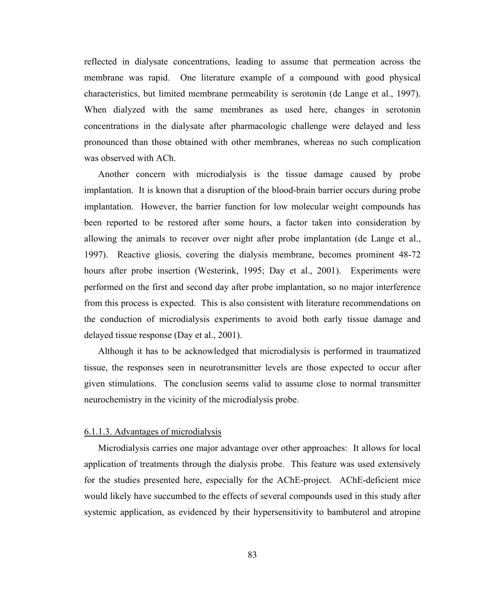reflected in dialysate concentrations, leading to assume that permeation across the membrane was rapid. One literature example of a compound with good physical characteristics, but limited membrane permeability is serotonin (de Lange et al., 1997). When dialyzed with the same membranes as used here, changes in serotonin concentrations in the dialysate after pharmacologic challenge were delayed and less pronounced than those obtained with other membranes, whereas no such complication was observed with ACh.

Another concern with microdialysis is the tissue damage caused by probe implantation. It is known that a disruption of the blood-brain barrier occurs during probe implantation. However, the barrier function for low molecular weight compounds has been reported to be restored after some hours, a factor taken into consideration by allowing the animals to recover over night after probe implantation (de Lange et al., 1997). Reactive gliosis, covering the dialysis membrane, becomes prominent 48-72 hours after probe insertion (Westerink, 1995; Day et al., 2001). Experiments were performed on the first and second day after probe implantation, so no major interference from this process is expected. This is also consistent with literature recommendations on the conduction of microdialysis experiments to avoid both early tissue damage and delayed tissue response (Day et al., 2001).

Although it has to be acknowledged that microdialysis is performed in traumatized tissue, the responses seen in neurotransmitter levels are those expected to occur after given stimulations. The conclusion seems valid to assume close to normal transmitter neurochemistry in the vicinity of the microdialysis probe.

#### 6.1.1.3. Advantages of microdialysis

Microdialysis carries one major advantage over other approaches: It allows for local application of treatments through the dialysis probe. This feature was used extensively for the studies presented here, especially for the AChE-project. AChE-deficient mice would likely have succumbed to the effects of several compounds used in this study after systemic application, as evidenced by their hypersensitivity to bambuterol and atropine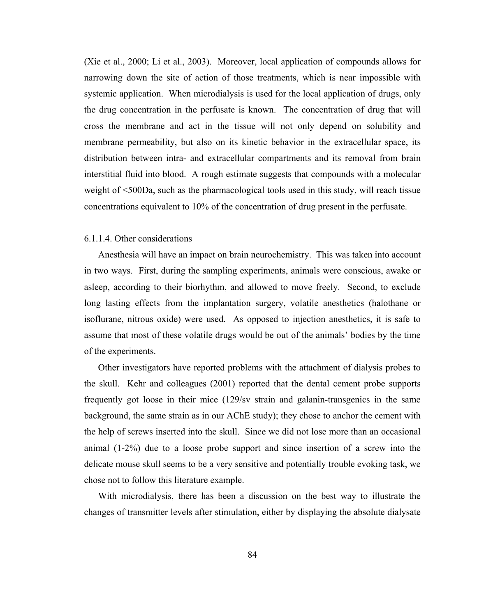(Xie et al., 2000; Li et al., 2003). Moreover, local application of compounds allows for narrowing down the site of action of those treatments, which is near impossible with systemic application. When microdialysis is used for the local application of drugs, only the drug concentration in the perfusate is known. The concentration of drug that will cross the membrane and act in the tissue will not only depend on solubility and membrane permeability, but also on its kinetic behavior in the extracellular space, its distribution between intra- and extracellular compartments and its removal from brain interstitial fluid into blood. A rough estimate suggests that compounds with a molecular weight of <500Da, such as the pharmacological tools used in this study, will reach tissue concentrations equivalent to 10% of the concentration of drug present in the perfusate.

#### 6.1.1.4. Other considerations

Anesthesia will have an impact on brain neurochemistry. This was taken into account in two ways. First, during the sampling experiments, animals were conscious, awake or asleep, according to their biorhythm, and allowed to move freely. Second, to exclude long lasting effects from the implantation surgery, volatile anesthetics (halothane or isoflurane, nitrous oxide) were used. As opposed to injection anesthetics, it is safe to assume that most of these volatile drugs would be out of the animals' bodies by the time of the experiments.

Other investigators have reported problems with the attachment of dialysis probes to the skull. Kehr and colleagues (2001) reported that the dental cement probe supports frequently got loose in their mice (129/sv strain and galanin-transgenics in the same background, the same strain as in our AChE study); they chose to anchor the cement with the help of screws inserted into the skull. Since we did not lose more than an occasional animal (1-2%) due to a loose probe support and since insertion of a screw into the delicate mouse skull seems to be a very sensitive and potentially trouble evoking task, we chose not to follow this literature example.

With microdialysis, there has been a discussion on the best way to illustrate the changes of transmitter levels after stimulation, either by displaying the absolute dialysate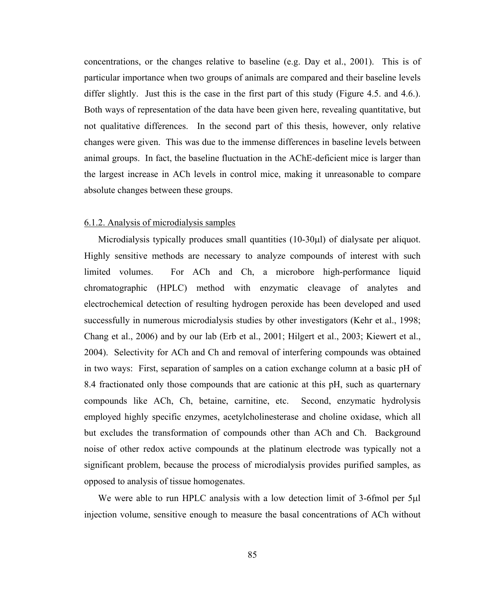concentrations, or the changes relative to baseline (e.g. Day et al., 2001). This is of particular importance when two groups of animals are compared and their baseline levels differ slightly. Just this is the case in the first part of this study (Figure 4.5. and 4.6.). Both ways of representation of the data have been given here, revealing quantitative, but not qualitative differences. In the second part of this thesis, however, only relative changes were given. This was due to the immense differences in baseline levels between animal groups. In fact, the baseline fluctuation in the AChE-deficient mice is larger than the largest increase in ACh levels in control mice, making it unreasonable to compare absolute changes between these groups.

#### 6.1.2. Analysis of microdialysis samples

Microdialysis typically produces small quantities (10-30μl) of dialysate per aliquot. Highly sensitive methods are necessary to analyze compounds of interest with such limited volumes. For ACh and Ch, a microbore high-performance liquid chromatographic (HPLC) method with enzymatic cleavage of analytes and electrochemical detection of resulting hydrogen peroxide has been developed and used successfully in numerous microdialysis studies by other investigators (Kehr et al., 1998; Chang et al., 2006) and by our lab (Erb et al., 2001; Hilgert et al., 2003; Kiewert et al., 2004). Selectivity for ACh and Ch and removal of interfering compounds was obtained in two ways: First, separation of samples on a cation exchange column at a basic pH of 8.4 fractionated only those compounds that are cationic at this pH, such as quarternary compounds like ACh, Ch, betaine, carnitine, etc. Second, enzymatic hydrolysis employed highly specific enzymes, acetylcholinesterase and choline oxidase, which all but excludes the transformation of compounds other than ACh and Ch. Background noise of other redox active compounds at the platinum electrode was typically not a significant problem, because the process of microdialysis provides purified samples, as opposed to analysis of tissue homogenates.

We were able to run HPLC analysis with a low detection limit of 3-6fmol per 5μl injection volume, sensitive enough to measure the basal concentrations of ACh without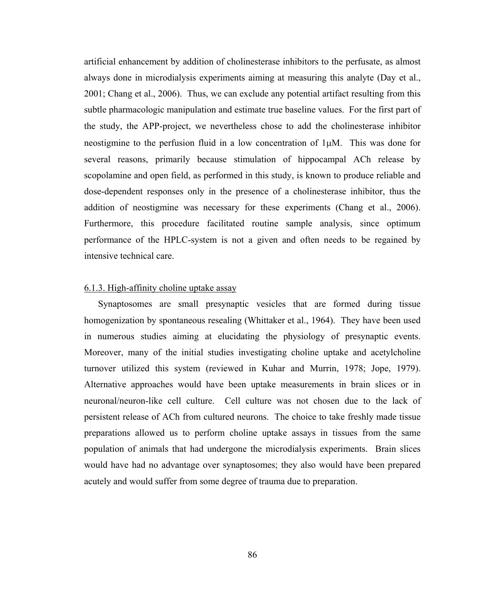artificial enhancement by addition of cholinesterase inhibitors to the perfusate, as almost always done in microdialysis experiments aiming at measuring this analyte (Day et al., 2001; Chang et al., 2006). Thus, we can exclude any potential artifact resulting from this subtle pharmacologic manipulation and estimate true baseline values. For the first part of the study, the APP-project, we nevertheless chose to add the cholinesterase inhibitor neostigmine to the perfusion fluid in a low concentration of 1μM. This was done for several reasons, primarily because stimulation of hippocampal ACh release by scopolamine and open field, as performed in this study, is known to produce reliable and dose-dependent responses only in the presence of a cholinesterase inhibitor, thus the addition of neostigmine was necessary for these experiments (Chang et al., 2006). Furthermore, this procedure facilitated routine sample analysis, since optimum performance of the HPLC-system is not a given and often needs to be regained by intensive technical care.

## 6.1.3. High-affinity choline uptake assay

Synaptosomes are small presynaptic vesicles that are formed during tissue homogenization by spontaneous resealing (Whittaker et al., 1964). They have been used in numerous studies aiming at elucidating the physiology of presynaptic events. Moreover, many of the initial studies investigating choline uptake and acetylcholine turnover utilized this system (reviewed in Kuhar and Murrin, 1978; Jope, 1979). Alternative approaches would have been uptake measurements in brain slices or in neuronal/neuron-like cell culture. Cell culture was not chosen due to the lack of persistent release of ACh from cultured neurons. The choice to take freshly made tissue preparations allowed us to perform choline uptake assays in tissues from the same population of animals that had undergone the microdialysis experiments. Brain slices would have had no advantage over synaptosomes; they also would have been prepared acutely and would suffer from some degree of trauma due to preparation.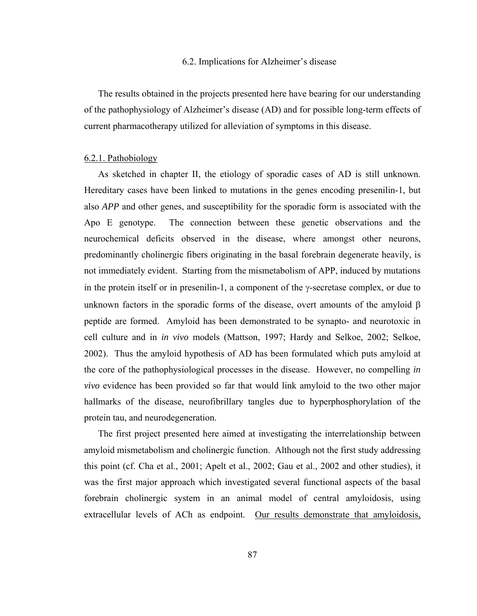#### 6.2. Implications for Alzheimer's disease

The results obtained in the projects presented here have bearing for our understanding of the pathophysiology of Alzheimer's disease (AD) and for possible long-term effects of current pharmacotherapy utilized for alleviation of symptoms in this disease.

#### 6.2.1. Pathobiology

As sketched in chapter II, the etiology of sporadic cases of AD is still unknown. Hereditary cases have been linked to mutations in the genes encoding presenilin-1, but also *APP* and other genes, and susceptibility for the sporadic form is associated with the Apo E genotype. The connection between these genetic observations and the neurochemical deficits observed in the disease, where amongst other neurons, predominantly cholinergic fibers originating in the basal forebrain degenerate heavily, is not immediately evident. Starting from the mismetabolism of APP, induced by mutations in the protein itself or in presenilin-1, a component of the γ-secretase complex, or due to unknown factors in the sporadic forms of the disease, overt amounts of the amyloid β peptide are formed. Amyloid has been demonstrated to be synapto- and neurotoxic in cell culture and in *in vivo* models (Mattson, 1997; Hardy and Selkoe, 2002; Selkoe, 2002). Thus the amyloid hypothesis of AD has been formulated which puts amyloid at the core of the pathophysiological processes in the disease. However, no compelling *in vivo* evidence has been provided so far that would link amyloid to the two other major hallmarks of the disease, neurofibrillary tangles due to hyperphosphorylation of the protein tau, and neurodegeneration.

The first project presented here aimed at investigating the interrelationship between amyloid mismetabolism and cholinergic function. Although not the first study addressing this point (cf. Cha et al., 2001; Apelt et al., 2002; Gau et al., 2002 and other studies), it was the first major approach which investigated several functional aspects of the basal forebrain cholinergic system in an animal model of central amyloidosis, using extracellular levels of ACh as endpoint. Our results demonstrate that amyloidosis,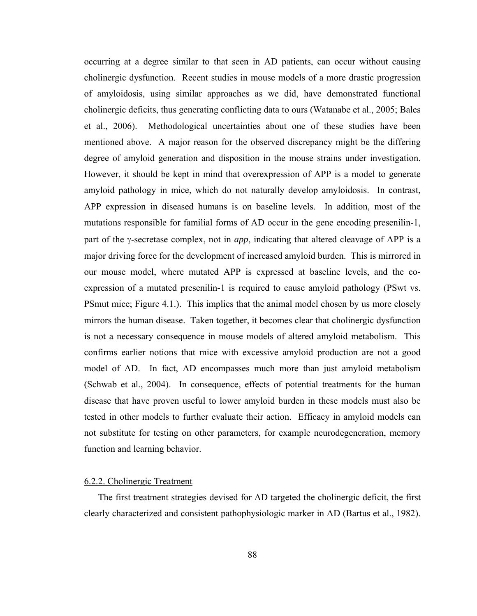occurring at a degree similar to that seen in AD patients, can occur without causing cholinergic dysfunction. Recent studies in mouse models of a more drastic progression of amyloidosis, using similar approaches as we did, have demonstrated functional cholinergic deficits, thus generating conflicting data to ours (Watanabe et al., 2005; Bales et al., 2006). Methodological uncertainties about one of these studies have been mentioned above. A major reason for the observed discrepancy might be the differing degree of amyloid generation and disposition in the mouse strains under investigation. However, it should be kept in mind that overexpression of APP is a model to generate amyloid pathology in mice, which do not naturally develop amyloidosis. In contrast, APP expression in diseased humans is on baseline levels. In addition, most of the mutations responsible for familial forms of AD occur in the gene encoding presenilin-1, part of the γ-secretase complex, not in *app*, indicating that altered cleavage of APP is a major driving force for the development of increased amyloid burden. This is mirrored in our mouse model, where mutated APP is expressed at baseline levels, and the coexpression of a mutated presenilin-1 is required to cause amyloid pathology (PSwt vs. PSmut mice; Figure 4.1.). This implies that the animal model chosen by us more closely mirrors the human disease. Taken together, it becomes clear that cholinergic dysfunction is not a necessary consequence in mouse models of altered amyloid metabolism. This confirms earlier notions that mice with excessive amyloid production are not a good model of AD. In fact, AD encompasses much more than just amyloid metabolism (Schwab et al., 2004). In consequence, effects of potential treatments for the human disease that have proven useful to lower amyloid burden in these models must also be tested in other models to further evaluate their action. Efficacy in amyloid models can not substitute for testing on other parameters, for example neurodegeneration, memory function and learning behavior.

## 6.2.2. Cholinergic Treatment

The first treatment strategies devised for AD targeted the cholinergic deficit, the first clearly characterized and consistent pathophysiologic marker in AD (Bartus et al., 1982).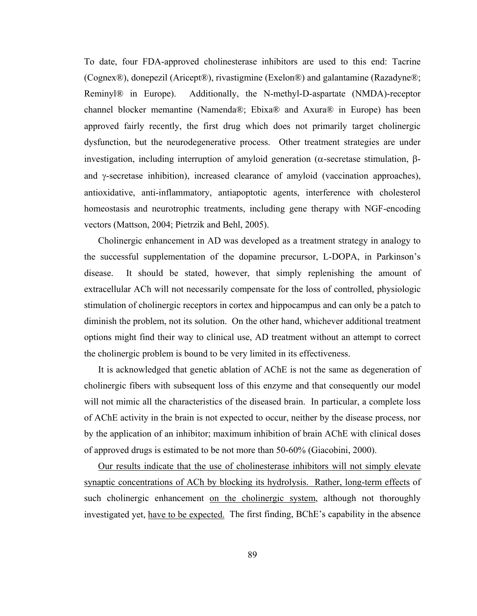To date, four FDA-approved cholinesterase inhibitors are used to this end: Tacrine (Cognex®), donepezil (Aricept®), rivastigmine (Exelon®) and galantamine (Razadyne®; Reminyl® in Europe). Additionally, the N-methyl-D-aspartate (NMDA)-receptor channel blocker memantine (Namenda®; Ebixa® and Axura® in Europe) has been approved fairly recently, the first drug which does not primarily target cholinergic dysfunction, but the neurodegenerative process. Other treatment strategies are under investigation, including interruption of amyloid generation (α-secretase stimulation, βand γ-secretase inhibition), increased clearance of amyloid (vaccination approaches), antioxidative, anti-inflammatory, antiapoptotic agents, interference with cholesterol homeostasis and neurotrophic treatments, including gene therapy with NGF-encoding vectors (Mattson, 2004; Pietrzik and Behl, 2005).

Cholinergic enhancement in AD was developed as a treatment strategy in analogy to the successful supplementation of the dopamine precursor, L-DOPA, in Parkinson's disease. It should be stated, however, that simply replenishing the amount of extracellular ACh will not necessarily compensate for the loss of controlled, physiologic stimulation of cholinergic receptors in cortex and hippocampus and can only be a patch to diminish the problem, not its solution. On the other hand, whichever additional treatment options might find their way to clinical use, AD treatment without an attempt to correct the cholinergic problem is bound to be very limited in its effectiveness.

It is acknowledged that genetic ablation of AChE is not the same as degeneration of cholinergic fibers with subsequent loss of this enzyme and that consequently our model will not mimic all the characteristics of the diseased brain. In particular, a complete loss of AChE activity in the brain is not expected to occur, neither by the disease process, nor by the application of an inhibitor; maximum inhibition of brain AChE with clinical doses of approved drugs is estimated to be not more than 50-60% (Giacobini, 2000).

Our results indicate that the use of cholinesterase inhibitors will not simply elevate synaptic concentrations of ACh by blocking its hydrolysis. Rather, long-term effects of such cholinergic enhancement on the cholinergic system, although not thoroughly investigated yet, have to be expected. The first finding, BChE's capability in the absence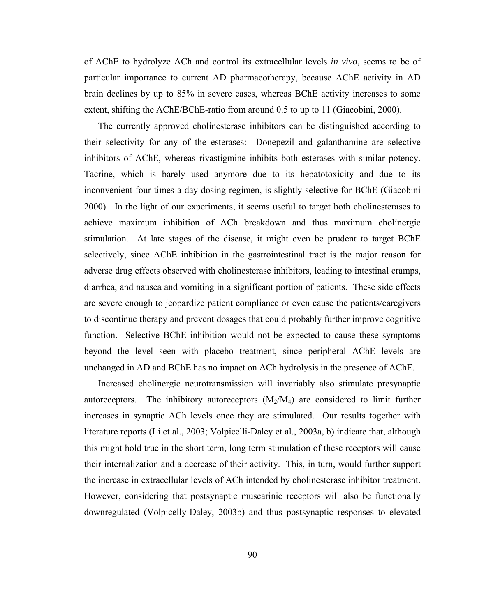of AChE to hydrolyze ACh and control its extracellular levels *in vivo*, seems to be of particular importance to current AD pharmacotherapy, because AChE activity in AD brain declines by up to 85% in severe cases, whereas BChE activity increases to some extent, shifting the AChE/BChE-ratio from around 0.5 to up to 11 (Giacobini, 2000).

The currently approved cholinesterase inhibitors can be distinguished according to their selectivity for any of the esterases: Donepezil and galanthamine are selective inhibitors of AChE, whereas rivastigmine inhibits both esterases with similar potency. Tacrine, which is barely used anymore due to its hepatotoxicity and due to its inconvenient four times a day dosing regimen, is slightly selective for BChE (Giacobini 2000). In the light of our experiments, it seems useful to target both cholinesterases to achieve maximum inhibition of ACh breakdown and thus maximum cholinergic stimulation. At late stages of the disease, it might even be prudent to target BChE selectively, since AChE inhibition in the gastrointestinal tract is the major reason for adverse drug effects observed with cholinesterase inhibitors, leading to intestinal cramps, diarrhea, and nausea and vomiting in a significant portion of patients. These side effects are severe enough to jeopardize patient compliance or even cause the patients/caregivers to discontinue therapy and prevent dosages that could probably further improve cognitive function. Selective BChE inhibition would not be expected to cause these symptoms beyond the level seen with placebo treatment, since peripheral AChE levels are unchanged in AD and BChE has no impact on ACh hydrolysis in the presence of AChE.

Increased cholinergic neurotransmission will invariably also stimulate presynaptic autoreceptors. The inhibitory autoreceptors  $(M_2/M_4)$  are considered to limit further increases in synaptic ACh levels once they are stimulated. Our results together with literature reports (Li et al., 2003; Volpicelli-Daley et al., 2003a, b) indicate that, although this might hold true in the short term, long term stimulation of these receptors will cause their internalization and a decrease of their activity. This, in turn, would further support the increase in extracellular levels of ACh intended by cholinesterase inhibitor treatment. However, considering that postsynaptic muscarinic receptors will also be functionally downregulated (Volpicelly-Daley, 2003b) and thus postsynaptic responses to elevated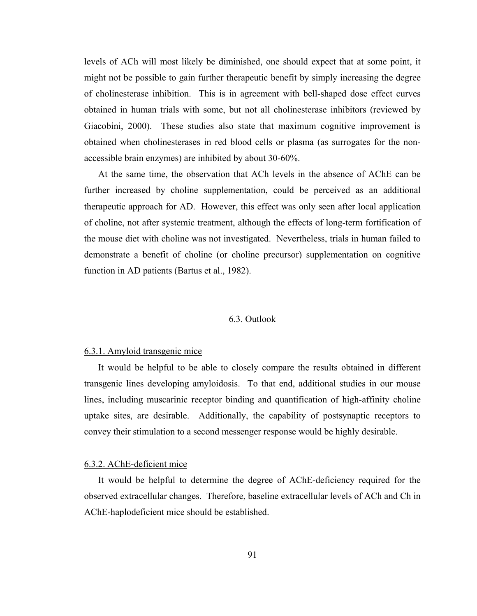levels of ACh will most likely be diminished, one should expect that at some point, it might not be possible to gain further therapeutic benefit by simply increasing the degree of cholinesterase inhibition. This is in agreement with bell-shaped dose effect curves obtained in human trials with some, but not all cholinesterase inhibitors (reviewed by Giacobini, 2000). These studies also state that maximum cognitive improvement is obtained when cholinesterases in red blood cells or plasma (as surrogates for the nonaccessible brain enzymes) are inhibited by about 30-60%.

At the same time, the observation that ACh levels in the absence of AChE can be further increased by choline supplementation, could be perceived as an additional therapeutic approach for AD. However, this effect was only seen after local application of choline, not after systemic treatment, although the effects of long-term fortification of the mouse diet with choline was not investigated. Nevertheless, trials in human failed to demonstrate a benefit of choline (or choline precursor) supplementation on cognitive function in AD patients (Bartus et al., 1982).

## 6.3. Outlook

## 6.3.1. Amyloid transgenic mice

It would be helpful to be able to closely compare the results obtained in different transgenic lines developing amyloidosis. To that end, additional studies in our mouse lines, including muscarinic receptor binding and quantification of high-affinity choline uptake sites, are desirable. Additionally, the capability of postsynaptic receptors to convey their stimulation to a second messenger response would be highly desirable.

## 6.3.2. AChE-deficient mice

It would be helpful to determine the degree of AChE-deficiency required for the observed extracellular changes. Therefore, baseline extracellular levels of ACh and Ch in AChE-haplodeficient mice should be established.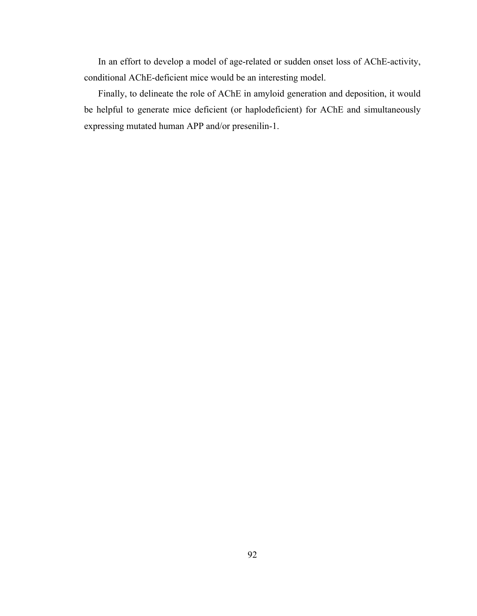In an effort to develop a model of age-related or sudden onset loss of AChE-activity, conditional AChE-deficient mice would be an interesting model.

Finally, to delineate the role of AChE in amyloid generation and deposition, it would be helpful to generate mice deficient (or haplodeficient) for AChE and simultaneously expressing mutated human APP and/or presenilin-1.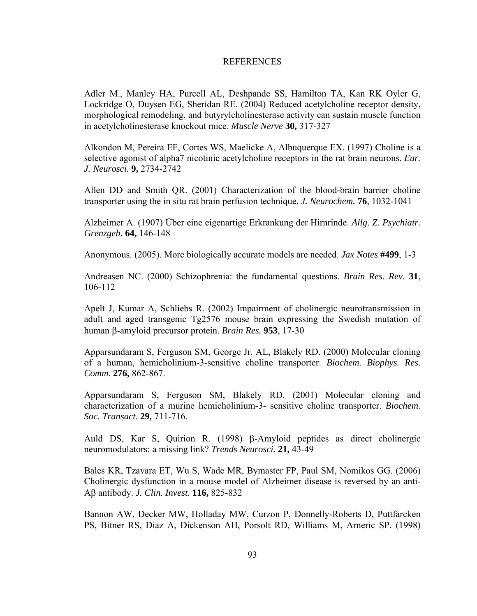## REFERENCES

Adler M., Manley HA, Purcell AL, Deshpande SS, Hamilton TA, Kan RK Oyler G, Lockridge O, Duysen EG, Sheridan RE. (2004) Reduced acetylcholine receptor density, morphological remodeling, and butyrylcholinesterase activity can sustain muscle function in acetylcholinesterase knockout mice. *Muscle Nerve* **30,** 317-327

Alkondon M, Pereira EF, Cortes WS, Maelicke A, Albuquerque EX. (1997) Choline is a selective agonist of alpha7 nicotinic acetylcholine receptors in the rat brain neurons. *Eur. J. Neurosci.* **9,** 2734-2742

Allen DD and Smith QR. (2001) Characterization of the blood-brain barrier choline transporter using the in situ rat brain perfusion technique. *J. Neurochem.* **76**, 1032-1041

Alzheimer A. (1907) Über eine eigenartige Erkrankung der Hirnrinde. *Allg. Z. Psychiatr. Grenzgeb.* **64,** 146-148

Anonymous. (2005). More biologically accurate models are needed. *Jax Notes* **#499**, 1-3

Andreasen NC. (2000) Schizophrenia: the fundamental questions. *Brain Res. Rev.* **31**, 106-112

Apelt J, Kumar A, Schliebs R. (2002) Impairment of cholinergic neurotransmission in adult and aged transgenic Tg2576 mouse brain expressing the Swedish mutation of human β-amyloid precursor protein. *Brain Res.* **953**, 17-30

Apparsundaram S, Ferguson SM, George Jr. AL, Blakely RD. (2000) Molecular cloning of a human, hemicholinium-3-sensitive choline transporter. *Biochem. Biophys. Res. Comm.* **276,** 862-867.

Apparsundaram S, Ferguson SM, Blakely RD. (2001) Molecular cloning and characterization of a murine hemicholinium-3- sensitive choline transporter. *Biochem. Soc. Transact.* **29,** 711-716.

Auld DS, Kar S, Quirion R. (1998) β-Amyloid peptides as direct cholinergic neuromodulators: a missing link? *Trends Neurosci.* **21,** 43-49

Bales KR, Tzavara ET, Wu S, Wade MR, Bymaster FP, Paul SM, Nomikos GG. (2006) Cholinergic dysfunction in a mouse model of Alzheimer disease is reversed by an anti-Aβ antibody. *J. Clin. Invest.* **116,** 825-832

Bannon AW, Decker MW, Holladay MW, Curzon P, Donnelly-Roberts D, Puttfarcken PS, Bitner RS, Diaz A, Dickenson AH, Porsolt RD, Williams M, Arneric SP. (1998)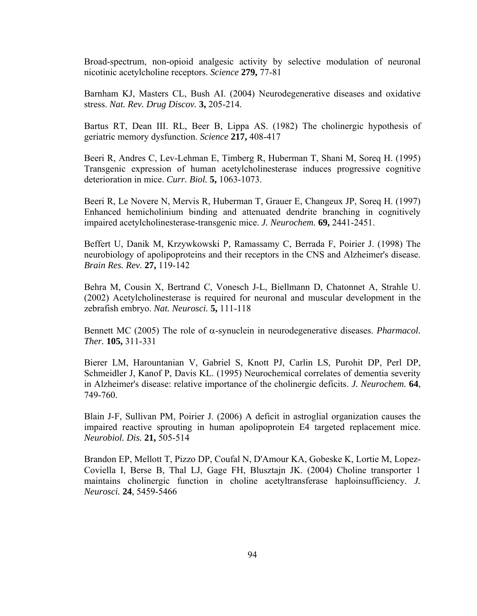Broad-spectrum, non-opioid analgesic activity by selective modulation of neuronal nicotinic acetylcholine receptors. *Science* **279,** 77-81

Barnham KJ, Masters CL, Bush AI. (2004) Neurodegenerative diseases and oxidative stress. *Nat. Rev. Drug Discov.* **3,** 205-214.

Bartus RT, Dean III. RL, Beer B, Lippa AS. (1982) The cholinergic hypothesis of geriatric memory dysfunction. *Science* **217,** 408-417

Beeri R, Andres C, Lev-Lehman E, Timberg R, Huberman T, Shani M, Soreq H. (1995) Transgenic expression of human acetylcholinesterase induces progressive cognitive deterioration in mice. *Curr. Biol.* **5,** 1063-1073.

Beeri R, Le Novere N, Mervis R, Huberman T, Grauer E, Changeux JP, Soreq H. (1997) Enhanced hemicholinium binding and attenuated dendrite branching in cognitively impaired acetylcholinesterase-transgenic mice. *J. Neurochem.* **69,** 2441-2451.

Beffert U, Danik M, Krzywkowski P, Ramassamy C, Berrada F, Poirier J. (1998) The neurobiology of apolipoproteins and their receptors in the CNS and Alzheimer's disease. *Brain Res. Rev.* **27,** 119-142

Behra M, Cousin X, Bertrand C, Vonesch J-L, Biellmann D, Chatonnet A, Strahle U. (2002) Acetylcholinesterase is required for neuronal and muscular development in the zebrafish embryo. *Nat. Neurosci.* **5,** 111-118

Bennett MC (2005) The role of α-synuclein in neurodegenerative diseases. *Pharmacol. Ther.* **105,** 311-331

Bierer LM, Harountanian V, Gabriel S, Knott PJ, Carlin LS, Purohit DP, Perl DP, Schmeidler J, Kanof P, Davis KL. (1995) Neurochemical correlates of dementia severity in Alzheimer's disease: relative importance of the cholinergic deficits. *J. Neurochem.* **64**, 749-760.

Blain J-F, Sullivan PM, Poirier J. (2006) A deficit in astroglial organization causes the impaired reactive sprouting in human apolipoprotein E4 targeted replacement mice. *Neurobiol. Dis.* **21,** 505-514

Brandon EP, Mellott T, Pizzo DP, Coufal N, D'Amour KA, Gobeske K, Lortie M, Lopez-Coviella I, Berse B, Thal LJ, Gage FH, Blusztajn JK. (2004) Choline transporter 1 maintains cholinergic function in choline acetyltransferase haploinsufficiency. *J. Neurosci.* **24**, 5459-5466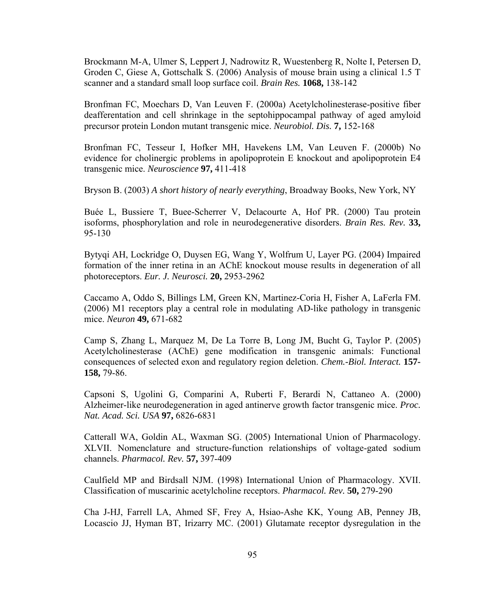Brockmann M-A, Ulmer S, Leppert J, Nadrowitz R, Wuestenberg R, Nolte I, Petersen D, Groden C, Giese A, Gottschalk S. (2006) Analysis of mouse brain using a clinical 1.5 T scanner and a standard small loop surface coil. *Brain Res.* **1068,** 138-142

Bronfman FC, Moechars D, Van Leuven F. (2000a) Acetylcholinesterase-positive fiber deafferentation and cell shrinkage in the septohippocampal pathway of aged amyloid precursor protein London mutant transgenic mice. *Neurobiol. Dis.* **7,** 152-168

Bronfman FC, Tesseur I, Hofker MH, Havekens LM, Van Leuven F. (2000b) No evidence for cholinergic problems in apolipoprotein E knockout and apolipoprotein E4 transgenic mice. *Neuroscience* **97,** 411-418

Bryson B. (2003) *A short history of nearly everything*, Broadway Books, New York, NY

Buée L, Bussiere T, Buee-Scherrer V, Delacourte A, Hof PR. (2000) Tau protein isoforms, phosphorylation and role in neurodegenerative disorders. *Brain Res. Rev.* **33,**  95-130

Bytyqi AH, Lockridge O, Duysen EG, Wang Y, Wolfrum U, Layer PG. (2004) Impaired formation of the inner retina in an AChE knockout mouse results in degeneration of all photoreceptors. *Eur. J. Neurosci.* **20,** 2953-2962

Caccamo A, Oddo S, Billings LM, Green KN, Martinez-Coria H, Fisher A, LaFerla FM. (2006) M1 receptors play a central role in modulating AD-like pathology in transgenic mice. *Neuron* **49,** 671-682

Camp S, Zhang L, Marquez M, De La Torre B, Long JM, Bucht G, Taylor P. (2005) Acetylcholinesterase (AChE) gene modification in transgenic animals: Functional consequences of selected exon and regulatory region deletion. *Chem.-Biol. Interact.* **157- 158,** 79-86.

Capsoni S, Ugolini G, Comparini A, Ruberti F, Berardi N, Cattaneo A. (2000) Alzheimer-like neurodegeneration in aged antinerve growth factor transgenic mice. *Proc. Nat. Acad. Sci. USA* **97,** 6826-6831

Catterall WA, Goldin AL, Waxman SG. (2005) International Union of Pharmacology. XLVII. Nomenclature and structure-function relationships of voltage-gated sodium channels. *Pharmacol. Rev.* **57,** 397-409

Caulfield MP and Birdsall NJM. (1998) International Union of Pharmacology. XVII. Classification of muscarinic acetylcholine receptors. *Pharmacol. Rev.* **50,** 279-290

Cha J-HJ, Farrell LA, Ahmed SF, Frey A, Hsiao-Ashe KK, Young AB, Penney JB, Locascio JJ, Hyman BT, Irizarry MC. (2001) Glutamate receptor dysregulation in the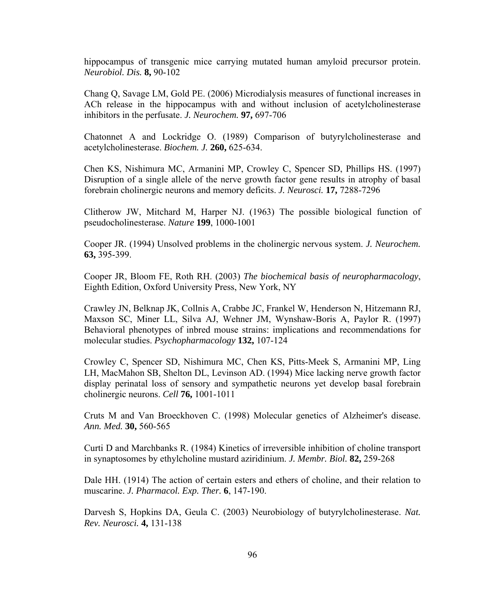hippocampus of transgenic mice carrying mutated human amyloid precursor protein. *Neurobiol. Dis.* **8,** 90-102

Chang Q, Savage LM, Gold PE. (2006) Microdialysis measures of functional increases in ACh release in the hippocampus with and without inclusion of acetylcholinesterase inhibitors in the perfusate. *J. Neurochem.* **97,** 697-706

Chatonnet A and Lockridge O. (1989) Comparison of butyrylcholinesterase and acetylcholinesterase. *Biochem. J.* **260,** 625-634.

Chen KS, Nishimura MC, Armanini MP, Crowley C, Spencer SD, Phillips HS. (1997) Disruption of a single allele of the nerve growth factor gene results in atrophy of basal forebrain cholinergic neurons and memory deficits. *J. Neurosci.* **17,** 7288-7296

Clitherow JW, Mitchard M, Harper NJ. (1963) The possible biological function of pseudocholinesterase. *Nature* **199**, 1000-1001

Cooper JR. (1994) Unsolved problems in the cholinergic nervous system. *J. Neurochem.* **63,** 395-399.

Cooper JR, Bloom FE, Roth RH. (2003) *The biochemical basis of neuropharmacology*, Eighth Edition, Oxford University Press, New York, NY

Crawley JN, Belknap JK, Collnis A, Crabbe JC, Frankel W, Henderson N, Hitzemann RJ, Maxson SC, Miner LL, Silva AJ, Wehner JM, Wynshaw-Boris A, Paylor R. (1997) Behavioral phenotypes of inbred mouse strains: implications and recommendations for molecular studies. *Psychopharmacology* **132,** 107-124

Crowley C, Spencer SD, Nishimura MC, Chen KS, Pitts-Meek S, Armanini MP, Ling LH, MacMahon SB, Shelton DL, Levinson AD. (1994) Mice lacking nerve growth factor display perinatal loss of sensory and sympathetic neurons yet develop basal forebrain cholinergic neurons. *Cell* **76,** 1001-1011

Cruts M and Van Broeckhoven C. (1998) Molecular genetics of Alzheimer's disease. *Ann. Med.* **30,** 560-565

Curti D and Marchbanks R. (1984) Kinetics of irreversible inhibition of choline transport in synaptosomes by ethylcholine mustard aziridinium. *J. Membr. Biol.* **82,** 259-268

Dale HH. (1914) The action of certain esters and ethers of choline, and their relation to muscarine. *J. Pharmacol. Exp. Ther.* **6**, 147-190.

Darvesh S, Hopkins DA, Geula C. (2003) Neurobiology of butyrylcholinesterase. *Nat. Rev. Neurosci.* **4,** 131-138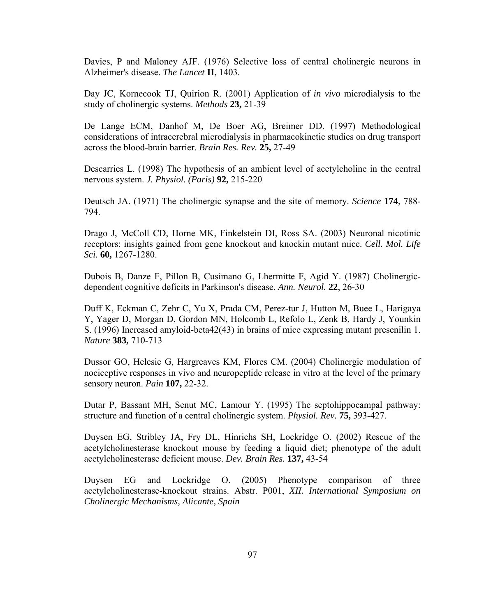Davies, P and Maloney AJF. (1976) Selective loss of central cholinergic neurons in Alzheimer's disease. *The Lancet* **II**, 1403.

Day JC, Kornecook TJ, Quirion R. (2001) Application of *in vivo* microdialysis to the study of cholinergic systems. *Methods* **23,** 21-39

De Lange ECM, Danhof M, De Boer AG, Breimer DD. (1997) Methodological considerations of intracerebral microdialysis in pharmacokinetic studies on drug transport across the blood-brain barrier. *Brain Res. Rev.* **25,** 27-49

Descarries L. (1998) The hypothesis of an ambient level of acetylcholine in the central nervous system. *J. Physiol. (Paris)* **92,** 215-220

Deutsch JA. (1971) The cholinergic synapse and the site of memory. *Science* **174**, 788- 794.

Drago J, McColl CD, Horne MK, Finkelstein DI, Ross SA. (2003) Neuronal nicotinic receptors: insights gained from gene knockout and knockin mutant mice. *Cell. Mol. Life Sci.* **60,** 1267-1280.

Dubois B, Danze F, Pillon B, Cusimano G, Lhermitte F, Agid Y. (1987) Cholinergicdependent cognitive deficits in Parkinson's disease. *Ann. Neurol.* **22**, 26-30

Duff K, Eckman C, Zehr C, Yu X, Prada CM, Perez-tur J, Hutton M, Buee L, Harigaya Y, Yager D, Morgan D, Gordon MN, Holcomb L, Refolo L, Zenk B, Hardy J, Younkin S. (1996) Increased amyloid-beta42(43) in brains of mice expressing mutant presenilin 1. *Nature* **383,** 710-713

Dussor GO, Helesic G, Hargreaves KM, Flores CM. (2004) Cholinergic modulation of nociceptive responses in vivo and neuropeptide release in vitro at the level of the primary sensory neuron. *Pain* **107,** 22-32.

Dutar P, Bassant MH, Senut MC, Lamour Y. (1995) The septohippocampal pathway: structure and function of a central cholinergic system. *Physiol. Rev.* **75,** 393-427.

Duysen EG, Stribley JA, Fry DL, Hinrichs SH, Lockridge O. (2002) Rescue of the acetylcholinesterase knockout mouse by feeding a liquid diet; phenotype of the adult acetylcholinesterase deficient mouse. *Dev. Brain Res.* **137,** 43-54

Duysen EG and Lockridge O. (2005) Phenotype comparison of three acetylcholinesterase-knockout strains. Abstr. P001, *XII. International Symposium on Cholinergic Mechanisms, Alicante, Spain*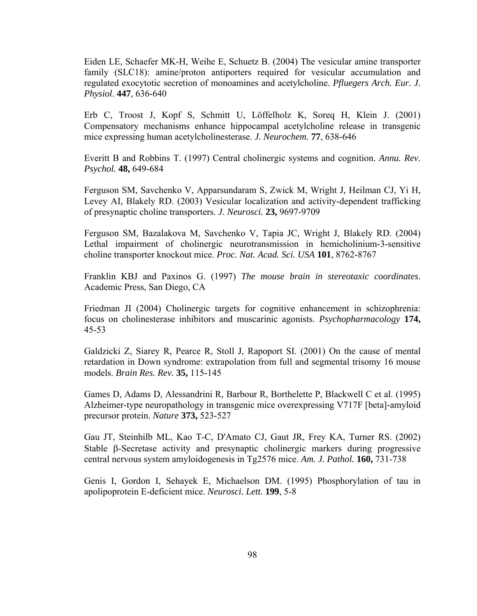Eiden LE, Schaefer MK-H, Weihe E, Schuetz B. (2004) The vesicular amine transporter family (SLC18): amine/proton antiporters required for vesicular accumulation and regulated exocytotic secretion of monoamines and acetylcholine. *Pfluegers Arch. Eur. J. Physiol*. **447**, 636-640

Erb C, Troost J, Kopf S, Schmitt U, Löffelholz K, Soreq H, Klein J. (2001) Compensatory mechanisms enhance hippocampal acetylcholine release in transgenic mice expressing human acetylcholinesterase. *J. Neurochem.* **77**, 638-646

Everitt B and Robbins T. (1997) Central cholinergic systems and cognition. *Annu. Rev. Psychol.* **48,** 649-684

Ferguson SM, Savchenko V, Apparsundaram S, Zwick M, Wright J, Heilman CJ, Yi H, Levey AI, Blakely RD. (2003) Vesicular localization and activity-dependent trafficking of presynaptic choline transporters. *J. Neurosci.* **23,** 9697-9709

Ferguson SM, Bazalakova M, Savchenko V, Tapia JC, Wright J, Blakely RD. (2004) Lethal impairment of cholinergic neurotransmission in hemicholinium-3-sensitive choline transporter knockout mice. *Proc. Nat. Acad. Sci. USA* **101**, 8762-8767

Franklin KBJ and Paxinos G. (1997) *The mouse brain in stereotaxic coordinates*. Academic Press, San Diego, CA

Friedman JI (2004) Cholinergic targets for cognitive enhancement in schizophrenia: focus on cholinesterase inhibitors and muscarinic agonists. *Psychopharmacology* **174,**  45-53

Galdzicki Z, Siarey R, Pearce R, Stoll J, Rapoport SI. (2001) On the cause of mental retardation in Down syndrome: extrapolation from full and segmental trisomy 16 mouse models. *Brain Res. Rev.* **35,** 115-145

Games D, Adams D, Alessandrini R, Barbour R, Borthelette P, Blackwell C et al. (1995) Alzheimer-type neuropathology in transgenic mice overexpressing V717F [beta]-amyloid precursor protein. *Nature* **373,** 523-527

Gau JT, Steinhilb ML, Kao T-C, D'Amato CJ, Gaut JR, Frey KA, Turner RS. (2002) Stable β-Secretase activity and presynaptic cholinergic markers during progressive central nervous system amyloidogenesis in Tg2576 mice. *Am. J. Pathol.* **160,** 731-738

Genis I, Gordon I, Sehayek E, Michaelson DM. (1995) Phosphorylation of tau in apolipoprotein E-deficient mice. *Neurosci. Lett.* **199**, 5-8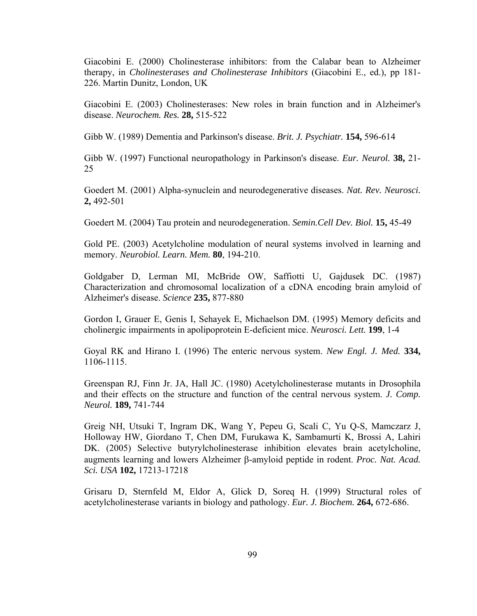Giacobini E. (2000) Cholinesterase inhibitors: from the Calabar bean to Alzheimer therapy, in *Cholinesterases and Cholinesterase Inhibitors* (Giacobini E., ed.), pp 181- 226. Martin Dunitz, London, UK

Giacobini E. (2003) Cholinesterases: New roles in brain function and in Alzheimer's disease. *Neurochem. Res.* **28,** 515-522

Gibb W. (1989) Dementia and Parkinson's disease. *Brit. J. Psychiatr.* **154,** 596-614

Gibb W. (1997) Functional neuropathology in Parkinson's disease. *Eur. Neurol.* **38,** 21- 25

Goedert M. (2001) Alpha-synuclein and neurodegenerative diseases. *Nat. Rev. Neurosci.* **2,** 492-501

Goedert M. (2004) Tau protein and neurodegeneration. *Semin.Cell Dev. Biol.* **15,** 45-49

Gold PE. (2003) Acetylcholine modulation of neural systems involved in learning and memory. *Neurobiol. Learn. Mem.* **80**, 194-210.

Goldgaber D, Lerman MI, McBride OW, Saffiotti U, Gajdusek DC. (1987) Characterization and chromosomal localization of a cDNA encoding brain amyloid of Alzheimer's disease. *Science* **235,** 877-880

Gordon I, Grauer E, Genis I, Sehayek E, Michaelson DM. (1995) Memory deficits and cholinergic impairments in apolipoprotein E-deficient mice. *Neurosci. Lett.* **199**, 1-4

Goyal RK and Hirano I. (1996) The enteric nervous system. *New Engl. J. Med.* **334,**  1106-1115.

Greenspan RJ, Finn Jr. JA, Hall JC. (1980) Acetylcholinesterase mutants in Drosophila and their effects on the structure and function of the central nervous system. *J. Comp. Neurol.* **189,** 741-744

Greig NH, Utsuki T, Ingram DK, Wang Y, Pepeu G, Scali C, Yu Q-S, Mamczarz J, Holloway HW, Giordano T, Chen DM, Furukawa K, Sambamurti K, Brossi A, Lahiri DK. (2005) Selective butyrylcholinesterase inhibition elevates brain acetylcholine, augments learning and lowers Alzheimer β-amyloid peptide in rodent. *Proc. Nat. Acad. Sci. USA* **102,** 17213-17218

Grisaru D, Sternfeld M, Eldor A, Glick D, Soreq H. (1999) Structural roles of acetylcholinesterase variants in biology and pathology. *Eur. J. Biochem.* **264,** 672-686.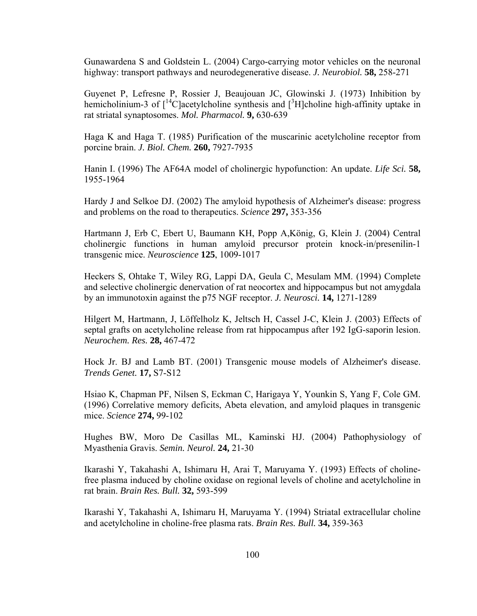Gunawardena S and Goldstein L. (2004) Cargo-carrying motor vehicles on the neuronal highway: transport pathways and neurodegenerative disease. *J. Neurobiol.* **58,** 258-271

Guyenet P, Lefresne P, Rossier J, Beaujouan JC, Glowinski J. (1973) Inhibition by hemicholinium-3 of  $\int_0^{14}$ C acetylcholine synthesis and  $\int_0^3 H$  choline high-affinity uptake in rat striatal synaptosomes. *Mol. Pharmacol.* **9,** 630-639

Haga K and Haga T. (1985) Purification of the muscarinic acetylcholine receptor from porcine brain. *J. Biol. Chem.* **260,** 7927-7935

Hanin I. (1996) The AF64A model of cholinergic hypofunction: An update. *Life Sci.* **58,**  1955-1964

Hardy J and Selkoe DJ. (2002) The amyloid hypothesis of Alzheimer's disease: progress and problems on the road to therapeutics. *Science* **297,** 353-356

Hartmann J, Erb C, Ebert U, Baumann KH, Popp A,König, G, Klein J. (2004) Central cholinergic functions in human amyloid precursor protein knock-in/presenilin-1 transgenic mice. *Neuroscience* **125**, 1009-1017

Heckers S, Ohtake T, Wiley RG, Lappi DA, Geula C, Mesulam MM. (1994) Complete and selective cholinergic denervation of rat neocortex and hippocampus but not amygdala by an immunotoxin against the p75 NGF receptor. *J. Neurosci.* **14,** 1271-1289

Hilgert M, Hartmann, J, Löffelholz K, Jeltsch H, Cassel J-C, Klein J. (2003) Effects of septal grafts on acetylcholine release from rat hippocampus after 192 IgG-saporin lesion. *Neurochem. Res.* **28,** 467-472

Hock Jr. BJ and Lamb BT. (2001) Transgenic mouse models of Alzheimer's disease. *Trends Genet.* **17,** S7-S12

Hsiao K, Chapman PF, Nilsen S, Eckman C, Harigaya Y, Younkin S, Yang F, Cole GM. (1996) Correlative memory deficits, Abeta elevation, and amyloid plaques in transgenic mice. *Science* **274,** 99-102

Hughes BW, Moro De Casillas ML, Kaminski HJ. (2004) Pathophysiology of Myasthenia Gravis. *Semin. Neurol.* **24,** 21-30

Ikarashi Y, Takahashi A, Ishimaru H, Arai T, Maruyama Y. (1993) Effects of cholinefree plasma induced by choline oxidase on regional levels of choline and acetylcholine in rat brain. *Brain Res. Bull.* **32,** 593-599

Ikarashi Y, Takahashi A, Ishimaru H, Maruyama Y. (1994) Striatal extracellular choline and acetylcholine in choline-free plasma rats. *Brain Res. Bull.* **34,** 359-363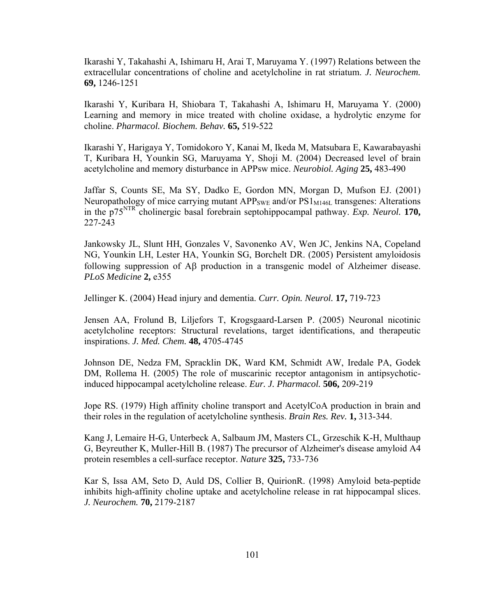Ikarashi Y, Takahashi A, Ishimaru H, Arai T, Maruyama Y. (1997) Relations between the extracellular concentrations of choline and acetylcholine in rat striatum. *J. Neurochem.* **69,** 1246-1251

Ikarashi Y, Kuribara H, Shiobara T, Takahashi A, Ishimaru H, Maruyama Y. (2000) Learning and memory in mice treated with choline oxidase, a hydrolytic enzyme for choline. *Pharmacol. Biochem. Behav.* **65,** 519-522

Ikarashi Y, Harigaya Y, Tomidokoro Y, Kanai M, Ikeda M, Matsubara E, Kawarabayashi T, Kuribara H, Younkin SG, Maruyama Y, Shoji M. (2004) Decreased level of brain acetylcholine and memory disturbance in APPsw mice. *Neurobiol. Aging* **25,** 483-490

Jaffar S, Counts SE, Ma SY, Dadko E, Gordon MN, Morgan D, Mufson EJ. (2001) Neuropathology of mice carrying mutant  $APP<sub>SWE</sub>$  and/or  $PS1<sub>M146L</sub>$  transgenes: Alterations in the p75NTR cholinergic basal forebrain septohippocampal pathway. *Exp. Neurol.* **170,**  227-243

Jankowsky JL, Slunt HH, Gonzales V, Savonenko AV, Wen JC, Jenkins NA, Copeland NG, Younkin LH, Lester HA, Younkin SG, Borchelt DR. (2005) Persistent amyloidosis following suppression of Aβ production in a transgenic model of Alzheimer disease. *PLoS Medicine* **2,** e355

Jellinger K. (2004) Head injury and dementia. *Curr. Opin. Neurol.* **17,** 719-723

Jensen AA, Frolund B, Liljefors T, Krogsgaard-Larsen P. (2005) Neuronal nicotinic acetylcholine receptors: Structural revelations, target identifications, and therapeutic inspirations. *J. Med. Chem.* **48,** 4705-4745

Johnson DE, Nedza FM, Spracklin DK, Ward KM, Schmidt AW, Iredale PA, Godek DM, Rollema H. (2005) The role of muscarinic receptor antagonism in antipsychoticinduced hippocampal acetylcholine release. *Eur. J. Pharmacol.* **506,** 209-219

Jope RS. (1979) High affinity choline transport and AcetylCoA production in brain and their roles in the regulation of acetylcholine synthesis. *Brain Res. Rev.* **1,** 313-344.

Kang J, Lemaire H-G, Unterbeck A, Salbaum JM, Masters CL, Grzeschik K-H, Multhaup G, Beyreuther K, Muller-Hill B. (1987) The precursor of Alzheimer's disease amyloid A4 protein resembles a cell-surface receptor. *Nature* **325,** 733-736

Kar S, Issa AM, Seto D, Auld DS, Collier B, QuirionR. (1998) Amyloid beta-peptide inhibits high-affinity choline uptake and acetylcholine release in rat hippocampal slices. *J. Neurochem.* **70,** 2179-2187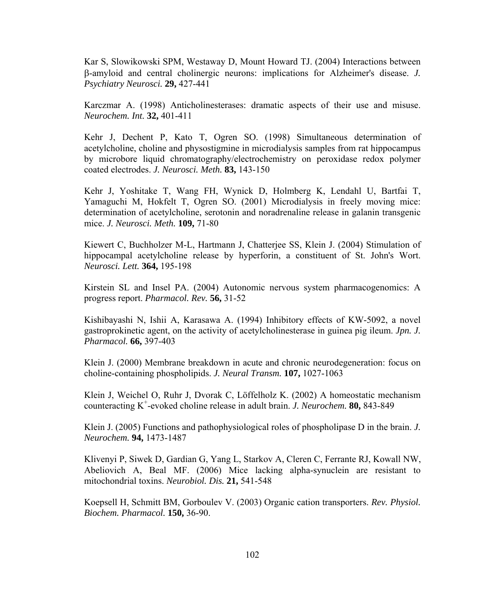Kar S, Slowikowski SPM, Westaway D, Mount Howard TJ. (2004) Interactions between β-amyloid and central cholinergic neurons: implications for Alzheimer's disease. *J. Psychiatry Neurosci.* **29,** 427-441

Karczmar A. (1998) Anticholinesterases: dramatic aspects of their use and misuse. *Neurochem. Int.* **32,** 401-411

Kehr J, Dechent P, Kato T, Ogren SO. (1998) Simultaneous determination of acetylcholine, choline and physostigmine in microdialysis samples from rat hippocampus by microbore liquid chromatography/electrochemistry on peroxidase redox polymer coated electrodes. *J. Neurosci. Meth.* **83,** 143-150

Kehr J, Yoshitake T, Wang FH, Wynick D, Holmberg K, Lendahl U, Bartfai T, Yamaguchi M, Hokfelt T, Ogren SO. (2001) Microdialysis in freely moving mice: determination of acetylcholine, serotonin and noradrenaline release in galanin transgenic mice. *J. Neurosci. Meth.* **109,** 71-80

Kiewert C, Buchholzer M-L, Hartmann J, Chatterjee SS, Klein J. (2004) Stimulation of hippocampal acetylcholine release by hyperforin, a constituent of St. John's Wort. *Neurosci. Lett.* **364,** 195-198

Kirstein SL and Insel PA. (2004) Autonomic nervous system pharmacogenomics: A progress report. *Pharmacol. Rev.* **56,** 31-52

Kishibayashi N, Ishii A, Karasawa A. (1994) Inhibitory effects of KW-5092, a novel gastroprokinetic agent, on the activity of acetylcholinesterase in guinea pig ileum. *Jpn. J. Pharmacol.* **66,** 397-403

Klein J. (2000) Membrane breakdown in acute and chronic neurodegeneration: focus on choline-containing phospholipids. *J. Neural Transm.* **107,** 1027-1063

Klein J, Weichel O, Ruhr J, Dvorak C, Löffelholz K. (2002) A homeostatic mechanism counteracting K+ -evoked choline release in adult brain. *J. Neurochem.* **80,** 843-849

Klein J. (2005) Functions and pathophysiological roles of phospholipase D in the brain. *J. Neurochem.* **94,** 1473-1487

Klivenyi P, Siwek D, Gardian G, Yang L, Starkov A, Cleren C, Ferrante RJ, Kowall NW, Abeliovich A, Beal MF. (2006) Mice lacking alpha-synuclein are resistant to mitochondrial toxins. *Neurobiol. Dis.* **21,** 541-548

Koepsell H, Schmitt BM, Gorboulev V. (2003) Organic cation transporters. *Rev. Physiol. Biochem. Pharmacol.* **150,** 36-90.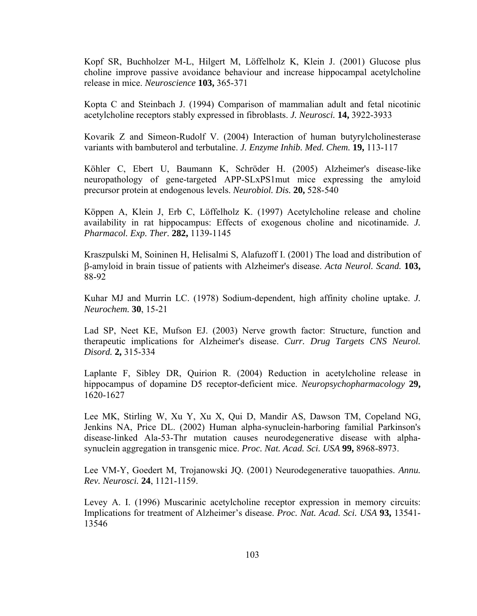Kopf SR, Buchholzer M-L, Hilgert M, Löffelholz K, Klein J. (2001) Glucose plus choline improve passive avoidance behaviour and increase hippocampal acetylcholine release in mice. *Neuroscience* **103,** 365-371

Kopta C and Steinbach J. (1994) Comparison of mammalian adult and fetal nicotinic acetylcholine receptors stably expressed in fibroblasts. *J. Neurosci.* **14,** 3922-3933

Kovarik Z and Simeon-Rudolf V. (2004) Interaction of human butyrylcholinesterase variants with bambuterol and terbutaline. *J. Enzyme Inhib. Med. Chem.* **19,** 113-117

Köhler C, Ebert U, Baumann K, Schröder H. (2005) Alzheimer's disease-like neuropathology of gene-targeted APP-SLxPS1mut mice expressing the amyloid precursor protein at endogenous levels. *Neurobiol. Dis.* **20,** 528-540

Köppen A, Klein J, Erb C, Löffelholz K. (1997) Acetylcholine release and choline availability in rat hippocampus: Effects of exogenous choline and nicotinamide. *J. Pharmacol. Exp. Ther.* **282,** 1139-1145

Kraszpulski M, Soininen H, Helisalmi S, Alafuzoff I. (2001) The load and distribution of β-amyloid in brain tissue of patients with Alzheimer's disease. *Acta Neurol. Scand.* **103,**  88-92

Kuhar MJ and Murrin LC. (1978) Sodium-dependent, high affinity choline uptake. *J. Neurochem.* **30**, 15-21

Lad SP, Neet KE, Mufson EJ. (2003) Nerve growth factor: Structure, function and therapeutic implications for Alzheimer's disease. *Curr. Drug Targets CNS Neurol. Disord.* **2,** 315-334

Laplante F, Sibley DR, Quirion R. (2004) Reduction in acetylcholine release in hippocampus of dopamine D5 receptor-deficient mice. *Neuropsychopharmacology* **29,**  1620-1627

Lee MK, Stirling W, Xu Y, Xu X, Qui D, Mandir AS, Dawson TM, Copeland NG, Jenkins NA, Price DL. (2002) Human alpha-synuclein-harboring familial Parkinson's disease-linked Ala-53-Thr mutation causes neurodegenerative disease with alphasynuclein aggregation in transgenic mice. *Proc. Nat. Acad. Sci. USA* **99,** 8968-8973.

Lee VM-Y, Goedert M, Trojanowski JQ. (2001) Neurodegenerative tauopathies. *Annu. Rev. Neurosci.* **24**, 1121-1159.

Levey A. I. (1996) Muscarinic acetylcholine receptor expression in memory circuits: Implications for treatment of Alzheimer's disease. *Proc. Nat. Acad. Sci. USA* **93,** 13541- 13546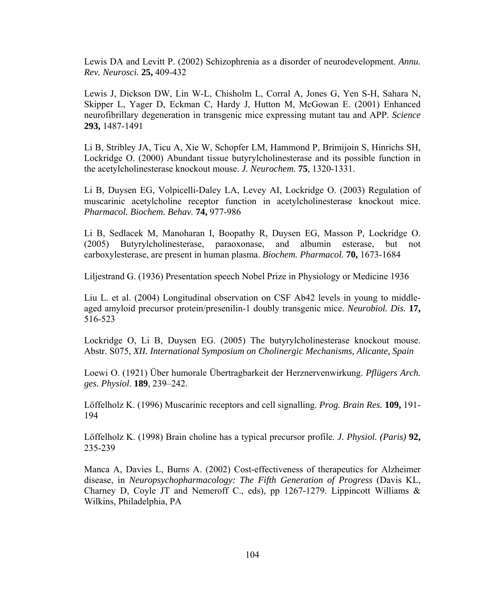Lewis DA and Levitt P. (2002) Schizophrenia as a disorder of neurodevelopment. *Annu. Rev. Neurosci.* **25,** 409-432

Lewis J, Dickson DW, Lin W-L, Chisholm L, Corral A, Jones G, Yen S-H, Sahara N, Skipper L, Yager D, Eckman C, Hardy J, Hutton M, McGowan E. (2001) Enhanced neurofibrillary degeneration in transgenic mice expressing mutant tau and APP. *Science* **293,** 1487-1491

Li B, Stribley JA, Ticu A, Xie W, Schopfer LM, Hammond P, Brimijoin S, Hinrichs SH, Lockridge O. (2000) Abundant tissue butyrylcholinesterase and its possible function in the acetylcholinesterase knockout mouse. *J. Neurochem.* **75**, 1320-1331.

Li B, Duysen EG, Volpicelli-Daley LA, Levey AI, Lockridge O. (2003) Regulation of muscarinic acetylcholine receptor function in acetylcholinesterase knockout mice. *Pharmacol. Biochem. Behav.* **74,** 977-986

Li B, Sedlacek M, Manoharan I, Boopathy R, Duysen EG, Masson P, Lockridge O. (2005) Butyrylcholinesterase, paraoxonase, and albumin esterase, but not carboxylesterase, are present in human plasma. *Biochem. Pharmacol.* **70,** 1673-1684

Liljestrand G. (1936) Presentation speech Nobel Prize in Physiology or Medicine 1936

Liu L. et al. (2004) Longitudinal observation on CSF Ab42 levels in young to middleaged amyloid precursor protein/presenilin-1 doubly transgenic mice. *Neurobiol. Dis.* **17,**  516-523

Lockridge O, Li B, Duysen EG. (2005) The butyrylcholinesterase knockout mouse. Abstr. S075, *XII. International Symposium on Cholinergic Mechanisms, Alicante, Spain*

Loewi O. (1921) Über humorale Übertragbarkeit der Herznervenwirkung. *Pflügers Arch. ges. Physiol*. **189**, 239–242.

Löffelholz K. (1996) Muscarinic receptors and cell signalling. *Prog. Brain Res.* **109,** 191- 194

Löffelholz K. (1998) Brain choline has a typical precursor profile. *J. Physiol. (Paris)* **92,**  235-239

Manca A, Davies L, Burns A. (2002) Cost-effectiveness of therapeutics for Alzheimer disease, in *Neuropsychopharmacology: The Fifth Generation of Progress* (Davis KL, Charney D, Coyle JT and Nemeroff C., eds), pp 1267-1279. Lippincott Williams  $\&$ Wilkins, Philadelphia, PA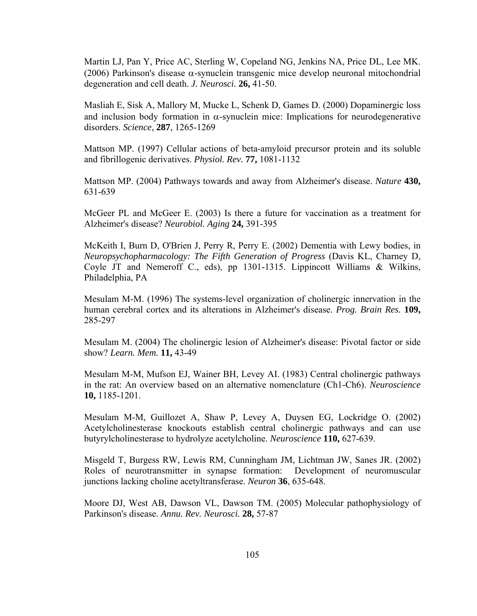Martin LJ, Pan Y, Price AC, Sterling W, Copeland NG, Jenkins NA, Price DL, Lee MK. (2006) Parkinson's disease α-synuclein transgenic mice develop neuronal mitochondrial degeneration and cell death. *J. Neurosci.* **26,** 41-50.

Masliah E, Sisk A, Mallory M, Mucke L, Schenk D, Games D. (2000) Dopaminergic loss and inclusion body formation in  $\alpha$ -synuclein mice: Implications for neurodegenerative disorders. *Science*, **287**, 1265-1269

Mattson MP. (1997) Cellular actions of beta-amyloid precursor protein and its soluble and fibrillogenic derivatives. *Physiol. Rev.* **77,** 1081-1132

Mattson MP. (2004) Pathways towards and away from Alzheimer's disease. *Nature* **430,**  631-639

McGeer PL and McGeer E. (2003) Is there a future for vaccination as a treatment for Alzheimer's disease? *Neurobiol. Aging* **24,** 391-395

McKeith I, Burn D, O'Brien J, Perry R, Perry E. (2002) Dementia with Lewy bodies, in *Neuropsychopharmacology: The Fifth Generation of Progress* (Davis KL, Charney D, Coyle JT and Nemeroff C., eds), pp 1301-1315. Lippincott Williams & Wilkins, Philadelphia, PA

Mesulam M-M. (1996) The systems-level organization of cholinergic innervation in the human cerebral cortex and its alterations in Alzheimer's disease. *Prog. Brain Res.* **109,**  285-297

Mesulam M. (2004) The cholinergic lesion of Alzheimer's disease: Pivotal factor or side show? *Learn. Mem.* **11,** 43-49

Mesulam M-M, Mufson EJ, Wainer BH, Levey AI. (1983) Central cholinergic pathways in the rat: An overview based on an alternative nomenclature (Ch1-Ch6). *Neuroscience* **10,** 1185-1201.

Mesulam M-M, Guillozet A, Shaw P, Levey A, Duysen EG, Lockridge O. (2002) Acetylcholinesterase knockouts establish central cholinergic pathways and can use butyrylcholinesterase to hydrolyze acetylcholine. *Neuroscience* **110,** 627-639.

Misgeld T, Burgess RW, Lewis RM, Cunningham JM, Lichtman JW, Sanes JR. (2002) Roles of neurotransmitter in synapse formation: Development of neuromuscular junctions lacking choline acetyltransferase. *Neuron* **36**, 635-648.

Moore DJ, West AB, Dawson VL, Dawson TM. (2005) Molecular pathophysiology of Parkinson's disease. *Annu. Rev. Neurosci.* **28,** 57-87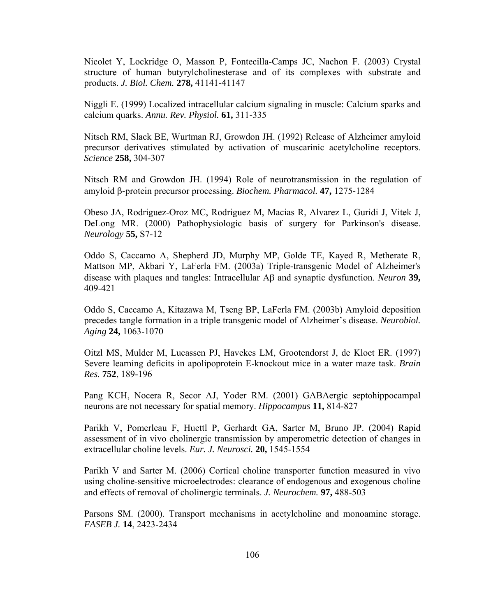Nicolet Y, Lockridge O, Masson P, Fontecilla-Camps JC, Nachon F. (2003) Crystal structure of human butyrylcholinesterase and of its complexes with substrate and products. *J. Biol. Chem.* **278,** 41141-41147

Niggli E. (1999) Localized intracellular calcium signaling in muscle: Calcium sparks and calcium quarks. *Annu. Rev. Physiol.* **61,** 311-335

Nitsch RM, Slack BE, Wurtman RJ, Growdon JH. (1992) Release of Alzheimer amyloid precursor derivatives stimulated by activation of muscarinic acetylcholine receptors. *Science* **258,** 304-307

Nitsch RM and Growdon JH. (1994) Role of neurotransmission in the regulation of amyloid β-protein precursor processing. *Biochem. Pharmacol.* **47,** 1275-1284

Obeso JA, Rodriguez-Oroz MC, Rodriguez M, Macias R, Alvarez L, Guridi J, Vitek J, DeLong MR. (2000) Pathophysiologic basis of surgery for Parkinson's disease. *Neurology* **55,** S7-12

Oddo S, Caccamo A, Shepherd JD, Murphy MP, Golde TE, Kayed R, Metherate R, Mattson MP, Akbari Y, LaFerla FM. (2003a) Triple-transgenic Model of Alzheimer's disease with plaques and tangles: Intracellular Aβ and synaptic dysfunction. *Neuron* **39,**  409-421

Oddo S, Caccamo A, Kitazawa M, Tseng BP, LaFerla FM. (2003b) Amyloid deposition precedes tangle formation in a triple transgenic model of Alzheimer's disease. *Neurobiol. Aging* **24,** 1063-1070

[Oitzl MS,](http://www.ncbi.nlm.nih.gov/entrez/query.fcgi?db=pubmed&cmd=Search&itool=pubmed_Abstract&term=%22Oitzl+MS%22%5BAuthor%5D) [Mulder M,](http://www.ncbi.nlm.nih.gov/entrez/query.fcgi?db=pubmed&cmd=Search&itool=pubmed_Abstract&term=%22Mulder+M%22%5BAuthor%5D) [Lucassen PJ,](http://www.ncbi.nlm.nih.gov/entrez/query.fcgi?db=pubmed&cmd=Search&itool=pubmed_Abstract&term=%22Lucassen+PJ%22%5BAuthor%5D) [Havekes LM](http://www.ncbi.nlm.nih.gov/entrez/query.fcgi?db=pubmed&cmd=Search&itool=pubmed_Abstract&term=%22Havekes+LM%22%5BAuthor%5D), [Grootendorst J,](http://www.ncbi.nlm.nih.gov/entrez/query.fcgi?db=pubmed&cmd=Search&itool=pubmed_Abstract&term=%22Grootendorst+J%22%5BAuthor%5D) [de Kloet ER.](http://www.ncbi.nlm.nih.gov/entrez/query.fcgi?db=pubmed&cmd=Search&itool=pubmed_Abstract&term=%22de+Kloet+ER%22%5BAuthor%5D) (1997) Severe learning deficits in apolipoprotein E-knockout mice in a water maze task. *Brain Res.* **752**, 189-196

Pang KCH, Nocera R, Secor AJ, Yoder RM. (2001) GABAergic septohippocampal neurons are not necessary for spatial memory. *Hippocampus* **11,** 814-827

Parikh V, Pomerleau F, Huettl P, Gerhardt GA, Sarter M, Bruno JP. (2004) Rapid assessment of in vivo cholinergic transmission by amperometric detection of changes in extracellular choline levels. *Eur. J. Neurosci.* **20,** 1545-1554

Parikh V and Sarter M. (2006) Cortical choline transporter function measured in vivo using choline-sensitive microelectrodes: clearance of endogenous and exogenous choline and effects of removal of cholinergic terminals. *J. Neurochem.* **97,** 488-503

Parsons SM. (2000). Transport mechanisms in acetylcholine and monoamine storage. *FASEB J.* **14**, 2423-2434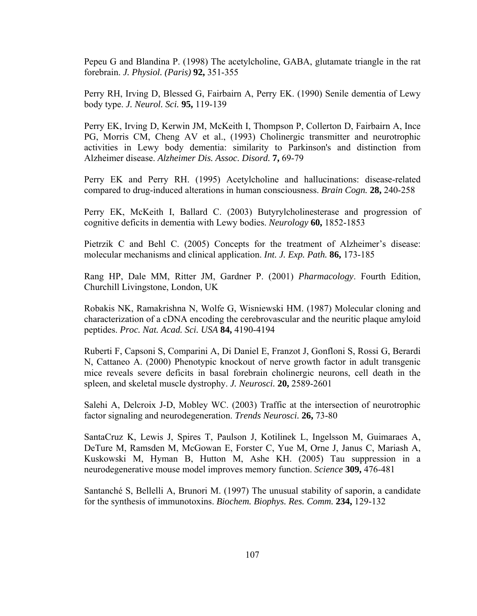Pepeu G and Blandina P. (1998) The acetylcholine, GABA, glutamate triangle in the rat forebrain. *J. Physiol. (Paris)* **92,** 351-355

Perry RH, Irving D, Blessed G, Fairbairn A, Perry EK. (1990) Senile dementia of Lewy body type. *J. Neurol. Sci.* **95,** 119-139

Perry EK, Irving D, Kerwin JM, McKeith I, Thompson P, Collerton D, Fairbairn A, Ince PG, Morris CM, Cheng AV et al., (1993) Cholinergic transmitter and neurotrophic activities in Lewy body dementia: similarity to Parkinson's and distinction from Alzheimer disease. *Alzheimer Dis. Assoc. Disord.* **7,** 69-79

Perry EK and Perry RH. (1995) Acetylcholine and hallucinations: disease-related compared to drug-induced alterations in human consciousness. *Brain Cogn.* **28,** 240-258

Perry EK, McKeith I, Ballard C. (2003) Butyrylcholinesterase and progression of cognitive deficits in dementia with Lewy bodies. *Neurology* **60,** 1852-1853

Pietrzik C and Behl C. (2005) Concepts for the treatment of Alzheimer's disease: molecular mechanisms and clinical application. *Int. J. Exp. Path.* **86,** 173-185

Rang HP, Dale MM, Ritter JM, Gardner P. (2001) *Pharmacology*. Fourth Edition, Churchill Livingstone, London, UK

Robakis NK, Ramakrishna N, Wolfe G, Wisniewski HM. (1987) Molecular cloning and characterization of a cDNA encoding the cerebrovascular and the neuritic plaque amyloid peptides. *Proc. Nat. Acad. Sci. USA* **84,** 4190-4194

Ruberti F, Capsoni S, Comparini A, Di Daniel E, Franzot J, Gonfloni S, Rossi G, Berardi N, Cattaneo A. (2000) Phenotypic knockout of nerve growth factor in adult transgenic mice reveals severe deficits in basal forebrain cholinergic neurons, cell death in the spleen, and skeletal muscle dystrophy. *J. Neurosci.* **20,** 2589-2601

Salehi A, Delcroix J-D, Mobley WC. (2003) Traffic at the intersection of neurotrophic factor signaling and neurodegeneration. *Trends Neurosci.* **26,** 73-80

SantaCruz K, Lewis J, Spires T, Paulson J, Kotilinek L, Ingelsson M, Guimaraes A, DeTure M, Ramsden M, McGowan E, Forster C, Yue M, Orne J, Janus C, Mariash A, Kuskowski M, Hyman B, Hutton M, Ashe KH. (2005) Tau suppression in a neurodegenerative mouse model improves memory function. *Science* **309,** 476-481

Santanché S, Bellelli A, Brunori M. (1997) The unusual stability of saporin, a candidate for the synthesis of immunotoxins. *Biochem. Biophys. Res. Comm.* **234,** 129-132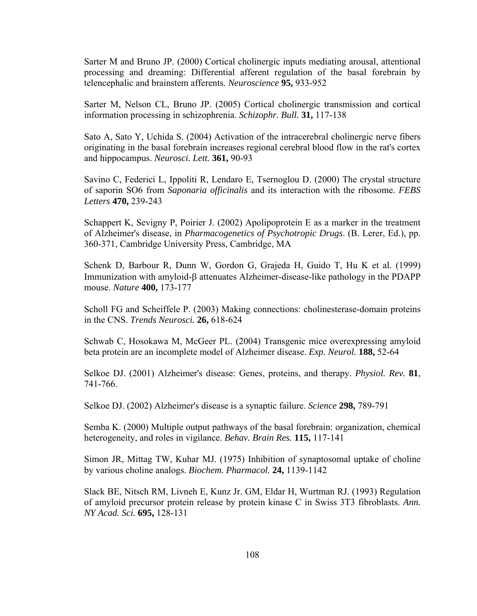Sarter M and Bruno JP. (2000) Cortical cholinergic inputs mediating arousal, attentional processing and dreaming: Differential afferent regulation of the basal forebrain by telencephalic and brainstem afferents. *Neuroscience* **95,** 933-952

Sarter M, Nelson CL, Bruno JP. (2005) Cortical cholinergic transmission and cortical information processing in schizophrenia. *Schizophr. Bull.* **31,** 117-138

Sato A, Sato Y, Uchida S. (2004) Activation of the intracerebral cholinergic nerve fibers originating in the basal forebrain increases regional cerebral blood flow in the rat's cortex and hippocampus. *Neurosci. Lett.* **361,** 90-93

Savino C, Federici L, Ippoliti R, Lendaro E, Tsernoglou D. (2000) The crystal structure of saporin SO6 from *Saponaria officinalis* and its interaction with the ribosome. *FEBS Letters* **470,** 239-243

Schappert K, Sevigny P, Poirier J. (2002) Apolipoprotein E as a marker in the treatment of Alzheimer's disease, in *Pharmacogenetics of Psychotropic Drugs*. (B. Lerer, Ed.), pp. 360-371, Cambridge University Press, Cambridge, MA

Schenk D, Barbour R, Dunn W, Gordon G, Grajeda H, Guido T, Hu K et al. (1999) Immunization with amyloid-β attenuates Alzheimer-disease-like pathology in the PDAPP mouse. *Nature* **400,** 173-177

Scholl FG and Scheiffele P. (2003) Making connections: cholinesterase-domain proteins in the CNS. *Trends Neurosci.* **26,** 618-624

Schwab C, Hosokawa M, McGeer PL. (2004) Transgenic mice overexpressing amyloid beta protein are an incomplete model of Alzheimer disease. *Exp. Neurol.* **188,** 52-64

Selkoe DJ. (2001) Alzheimer's disease: Genes, proteins, and therapy. *Physiol. Rev.* **81**, 741-766.

Selkoe DJ. (2002) Alzheimer's disease is a synaptic failure. *Science* **298,** 789-791

Semba K. (2000) Multiple output pathways of the basal forebrain: organization, chemical heterogeneity, and roles in vigilance. *Behav. Brain Res.* **115,** 117-141

Simon JR, Mittag TW, Kuhar MJ. (1975) Inhibition of synaptosomal uptake of choline by various choline analogs. *Biochem. Pharmacol.* **24,** 1139-1142

Slack BE, Nitsch RM, Livneh E, Kunz Jr. GM, Eldar H, Wurtman RJ. (1993) Regulation of amyloid precursor protein release by protein kinase C in Swiss 3T3 fibroblasts. *Ann. NY Acad. Sci.* **695,** 128-131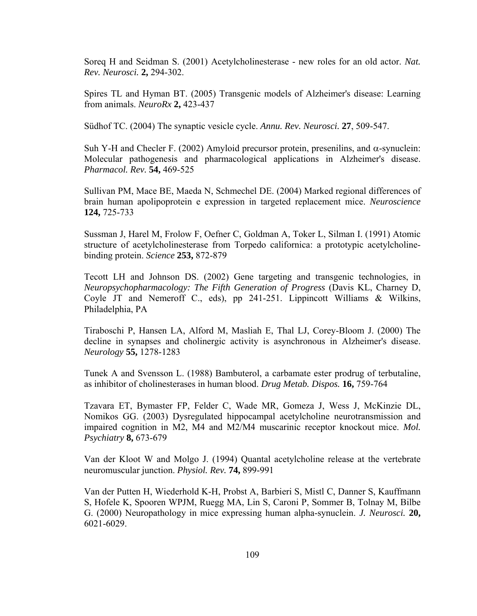Soreq H and Seidman S. (2001) Acetylcholinesterase - new roles for an old actor. *Nat. Rev. Neurosci.* **2,** 294-302.

Spires TL and Hyman BT. (2005) Transgenic models of Alzheimer's disease: Learning from animals. *NeuroRx* **2,** 423-437

Südhof TC. (2004) The synaptic vesicle cycle. *Annu. Rev. Neurosci.* **27**, 509-547.

Suh Y-H and Checler F. (2002) Amyloid precursor protein, presenilins, and  $\alpha$ -synuclein: Molecular pathogenesis and pharmacological applications in Alzheimer's disease. *Pharmacol. Rev.* **54,** 469-525

Sullivan PM, Mace BE, Maeda N, Schmechel DE. (2004) Marked regional differences of brain human apolipoprotein e expression in targeted replacement mice. *Neuroscience* **124,** 725-733

Sussman J, Harel M, Frolow F, Oefner C, Goldman A, Toker L, Silman I. (1991) Atomic structure of acetylcholinesterase from Torpedo californica: a prototypic acetylcholinebinding protein. *Science* **253,** 872-879

Tecott LH and Johnson DS. (2002) Gene targeting and transgenic technologies, in *Neuropsychopharmacology: The Fifth Generation of Progress* (Davis KL, Charney D, Coyle JT and Nemeroff C., eds), pp 241-251. Lippincott Williams & Wilkins, Philadelphia, PA

Tiraboschi P, Hansen LA, Alford M, Masliah E, Thal LJ, Corey-Bloom J. (2000) The decline in synapses and cholinergic activity is asynchronous in Alzheimer's disease. *Neurology* **55,** 1278-1283

Tunek A and Svensson L. (1988) Bambuterol, a carbamate ester prodrug of terbutaline, as inhibitor of cholinesterases in human blood. *Drug Metab. Dispos.* **16,** 759-764

Tzavara ET, Bymaster FP, Felder C, Wade MR, Gomeza J, Wess J, McKinzie DL, Nomikos GG. (2003) Dysregulated hippocampal acetylcholine neurotransmission and impaired cognition in M2, M4 and M2/M4 muscarinic receptor knockout mice. *Mol. Psychiatry* **8,** 673-679

Van der Kloot W and Molgo J. (1994) Quantal acetylcholine release at the vertebrate neuromuscular junction. *Physiol. Rev.* **74,** 899-991

Van der Putten H, Wiederhold K-H, Probst A, Barbieri S, Mistl C, Danner S, Kauffmann S, Hofele K, Spooren WPJM, Ruegg MA, Lin S, Caroni P, Sommer B, Tolnay M, Bilbe G. (2000) Neuropathology in mice expressing human alpha-synuclein. *J. Neurosci.* **20,**  6021-6029.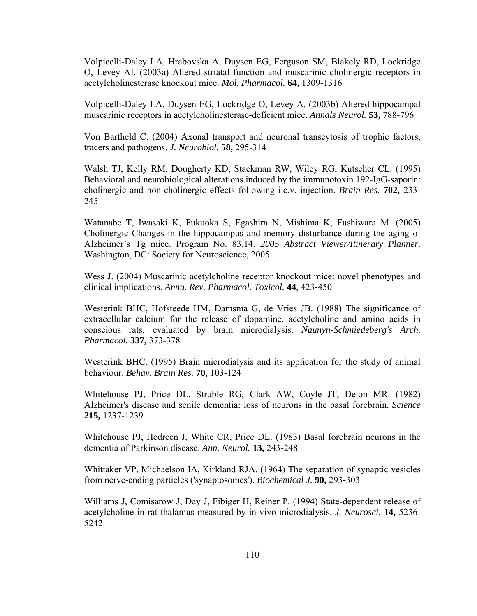Volpicelli-Daley LA, Hrabovska A, Duysen EG, Ferguson SM, Blakely RD, Lockridge O, Levey AI. (2003a) Altered striatal function and muscarinic cholinergic receptors in acetylcholinesterase knockout mice. *Mol. Pharmacol.* **64,** 1309-1316

Volpicelli-Daley LA, Duysen EG, Lockridge O, Levey A. (2003b) Altered hippocampal muscarinic receptors in acetylcholinesterase-deficient mice. *Annals Neurol.* **53,** 788-796

Von Bartheld C. (2004) Axonal transport and neuronal transcytosis of trophic factors, tracers and pathogens. *J. Neurobiol.* **58,** 295-314

Walsh TJ, Kelly RM, Dougherty KD, Stackman RW, Wiley RG, Kutscher CL. (1995) Behavioral and neurobiological alterations induced by the immunotoxin 192-IgG-saporin: cholinergic and non-cholinergic effects following i.c.v. injection. *Brain Res.* **702,** 233- 245

Watanabe T, Iwasaki K, Fukuoka S, Egashira N, Mishima K, Fushiwara M. (2005) Cholinergic Changes in the hippocampus and memory disturbance during the aging of Alzheimer's Tg mice. Program No. 83.14. *2005 Abstract Viewer/Itinerary Planner.* Washington, DC: Society for Neuroscience, 2005

Wess J. (2004) Muscarinic acetylcholine receptor knockout mice: novel phenotypes and clinical implications. *Annu. Rev. Pharmacol. Toxicol.* **44**, 423-450

Westerink BHC, Hofsteede HM, Damsma G, de Vries JB. (1988) The significance of extracellular calcium for the release of dopamine, acetylcholine and amino acids in conscious rats, evaluated by brain microdialysis. *Naunyn-Schmiedeberg's Arch. Pharmacol.* **337,** 373-378

Westerink BHC. (1995) Brain microdialysis and its application for the study of animal behaviour. *Behav. Brain Res.* **70,** 103-124

Whitehouse PJ, Price DL, Struble RG, Clark AW, Coyle JT, Delon MR. (1982) Alzheimer's disease and senile dementia: loss of neurons in the basal forebrain. *Science* **215,** 1237-1239

Whitehouse PJ, Hedreen J, White CR, Price DL. (1983) Basal forebrain neurons in the dementia of Parkinson disease. *Ann. Neurol.* **13,** 243-248

Whittaker VP, Michaelson IA, Kirkland RJA. (1964) The separation of synaptic vesicles from nerve-ending particles ('synaptosomes'). *Biochemical J.* **90,** 293-303

Williams J, Comisarow J, Day J, Fibiger H, Reiner P. (1994) State-dependent release of acetylcholine in rat thalamus measured by in vivo microdialysis. *J. Neurosci.* **14,** 5236- 5242